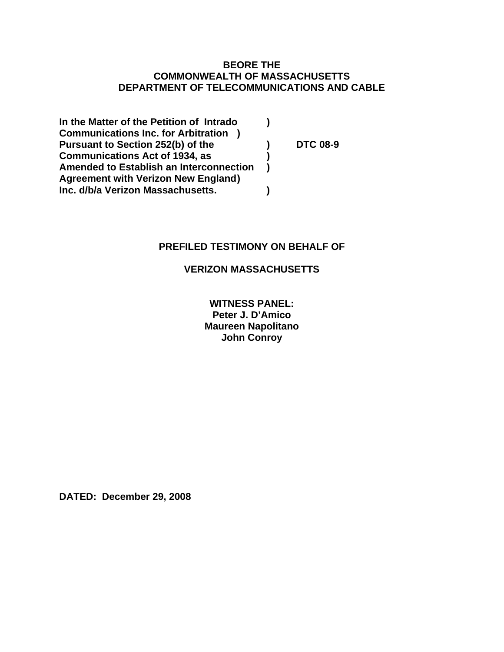# **BEORE THE COMMONWEALTH OF MASSACHUSETTS DEPARTMENT OF TELECOMMUNICATIONS AND CABLE**

| In the Matter of the Petition of Intrado       |                 |
|------------------------------------------------|-----------------|
| <b>Communications Inc. for Arbitration</b>     |                 |
| Pursuant to Section 252(b) of the              | <b>DTC 08-9</b> |
| <b>Communications Act of 1934, as</b>          |                 |
| <b>Amended to Establish an Interconnection</b> |                 |
| <b>Agreement with Verizon New England)</b>     |                 |
| Inc. d/b/a Verizon Massachusetts.              |                 |

# **PREFILED TESTIMONY ON BEHALF OF**

# **VERIZON MASSACHUSETTS**

**WITNESS PANEL: Peter J. D'Amico Maureen Napolitano John Conroy** 

**DATED: December 29, 2008**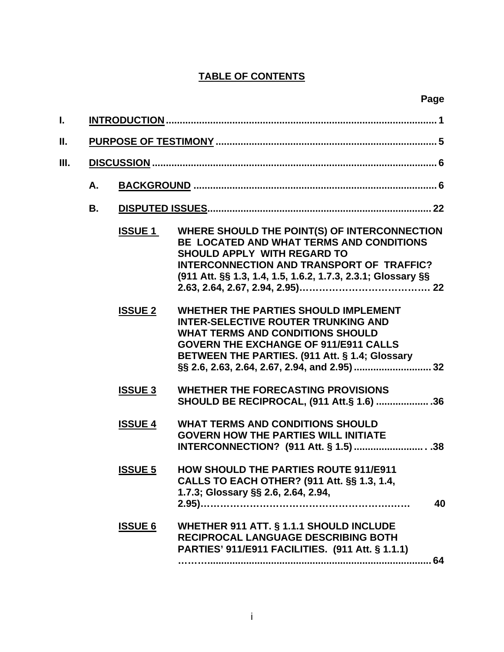# **TABLE OF CONTENTS**

| ı. |    |                |                                                                                                                                                                                                                                             |
|----|----|----------------|---------------------------------------------------------------------------------------------------------------------------------------------------------------------------------------------------------------------------------------------|
| Ш. |    |                |                                                                                                                                                                                                                                             |
| Ш. |    |                |                                                                                                                                                                                                                                             |
|    | А. |                |                                                                                                                                                                                                                                             |
|    | В. |                |                                                                                                                                                                                                                                             |
|    |    | <b>ISSUE 1</b> | WHERE SHOULD THE POINT(S) OF INTERCONNECTION<br>BE LOCATED AND WHAT TERMS AND CONDITIONS<br><b>SHOULD APPLY WITH REGARD TO</b><br>INTERCONNECTION AND TRANSPORT OF TRAFFIC?<br>(911 Att. §§ 1.3, 1.4, 1.5, 1.6.2, 1.7.3, 2.3.1; Glossary §§ |
|    |    | <b>ISSUE 2</b> | <b>WHETHER THE PARTIES SHOULD IMPLEMENT</b><br><b>INTER-SELECTIVE ROUTER TRUNKING AND</b><br><b>WHAT TERMS AND CONDITIONS SHOULD</b><br><b>GOVERN THE EXCHANGE OF 911/E911 CALLS</b><br>BETWEEN THE PARTIES. (911 Att. § 1.4; Glossary      |
|    |    | <b>ISSUE 3</b> | <b>WHETHER THE FORECASTING PROVISIONS</b><br>SHOULD BE RECIPROCAL, (911 Att.§ 1.6)  36                                                                                                                                                      |
|    |    | <b>ISSUE 4</b> | <b>WHAT TERMS AND CONDITIONS SHOULD</b><br><b>GOVERN HOW THE PARTIES WILL INITIATE</b>                                                                                                                                                      |
|    |    | <b>ISSUE 5</b> | <b>HOW SHOULD THE PARTIES ROUTE 911/E911</b><br>CALLS TO EACH OTHER? (911 Att. §§ 1.3, 1.4,<br>1.7.3; Glossary §§ 2.6, 2.64, 2.94,<br>40                                                                                                    |
|    |    | <b>ISSUE 6</b> | <b>WHETHER 911 ATT. § 1.1.1 SHOULD INCLUDE</b><br>RECIPROCAL LANGUAGE DESCRIBING BOTH<br>PARTIES' 911/E911 FACILITIES. (911 Att. § 1.1.1)<br>64                                                                                             |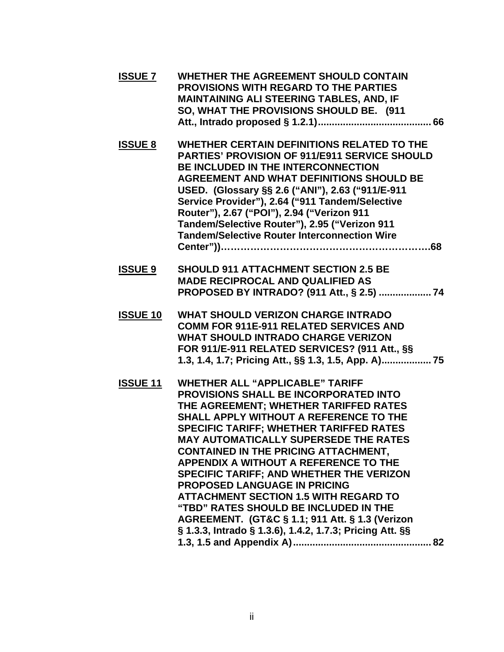| <b>ISSUE 7</b>  | <b>WHETHER THE AGREEMENT SHOULD CONTAIN</b><br><b>PROVISIONS WITH REGARD TO THE PARTIES</b><br><b>MAINTAINING ALI STEERING TABLES, AND, IF</b><br>SO, WHAT THE PROVISIONS SHOULD BE. (911                                                                                                                                                                                                                                                                                                                                                                                                                                                                             |
|-----------------|-----------------------------------------------------------------------------------------------------------------------------------------------------------------------------------------------------------------------------------------------------------------------------------------------------------------------------------------------------------------------------------------------------------------------------------------------------------------------------------------------------------------------------------------------------------------------------------------------------------------------------------------------------------------------|
| <b>ISSUE 8</b>  | WHETHER CERTAIN DEFINITIONS RELATED TO THE<br><b>PARTIES' PROVISION OF 911/E911 SERVICE SHOULD</b><br><b>BE INCLUDED IN THE INTERCONNECTION</b><br><b>AGREEMENT AND WHAT DEFINITIONS SHOULD BE</b><br>USED. (Glossary §§ 2.6 ("ANI"), 2.63 ("911/E-911<br>Service Provider"), 2.64 ("911 Tandem/Selective<br>Router"), 2.67 ("POI"), 2.94 ("Verizon 911<br>Tandem/Selective Router"), 2.95 ("Verizon 911<br><b>Tandem/Selective Router Interconnection Wire</b>                                                                                                                                                                                                       |
| <b>ISSUE 9</b>  | <b>SHOULD 911 ATTACHMENT SECTION 2.5 BE</b><br><b>MADE RECIPROCAL AND QUALIFIED AS</b><br>PROPOSED BY INTRADO? (911 Att., § 2.5)  74                                                                                                                                                                                                                                                                                                                                                                                                                                                                                                                                  |
| <b>ISSUE 10</b> | <b>WHAT SHOULD VERIZON CHARGE INTRADO</b><br><b>COMM FOR 911E-911 RELATED SERVICES AND</b><br><b>WHAT SHOULD INTRADO CHARGE VERIZON</b><br>FOR 911/E-911 RELATED SERVICES? (911 Att., §§<br>1.3, 1.4, 1.7; Pricing Att., §§ 1.3, 1.5, App. A) 75                                                                                                                                                                                                                                                                                                                                                                                                                      |
| <b>ISSUE 11</b> | <b>WHETHER ALL "APPLICABLE" TARIFF</b><br><b>PROVISIONS SHALL BE INCORPORATED INTO</b><br>THE AGREEMENT; WHETHER TARIFFED RATES<br>SHALL APPLY WITHOUT A REFERENCE TO THE<br><b>SPECIFIC TARIFF; WHETHER TARIFFED RATES</b><br><b>MAY AUTOMATICALLY SUPERSEDE THE RATES</b><br><b>CONTAINED IN THE PRICING ATTACHMENT,</b><br><b>APPENDIX A WITHOUT A REFERENCE TO THE</b><br>SPECIFIC TARIFF; AND WHETHER THE VERIZON<br><b>PROPOSED LANGUAGE IN PRICING</b><br><b>ATTACHMENT SECTION 1.5 WITH REGARD TO</b><br>"TBD" RATES SHOULD BE INCLUDED IN THE<br>AGREEMENT. (GT&C § 1.1; 911 Att. § 1.3 (Verizon<br>§ 1.3.3, Intrado § 1.3.6), 1.4.2, 1.7.3; Pricing Att. §§ |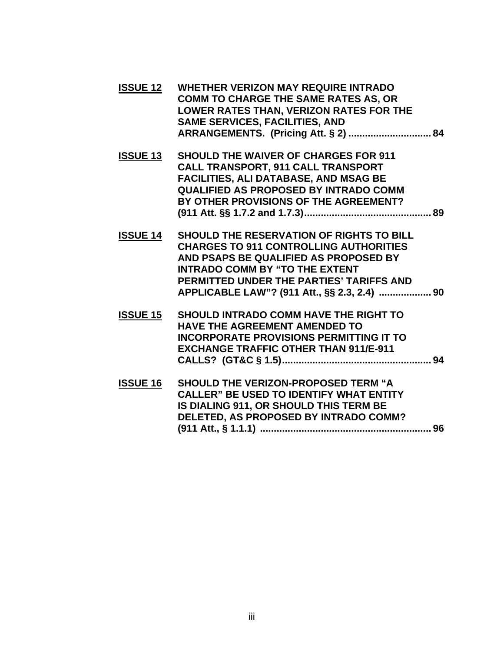| <b>ISSUE 12</b> | WHETHER VERIZON MAY REQUIRE INTRADO         |
|-----------------|---------------------------------------------|
|                 | <b>COMM TO CHARGE THE SAME RATES AS, OR</b> |
|                 | LOWER RATES THAN, VERIZON RATES FOR THE     |
|                 | <b>SAME SERVICES, FACILITIES, AND</b>       |
|                 |                                             |

- **ISSUE 13 SHOULD THE WAIVER OF CHARGES FOR 911 CALL TRANSPORT, 911 CALL TRANSPORT FACILITIES, ALI DATABASE, AND MSAG BE QUALIFIED AS PROPOSED BY INTRADO COMM BY OTHER PROVISIONS OF THE AGREEMENT? (911 Att. §§ 1.7.2 and 1.7.3).............................................. 89**
- **ISSUE 14 SHOULD THE RESERVATION OF RIGHTS TO BILL CHARGES TO 911 CONTROLLING AUTHORITIES AND PSAPS BE QUALIFIED AS PROPOSED BY INTRADO COMM BY "TO THE EXTENT PERMITTED UNDER THE PARTIES' TARIFFS AND APPLICABLE LAW"? (911 Att., §§ 2.3, 2.4) ................... 90**
- **ISSUE 15 SHOULD INTRADO COMM HAVE THE RIGHT TO HAVE THE AGREEMENT AMENDED TO INCORPORATE PROVISIONS PERMITTING IT TO EXCHANGE TRAFFIC OTHER THAN 911/E-911 CALLS? (GT&C § 1.5)...................................................... 94**
- **ISSUE 16 SHOULD THE VERIZON-PROPOSED TERM "A CALLER" BE USED TO IDENTIFY WHAT ENTITY IS DIALING 911, OR SHOULD THIS TERM BE DELETED, AS PROPOSED BY INTRADO COMM? (911 Att., § 1.1.1) .............................................................. 96**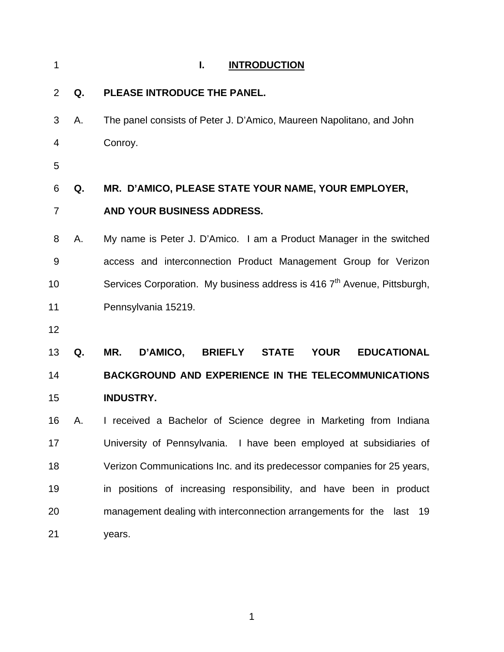| 1              |    | <b>INTRODUCTION</b><br>ı.                                                              |
|----------------|----|----------------------------------------------------------------------------------------|
| 2              | Q. | PLEASE INTRODUCE THE PANEL.                                                            |
| 3              | Α. | The panel consists of Peter J. D'Amico, Maureen Napolitano, and John                   |
| 4              |    | Conroy.                                                                                |
| 5              |    |                                                                                        |
| 6              | Q. | MR. D'AMICO, PLEASE STATE YOUR NAME, YOUR EMPLOYER,                                    |
| $\overline{7}$ |    | AND YOUR BUSINESS ADDRESS.                                                             |
| 8              | Α. | My name is Peter J. D'Amico. I am a Product Manager in the switched                    |
| 9              |    | access and interconnection Product Management Group for Verizon                        |
| 10             |    | Services Corporation. My business address is 416 7 <sup>th</sup> Avenue, Pittsburgh,   |
| 11             |    | Pennsylvania 15219.                                                                    |
| 12             |    |                                                                                        |
| 13             | Q. | D'AMICO,<br>MR.<br><b>BRIEFLY</b><br><b>STATE</b><br><b>YOUR</b><br><b>EDUCATIONAL</b> |
| 14             |    | <b>BACKGROUND AND EXPERIENCE IN THE TELECOMMUNICATIONS</b>                             |
| 15             |    | <b>INDUSTRY.</b>                                                                       |
| 16             | А. | I received a Bachelor of Science degree in Marketing from Indiana                      |
| 17             |    | University of Pennsylvania. I have been employed at subsidiaries of                    |
| 18             |    | Verizon Communications Inc. and its predecessor companies for 25 years,                |
| 19             |    | in positions of increasing responsibility, and have been in product                    |
| 20             |    | management dealing with interconnection arrangements for the last 19                   |
| 21             |    | years.                                                                                 |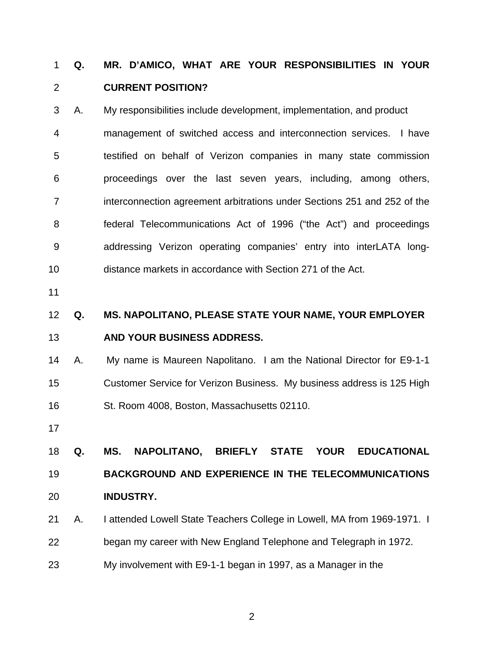## **Q. MR. D'AMICO, WHAT ARE YOUR RESPONSIBILITIES IN YOUR CURRENT POSITION?**  1 2

- 3 4 5 6 7 8 9 10 A. My responsibilities include development, implementation, and product management of switched access and interconnection services. I have testified on behalf of Verizon companies in many state commission proceedings over the last seven years, including, among others, interconnection agreement arbitrations under Sections 251 and 252 of the federal Telecommunications Act of 1996 ("the Act") and proceedings addressing Verizon operating companies' entry into interLATA longdistance markets in accordance with Section 271 of the Act.
- 11

### 12 13 **Q. MS. NAPOLITANO, PLEASE STATE YOUR NAME, YOUR EMPLOYER AND YOUR BUSINESS ADDRESS.**

- 14 15 16 A. My name is Maureen Napolitano. I am the National Director for E9-1-1 Customer Service for Verizon Business. My business address is 125 High St. Room 4008, Boston, Massachusetts 02110.
- 17

18 19 20 **Q. MS. NAPOLITANO, BRIEFLY STATE YOUR EDUCATIONAL BACKGROUND AND EXPERIENCE IN THE TELECOMMUNICATIONS INDUSTRY.** 

- 21 A. I attended Lowell State Teachers College in Lowell, MA from 1969-1971. I
- 22 began my career with New England Telephone and Telegraph in 1972.
- 23 My involvement with E9-1-1 began in 1997, as a Manager in the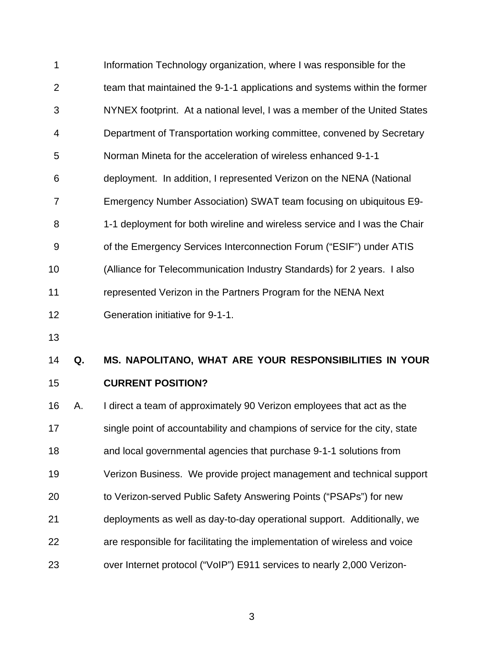| 1  | Information Technology organization, where I was responsible for the      |
|----|---------------------------------------------------------------------------|
| 2  | team that maintained the 9-1-1 applications and systems within the former |
| 3  | NYNEX footprint. At a national level, I was a member of the United States |
| 4  | Department of Transportation working committee, convened by Secretary     |
| 5  | Norman Mineta for the acceleration of wireless enhanced 9-1-1             |
| 6  | deployment. In addition, I represented Verizon on the NENA (National      |
| 7  | Emergency Number Association) SWAT team focusing on ubiquitous E9-        |
| 8  | 1-1 deployment for both wireline and wireless service and I was the Chair |
| 9  | of the Emergency Services Interconnection Forum ("ESIF") under ATIS       |
| 10 | (Alliance for Telecommunication Industry Standards) for 2 years. I also   |
| 11 | represented Verizon in the Partners Program for the NENA Next             |
| 12 | Generation initiative for 9-1-1.                                          |

13

## 14 15 **Q. MS. NAPOLITANO, WHAT ARE YOUR RESPONSIBILITIES IN YOUR CURRENT POSITION?**

16 17 18 19 20 21 22 23 A. I direct a team of approximately 90 Verizon employees that act as the single point of accountability and champions of service for the city, state and local governmental agencies that purchase 9-1-1 solutions from Verizon Business. We provide project management and technical support to Verizon-served Public Safety Answering Points ("PSAPs") for new deployments as well as day-to-day operational support. Additionally, we are responsible for facilitating the implementation of wireless and voice over Internet protocol ("VoIP") E911 services to nearly 2,000 Verizon-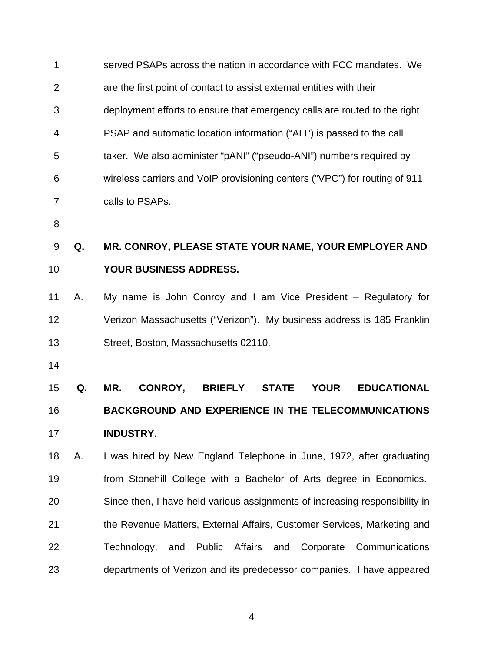| 1              |    | served PSAPs across the nation in accordance with FCC mandates. We                    |
|----------------|----|---------------------------------------------------------------------------------------|
| $\overline{2}$ |    | are the first point of contact to assist external entities with their                 |
| 3              |    | deployment efforts to ensure that emergency calls are routed to the right             |
| 4              |    | PSAP and automatic location information ("ALI") is passed to the call                 |
| 5              |    | taker. We also administer "pANI" ("pseudo-ANI") numbers required by                   |
| 6              |    | wireless carriers and VoIP provisioning centers ("VPC") for routing of 911            |
| 7              |    | calls to PSAPs.                                                                       |
| 8              |    |                                                                                       |
| 9              | Q. | MR. CONROY, PLEASE STATE YOUR NAME, YOUR EMPLOYER AND                                 |
| 10             |    | YOUR BUSINESS ADDRESS.                                                                |
| 11             | Α. | My name is John Conroy and I am Vice President - Regulatory for                       |
| 12             |    | Verizon Massachusetts ("Verizon"). My business address is 185 Franklin                |
| 13             |    | Street, Boston, Massachusetts 02110.                                                  |
| 14             |    |                                                                                       |
| 15             | Q. | MR.<br><b>EDUCATIONAL</b><br>CONROY,<br><b>BRIEFLY</b><br><b>STATE</b><br><b>YOUR</b> |
| 16             |    | <b>BACKGROUND AND EXPERIENCE IN THE TELECOMMUNICATIONS</b>                            |
| 17             |    | <b>INDUSTRY.</b>                                                                      |
| 18             | Α. | I was hired by New England Telephone in June, 1972, after graduating                  |
| 19             |    | from Stonehill College with a Bachelor of Arts degree in Economics.                   |
| 20             |    | Since then, I have held various assignments of increasing responsibility in           |
| 21             |    | the Revenue Matters, External Affairs, Customer Services, Marketing and               |
| 22             |    | Technology, and<br>Public Affairs and Corporate<br>Communications                     |
| 23             |    | departments of Verizon and its predecessor companies. I have appeared                 |
|                |    |                                                                                       |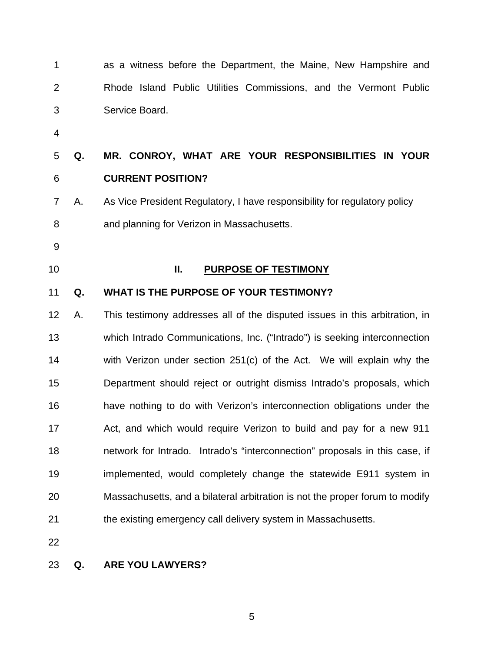| 1              |    | as a witness before the Department, the Maine, New Hampshire and             |
|----------------|----|------------------------------------------------------------------------------|
| 2              |    | Rhode Island Public Utilities Commissions, and the Vermont Public            |
| 3              |    | Service Board.                                                               |
| $\overline{4}$ |    |                                                                              |
| 5              | Q. | MR. CONROY, WHAT ARE YOUR RESPONSIBILITIES IN YOUR                           |
| 6              |    | <b>CURRENT POSITION?</b>                                                     |
| 7              | Α. | As Vice President Regulatory, I have responsibility for regulatory policy    |
| 8              |    | and planning for Verizon in Massachusetts.                                   |
| 9              |    |                                                                              |
| 10             |    | Ш.<br><b>PURPOSE OF TESTIMONY</b>                                            |
| 11             | Q. | WHAT IS THE PURPOSE OF YOUR TESTIMONY?                                       |
| 12             | А. | This testimony addresses all of the disputed issues in this arbitration, in  |
| 13             |    | which Intrado Communications, Inc. ("Intrado") is seeking interconnection    |
| 14             |    | with Verizon under section 251(c) of the Act. We will explain why the        |
| 15             |    | Department should reject or outright dismiss Intrado's proposals, which      |
| 16             |    | have nothing to do with Verizon's interconnection obligations under the      |
| 17             |    | Act, and which would require Verizon to build and pay for a new 911          |
| 18             |    | network for Intrado. Intrado's "interconnection" proposals in this case, if  |
| 19             |    | implemented, would completely change the statewide E911 system in            |
| 20             |    | Massachusetts, and a bilateral arbitration is not the proper forum to modify |
| 21             |    | the existing emergency call delivery system in Massachusetts.                |
| 22             |    |                                                                              |

# 23 **Q. ARE YOU LAWYERS?**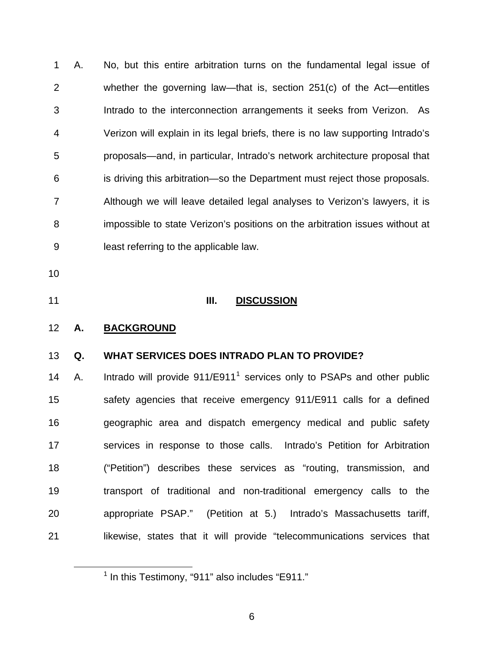1 2 3 4 5 6 7 8 9 A. No, but this entire arbitration turns on the fundamental legal issue of whether the governing law—that is, section 251(c) of the Act—entitles Intrado to the interconnection arrangements it seeks from Verizon. As Verizon will explain in its legal briefs, there is no law supporting Intrado's proposals—and, in particular, Intrado's network architecture proposal that is driving this arbitration—so the Department must reject those proposals. Although we will leave detailed legal analyses to Verizon's lawyers, it is impossible to state Verizon's positions on the arbitration issues without at least referring to the applicable law.

- 10
- 

<span id="page-9-0"></span><u>.</u>

# 11 **III. DISCUSSION**

# 12 **A. BACKGROUND**

#### 13 **Q. WHAT SERVICES DOES INTRADO PLAN TO PROVIDE?**

14 15 16 17 18 19 20 21 A. Intrado will provide  $911/E911<sup>1</sup>$  $911/E911<sup>1</sup>$  $911/E911<sup>1</sup>$  services only to PSAPs and other public safety agencies that receive emergency 911/E911 calls for a defined geographic area and dispatch emergency medical and public safety services in response to those calls. Intrado's Petition for Arbitration ("Petition") describes these services as "routing, transmission, and transport of traditional and non-traditional emergency calls to the appropriate PSAP." (Petition at 5.) Intrado's Massachusetts tariff, likewise, states that it will provide "telecommunications services that

 $<sup>1</sup>$  In this Testimony, "911" also includes "E911."</sup>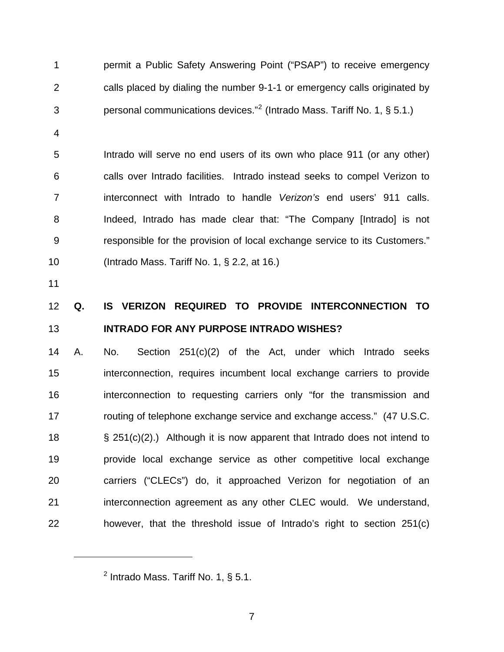permit a Public Safety Answering Point ("PSAP") to receive emergency calls placed by dialing the number 9-1-1 or emergency calls originated by personal communications devices."<sup>[2](#page-10-0)</sup> (Intrado Mass. Tariff No. 1, § 5.1.) 1 2 3

5 6 7 8 9 10 Intrado will serve no end users of its own who place 911 (or any other) calls over Intrado facilities. Intrado instead seeks to compel Verizon to interconnect with Intrado to handle *Verizon's* end users' 911 calls. Indeed, Intrado has made clear that: "The Company [Intrado] is not responsible for the provision of local exchange service to its Customers." (Intrado Mass. Tariff No. 1, § 2.2, at 16.)

11

<span id="page-10-0"></span> $\overline{a}$ 

4

### 12 13 **Q. IS VERIZON REQUIRED TO PROVIDE INTERCONNECTION TO INTRADO FOR ANY PURPOSE INTRADO WISHES?**

14 15 16 17 18 19 20 21 22 A. No. Section 251(c)(2) of the Act, under which Intrado seeks interconnection, requires incumbent local exchange carriers to provide interconnection to requesting carriers only "for the transmission and routing of telephone exchange service and exchange access." (47 U.S.C. § 251(c)(2).) Although it is now apparent that Intrado does not intend to provide local exchange service as other competitive local exchange carriers ("CLECs") do, it approached Verizon for negotiation of an interconnection agreement as any other CLEC would. We understand, however, that the threshold issue of Intrado's right to section 251(c)

 $^2$  Intrado Mass. Tariff No. 1, § 5.1.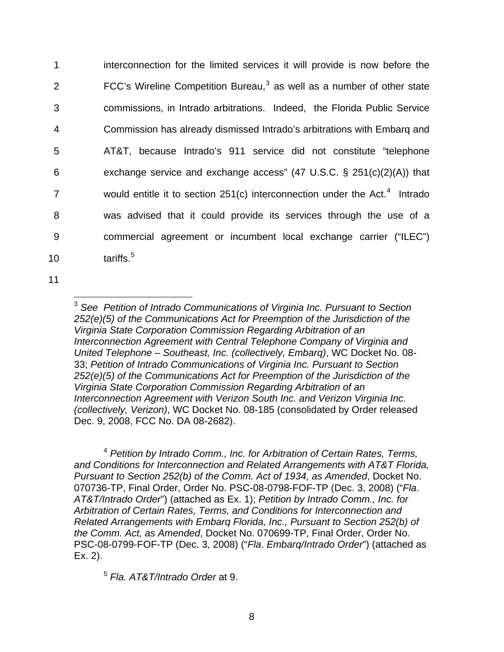interconnection for the limited services it will provide is now before the FCC's Wireline Competition Bureau, $3$  as well as a number of other state 1 2 3 4 5 6 7 8 9 10 commissions, in Intrado arbitrations. Indeed, the Florida Public Service Commission has already dismissed Intrado's arbitrations with Embarq and AT&T, because Intrado's 911 service did not constitute "telephone exchange service and exchange access" (47 U.S.C. § 251(c)(2)(A)) that would entitle it to section  $251(c)$  interconnection under the Act.<sup>[4](#page-11-1)</sup> Intrado was advised that it could provide its services through the use of a commercial agreement or incumbent local exchange carrier ("ILEC") tariffs.<sup>[5](#page-11-2)</sup>

<span id="page-11-0"></span>11

 $\overline{a}$ 

<sup>3</sup> *See Petition of Intrado Communications of Virginia Inc. Pursuant to Section 252(e)(5) of the Communications Act for Preemption of the Jurisdiction of the Virginia State Corporation Commission Regarding Arbitration of an Interconnection Agreement with Central Telephone Company of Virginia and United Telephone – Southeast, Inc. (collectively, Embarq)*, WC Docket No. 08- 33; *Petition of Intrado Communications of Virginia Inc. Pursuant to Section 252(e)(5) of the Communications Act for Preemption of the Jurisdiction of the Virginia State Corporation Commission Regarding Arbitration of an Interconnection Agreement with Verizon South Inc. and Verizon Virginia Inc. (collectively, Verizon)*, WC Docket No. 08-185 (consolidated by Order released Dec. 9, 2008, FCC No. DA 08-2682).

<span id="page-11-1"></span><sup>4</sup> *Petition by Intrado Comm., Inc. for Arbitration of Certain Rates, Terms, and Conditions for Interconnection and Related Arrangements with AT&T Florida, Pursuant to Section 252(b) of the Comm. Act of 1934, as Amended*, Docket No. 070736-TP, Final Order, Order No. PSC-08-0798-FOF-TP (Dec. 3, 2008) ("*Fla*. *AT&T/Intrado Order*") (attached as Ex. 1); *Petition by Intrado Comm., Inc. for Arbitration of Certain Rates, Terms, and Conditions for Interconnection and Related Arrangements with Embarq Florida, Inc., Pursuant to Section 252(b) of the Comm. Act, as Amended*, Docket No. 070699-TP, Final Order, Order No. PSC-08-0799-FOF-TP (Dec. 3, 2008) ("*Fla*. *Embarq/Intrado Order*") (attached as Ex. 2).

<span id="page-11-2"></span><sup>5</sup> *Fla. AT&T/Intrado Order* at 9.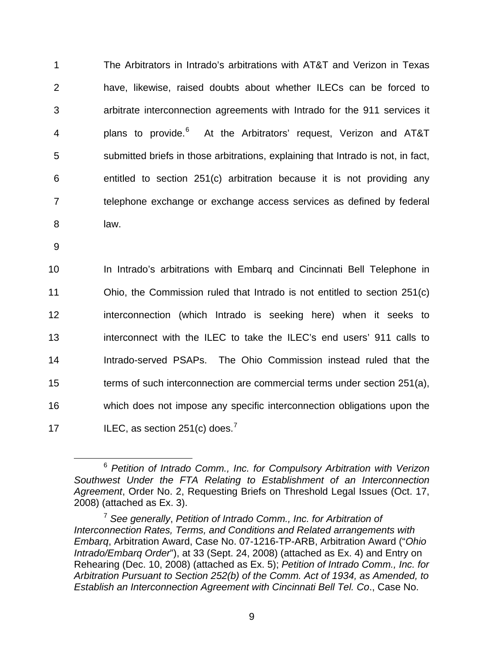The Arbitrators in Intrado's arbitrations with AT&T and Verizon in Texas have, likewise, raised doubts about whether ILECs can be forced to arbitrate interconnection agreements with Intrado for the 911 services it plans to provide.<sup>[6](#page-12-0)</sup> 1 2 3 4 5 6 7 bedephone exchange or exchange access services as defined by federal 8 law. At the Arbitrators' request, Verizon and AT&T submitted briefs in those arbitrations, explaining that Intrado is not, in fact, entitled to section 251(c) arbitration because it is not providing any

9

10 11 12 13 14 15 16 The Which does not impose any specific interconnection obligations upon the 17 **ILEC, as section 251(c) does.**<sup>7</sup> In Intrado's arbitrations with Embarq and Cincinnati Bell Telephone in Ohio, the Commission ruled that Intrado is not entitled to section 251(c) interconnection (which Intrado is seeking here) when it seeks to interconnect with the ILEC to take the ILEC's end users' 911 calls to Intrado-served PSAPs. The Ohio Commission instead ruled that the terms of such interconnection are commercial terms under section 251(a),

<span id="page-12-0"></span> <sup>6</sup> *Petition of Intrado Comm., Inc. for Compulsory Arbitration with Verizon Southwest Under the FTA Relating to Establishment of an Interconnection*  Agreement, Order No. 2, Requesting Briefs on Threshold Legal Issues (Oct. 17, 2008) (attached as Ex. 3).

*r*  Rehearing (Dec. 10, 2008) (attached as Ex. 5); *Petition of Intrado Comm., Inc. fo* Arbitration Pursuant to Section 252(b) of the Comm. Act of 1934, as Amended, to <sup>7</sup> *See generally*, *Petition of Intrado Comm., Inc. for Arbitration of Interconnection Rates, Terms, and Conditions and Related arrangements with Embarq*, Arbitration Award, Case No. 07-1216-TP-ARB, Arbitration Award ("*Ohio Intrado/Embarq Order*"), at 33 (Sept. 24, 2008) (attached as Ex. 4) and Entry on *Establish an Interconnection Agreement with Cincinnati Bell Tel. Co*., Case No.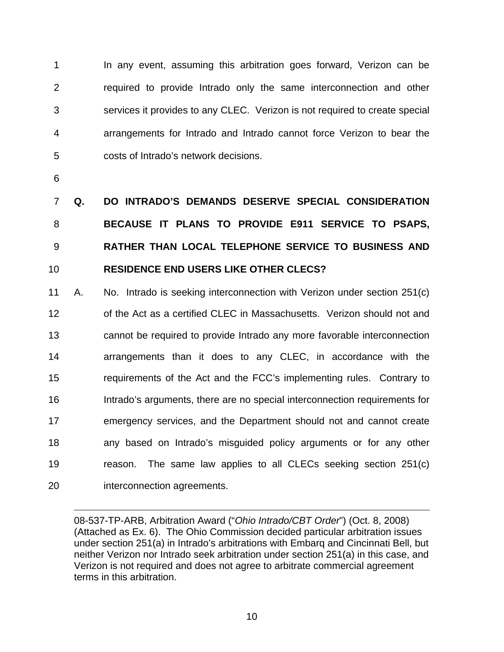In any event, assuming this arbitration goes forward, Verizon can be required to provide Intrado only the same interconnection and other services it provides to any CLEC. Verizon is not required to create special arrangements for Intrado and Intrado cannot force Verizon to bear the costs of Intrado's network decisions. 1 2 3 4 5

6

 $\overline{a}$ 

7 8 9 10 **Q. DO INTRADO'S DEMANDS DESERVE SPECIAL CONSIDERATION BECAUSE IT PLANS TO PROVIDE E911 SERVICE TO PSAPS, RATHER THAN LOCAL TELEPHONE SERVICE TO BUSINESS AND RESIDENCE END USERS LIKE OTHER CLECS?** 

11 12 13 14 15 16 17 18 19 20 A. No. Intrado is seeking interconnection with Verizon under section 251(c) of the Act as a certified CLEC in Massachusetts. Verizon should not and cannot be required to provide Intrado any more favorable interconnection arrangements than it does to any CLEC, in accordance with the requirements of the Act and the FCC's implementing rules. Contrary to Intrado's arguments, there are no special interconnection requirements for emergency services, and the Department should not and cannot create any based on Intrado's misguided policy arguments or for any other reason. The same law applies to all CLECs seeking section 251(c) interconnection agreements.

08-537-TP-ARB, Arbitration Award ("*Ohio Intrado/CBT Order*") (Oct. 8, 2008) (Attached as Ex. 6). The Ohio Commission decided particular arbitration issues under section 251(a) in Intrado's arbitrations with Embarq and Cincinnati Bell, but neither Verizon nor Intrado seek arbitration under section 251(a) in this case, and Verizon is not required and does not agree to arbitrate commercial agreement terms in this arbitration.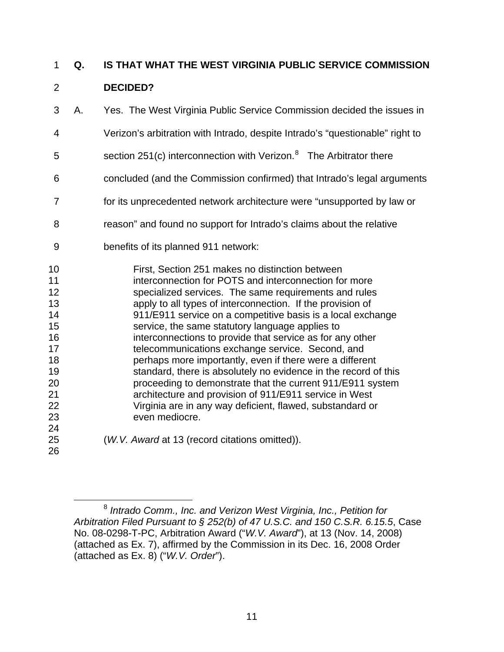## **Q. IS THAT WHAT THE WEST VIRGINIA PUBLIC SERVICE COMMISSION**  1

### **DECIDED?**  2

- 3 A. Yes. The West Virginia Public Service Commission decided the issues in
- 4 Verizon's arbitration with Intrado, despite Intrado's "questionable" right to
- 5 section 251(c) interconnection with Verizon.<sup>[8](#page-14-0)</sup> The Arbitrator there
- 6 concluded (and the Commission confirmed) that Intrado's legal arguments
- 7 for its unprecedented network architecture were "unsupported by law or
- 8 reason" and found no support for Intrado's claims about the relative
- 9 benefits of its planned 911 network:
- 10 11 12 13 14 15 16 17 18 19 20 21 22 23 24 First, Section 251 makes no distinction between interconnection for POTS and interconnection for more specialized services. The same requirements and rules apply to all types of interconnection. If the provision of 911/E911 service on a competitive basis is a local exchange service, the same statutory language applies to interconnections to provide that service as for any other telecommunications exchange service. Second, and perhaps more importantly, even if there were a different standard, there is absolutely no evidence in the record of this proceeding to demonstrate that the current 911/E911 system architecture and provision of 911/E911 service in West Virginia are in any way deficient, flawed, substandard or even mediocre.
	- (*W.V. Award* at 13 (record citations omitted)).

<span id="page-14-0"></span><sup>&</sup>lt;u>.</u> <sup>8</sup> *Intrado Comm., Inc. and Verizon West Virginia, Inc., Petition for Arbitration Filed Pursuant to § 252(b) of 47 U.S.C. and 150 C.S.R. 6.15.5*, Case No. 08-0298-T-PC, Arbitration Award ("*W.V. Award*"), at 13 (Nov. 14, 2008) (attached as Ex. 7), affirmed by the Commission in its Dec. 16, 2008 Order (attached as Ex. 8) ("*W.V. Order*").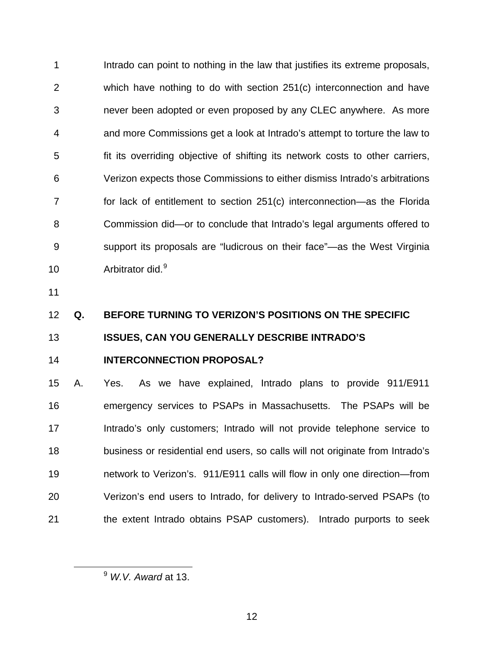Intrado can point to nothing in the law that justifies its extreme proposals, which have nothing to do with section 251(c) interconnection and have never been adopted or even proposed by any CLEC anywhere. As more and more Commissions get a look at Intrado's attempt to torture the law to fit its overriding objective of shifting its network costs to other carriers, Verizon expects those Commissions to either dismiss Intrado's arbitrations for lack of entitlement to section 251(c) interconnection—as the Florida Commission did—or to conclude that Intrado's legal arguments offered to support its proposals are "ludicrous on their face"—as the West Virginia Arbitrator did.<sup>[9](#page-15-0)</sup> 1 2 3 4 5 6 7 8 9 10

11

# 12 **Q. BEFORE TURNING TO VERIZON'S POSITIONS ON THE SPECIFIC**

### 13 **ISSUES, CAN YOU GENERALLY DESCRIBE INTRADO'S**

14

<span id="page-15-0"></span> $\overline{a}$ 

# **INTERCONNECTION PROPOSAL?**

15 16 17 18 19 20 21 A. Yes. As we have explained, Intrado plans to provide 911/E911 emergency services to PSAPs in Massachusetts. The PSAPs will be Intrado's only customers; Intrado will not provide telephone service to business or residential end users, so calls will not originate from Intrado's network to Verizon's. 911/E911 calls will flow in only one direction—from Verizon's end users to Intrado, for delivery to Intrado-served PSAPs (to the extent Intrado obtains PSAP customers). Intrado purports to seek

<sup>9</sup> *W.V. Award* at 13.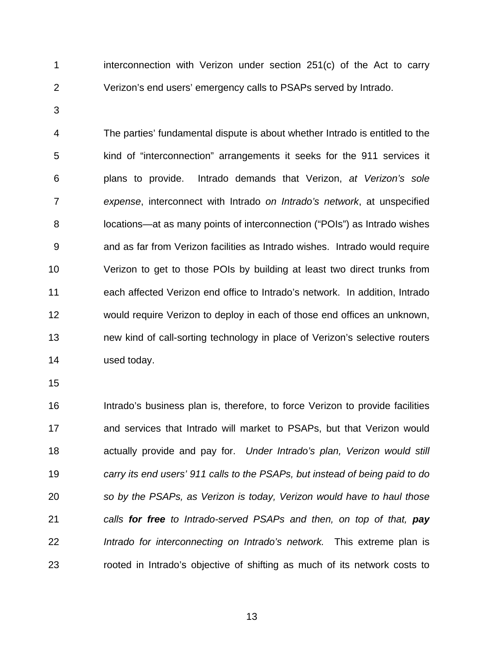1 2 interconnection with Verizon under section 251(c) of the Act to carry Verizon's end users' emergency calls to PSAPs served by Intrado.

3

4 5 6 7 8 9 10 11 12 13 14 The parties' fundamental dispute is about whether Intrado is entitled to the kind of "interconnection" arrangements it seeks for the 911 services it plans to provide. Intrado demands that Verizon, *at Verizon's sole expense*, interconnect with Intrado *on Intrado's network*, at unspecified locations—at as many points of interconnection ("POIs") as Intrado wishes and as far from Verizon facilities as Intrado wishes. Intrado would require Verizon to get to those POIs by building at least two direct trunks from each affected Verizon end office to Intrado's network. In addition, Intrado would require Verizon to deploy in each of those end offices an unknown, new kind of call-sorting technology in place of Verizon's selective routers used today.

15

16 17 18 19 20 21 22 23 Intrado's business plan is, therefore, to force Verizon to provide facilities and services that Intrado will market to PSAPs, but that Verizon would actually provide and pay for. *Under Intrado's plan, Verizon would still carry its end users' 911 calls to the PSAPs, but instead of being paid to do so by the PSAPs, as Verizon is today, Verizon would have to haul those calls for free to Intrado-served PSAPs and then, on top of that, pay Intrado for interconnecting on Intrado's network.* This extreme plan is rooted in Intrado's objective of shifting as much of its network costs to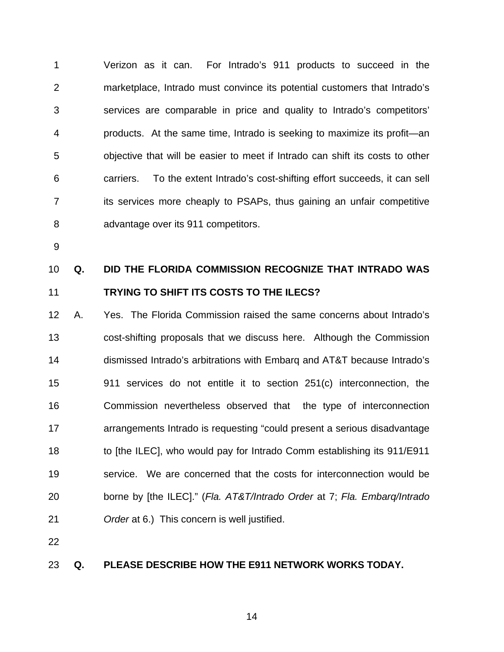1 2 3 4 5 6 7 8 Verizon as it can. For Intrado's 911 products to succeed in the marketplace, Intrado must convince its potential customers that Intrado's services are comparable in price and quality to Intrado's competitors' products. At the same time, Intrado is seeking to maximize its profit—an objective that will be easier to meet if Intrado can shift its costs to other carriers. To the extent Intrado's cost-shifting effort succeeds, it can sell its services more cheaply to PSAPs, thus gaining an unfair competitive advantage over its 911 competitors.

9

### 10 11 **Q. DID THE FLORIDA COMMISSION RECOGNIZE THAT INTRADO WAS TRYING TO SHIFT ITS COSTS TO THE ILECS?**

12 13 14 15 16 17 18 19 20 21 A. Yes. The Florida Commission raised the same concerns about Intrado's cost-shifting proposals that we discuss here. Although the Commission dismissed Intrado's arbitrations with Embarq and AT&T because Intrado's 911 services do not entitle it to section 251(c) interconnection, the Commission nevertheless observed that the type of interconnection arrangements Intrado is requesting "could present a serious disadvantage to [the ILEC], who would pay for Intrado Comm establishing its 911/E911 service. We are concerned that the costs for interconnection would be borne by [the ILEC]." (*Fla. AT&T/Intrado Order* at 7; *Fla. Embarq/Intrado Order* at 6.) This concern is well justified.

22

#### 23 **Q. PLEASE DESCRIBE HOW THE E911 NETWORK WORKS TODAY.**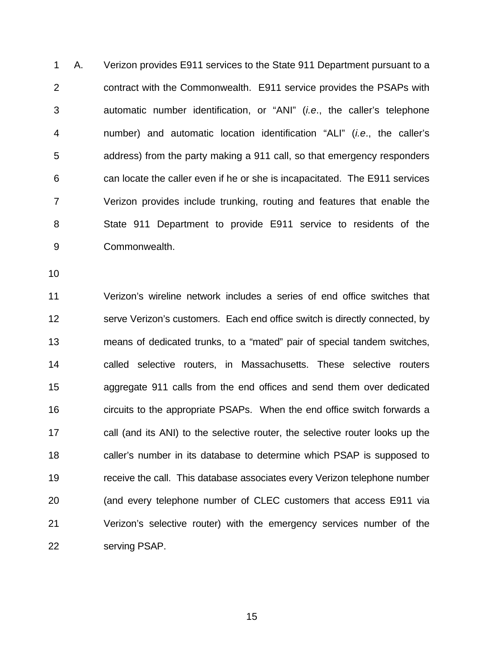1 2 3 4 5 6 7 8 9 A. Verizon provides E911 services to the State 911 Department pursuant to a contract with the Commonwealth. E911 service provides the PSAPs with automatic number identification, or "ANI" (*i.e*., the caller's telephone number) and automatic location identification "ALI" (*i.e*., the caller's address) from the party making a 911 call, so that emergency responders can locate the caller even if he or she is incapacitated. The E911 services Verizon provides include trunking, routing and features that enable the State 911 Department to provide E911 service to residents of the Commonwealth.

10

11 12 13 14 15 16 17 18 19 20 21 22 Verizon's wireline network includes a series of end office switches that serve Verizon's customers. Each end office switch is directly connected, by means of dedicated trunks, to a "mated" pair of special tandem switches, called selective routers, in Massachusetts. These selective routers aggregate 911 calls from the end offices and send them over dedicated circuits to the appropriate PSAPs. When the end office switch forwards a call (and its ANI) to the selective router, the selective router looks up the caller's number in its database to determine which PSAP is supposed to receive the call. This database associates every Verizon telephone number (and every telephone number of CLEC customers that access E911 via Verizon's selective router) with the emergency services number of the serving PSAP.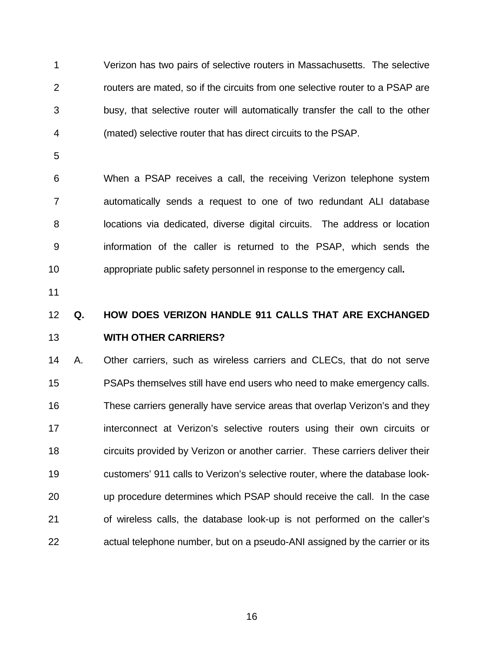1 2 3 4 Verizon has two pairs of selective routers in Massachusetts. The selective routers are mated, so if the circuits from one selective router to a PSAP are busy, that selective router will automatically transfer the call to the other (mated) selective router that has direct circuits to the PSAP.

5

6 7 8 9 10 When a PSAP receives a call, the receiving Verizon telephone system automatically sends a request to one of two redundant ALI database locations via dedicated, diverse digital circuits. The address or location information of the caller is returned to the PSAP, which sends the appropriate public safety personnel in response to the emergency call**.** 

11

## 12 13 **Q. HOW DOES VERIZON HANDLE 911 CALLS THAT ARE EXCHANGED WITH OTHER CARRIERS?**

14 15 16 17 18 19 20 21 22 A. Other carriers, such as wireless carriers and CLECs, that do not serve PSAPs themselves still have end users who need to make emergency calls. These carriers generally have service areas that overlap Verizon's and they interconnect at Verizon's selective routers using their own circuits or circuits provided by Verizon or another carrier. These carriers deliver their customers' 911 calls to Verizon's selective router, where the database lookup procedure determines which PSAP should receive the call. In the case of wireless calls, the database look-up is not performed on the caller's actual telephone number, but on a pseudo-ANI assigned by the carrier or its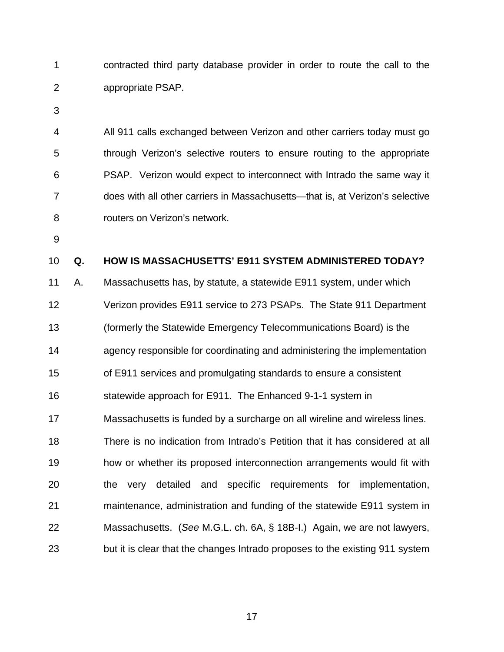1 2 contracted third party database provider in order to route the call to the appropriate PSAP.

3

4 5 6 7 8 All 911 calls exchanged between Verizon and other carriers today must go through Verizon's selective routers to ensure routing to the appropriate PSAP. Verizon would expect to interconnect with Intrado the same way it does with all other carriers in Massachusetts—that is, at Verizon's selective routers on Verizon's network.

9

#### 10 **Q. HOW IS MASSACHUSETTS' E911 SYSTEM ADMINISTERED TODAY?**

11 A. Massachusetts has, by statute, a statewide E911 system, under which 12 Verizon provides E911 service to 273 PSAPs. The State 911 Department 13 (formerly the Statewide Emergency Telecommunications Board) is the 14 agency responsible for coordinating and administering the implementation 15 of E911 services and promulgating standards to ensure a consistent 16 statewide approach for E911. The Enhanced 9-1-1 system in 17 Massachusetts is funded by a surcharge on all wireline and wireless lines. 18 19 20 21 22 23 There is no indication from Intrado's Petition that it has considered at all how or whether its proposed interconnection arrangements would fit with the very detailed and specific requirements for implementation, maintenance, administration and funding of the statewide E911 system in Massachusetts. (*See* M.G.L. ch. 6A, § 18B-I.) Again, we are not lawyers, but it is clear that the changes Intrado proposes to the existing 911 system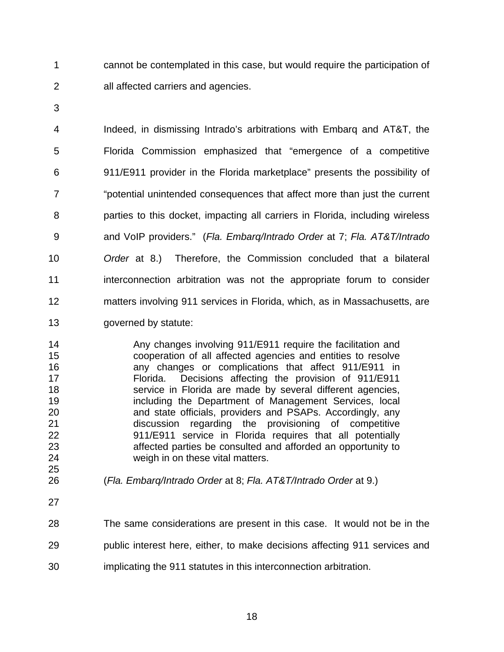1 2 cannot be contemplated in this case, but would require the participation of all affected carriers and agencies.

3

4 5 6 7 8 9 10 11 12 13 Indeed, in dismissing Intrado's arbitrations with Embarq and AT&T, the Florida Commission emphasized that "emergence of a competitive 911/E911 provider in the Florida marketplace" presents the possibility of "potential unintended consequences that affect more than just the current parties to this docket, impacting all carriers in Florida, including wireless and VoIP providers." (*Fla. Embarq/Intrado Order* at 7; *Fla. AT&T/Intrado Order* at 8.) Therefore, the Commission concluded that a bilateral interconnection arbitration was not the appropriate forum to consider matters involving 911 services in Florida, which, as in Massachusetts, are governed by statute:

14 15 16 17 18 19 20 21 22 23 24 Any changes involving 911/E911 require the facilitation and cooperation of all affected agencies and entities to resolve any changes or complications that affect 911/E911 in Florida. Decisions affecting the provision of 911/E911 service in Florida are made by several different agencies, including the Department of Management Services, local and state officials, providers and PSAPs. Accordingly, any discussion regarding the provisioning of competitive 911/E911 service in Florida requires that all potentially affected parties be consulted and afforded an opportunity to weigh in on these vital matters.

- (*Fla. Embarq/Intrado Order* at 8; *Fla. AT&T/Intrado Order* at 9.)
- 27

25 26

28 29 30 The same considerations are present in this case. It would not be in the public interest here, either, to make decisions affecting 911 services and implicating the 911 statutes in this interconnection arbitration.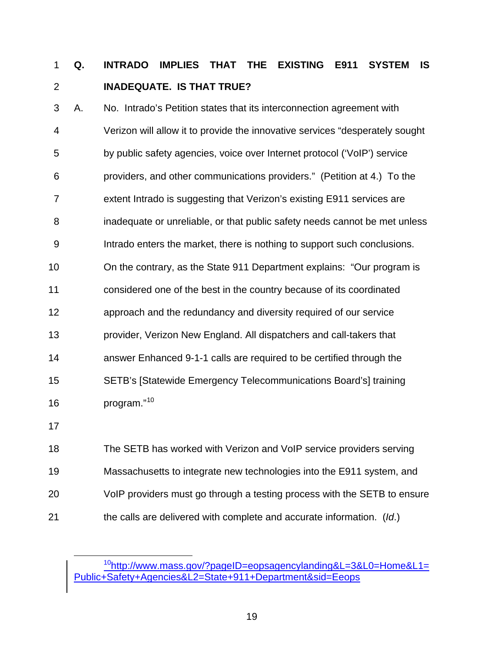## **Q. INTRADO IMPLIES THAT THE EXISTING E911 SYSTEM IS INADEQUATE. IS THAT TRUE?**  1 2

3 A. No. Intrado's Petition states that its interconnection agreement with 4 Verizon will allow it to provide the innovative services "desperately sought 5 by public safety agencies, voice over Internet protocol ('VoIP') service 6 providers, and other communications providers." (Petition at 4.) To the 7 extent Intrado is suggesting that Verizon's existing E911 services are 8 inadequate or unreliable, or that public safety needs cannot be met unless 9 Intrado enters the market, there is nothing to support such conclusions. 10 On the contrary, as the State 911 Department explains: "Our program is 11 considered one of the best in the country because of its coordinated 12 approach and the redundancy and diversity required of our service 13 provider, Verizon New England. All dispatchers and call-takers that 14 answer Enhanced 9-1-1 calls are required to be certified through the 15 SETB's [Statewide Emergency Telecommunications Board's] training 16 program."<sup>[10](#page-22-0)</sup>

17

18 The SETB has worked with Verizon and VoIP service providers serving 19 Massachusetts to integrate new technologies into the E911 system, and 20 VoIP providers must go through a testing process with the SETB to ensure 21 the calls are delivered with complete and accurate information. (*Id*.)

<span id="page-22-0"></span><sup>&</sup>lt;sup>10</sup>http://www.mass.gov/?pageID=eopsagencylanding&L=3&L0=Home&L1= Public+Safety+Agencies&L2=State+911+Department&sid=Eeops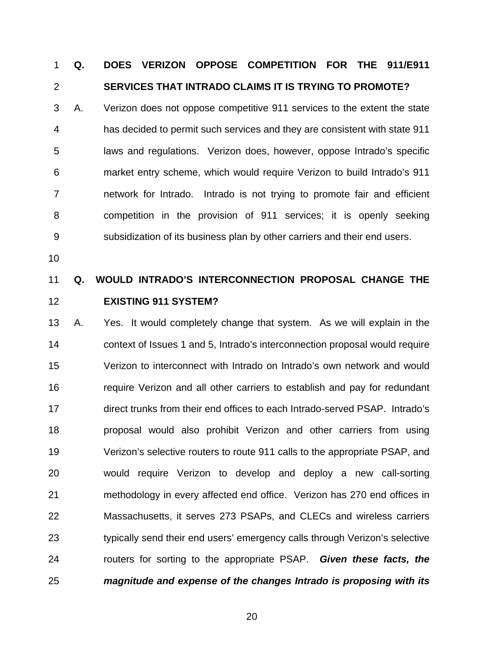## **Q. DOES VERIZON OPPOSE COMPETITION FOR THE 911/E911 SERVICES THAT INTRADO CLAIMS IT IS TRYING TO PROMOTE?**  1 2

3 4 5 6 7 8 9 A. Verizon does not oppose competitive 911 services to the extent the state has decided to permit such services and they are consistent with state 911 laws and regulations. Verizon does, however, oppose Intrado's specific market entry scheme, which would require Verizon to build Intrado's 911 network for Intrado. Intrado is not trying to promote fair and efficient competition in the provision of 911 services; it is openly seeking subsidization of its business plan by other carriers and their end users.

10

### 11 12 **Q. WOULD INTRADO'S INTERCONNECTION PROPOSAL CHANGE THE EXISTING 911 SYSTEM?**

13 14 15 16 17 18 19 20 21 22 23 24 25 A. Yes. It would completely change that system. As we will explain in the context of Issues 1 and 5, Intrado's interconnection proposal would require Verizon to interconnect with Intrado on Intrado's own network and would require Verizon and all other carriers to establish and pay for redundant direct trunks from their end offices to each Intrado-served PSAP. Intrado's proposal would also prohibit Verizon and other carriers from using Verizon's selective routers to route 911 calls to the appropriate PSAP, and would require Verizon to develop and deploy a new call-sorting methodology in every affected end office. Verizon has 270 end offices in Massachusetts, it serves 273 PSAPs, and CLECs and wireless carriers typically send their end users' emergency calls through Verizon's selective routers for sorting to the appropriate PSAP. *Given these facts, the magnitude and expense of the changes Intrado is proposing with its*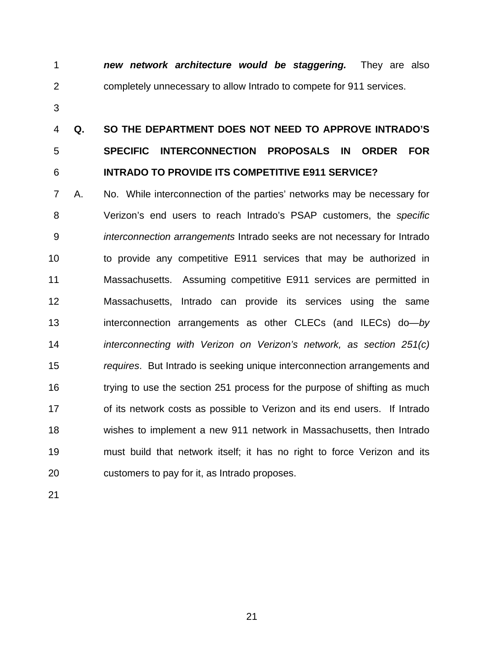*new network architecture would be staggering.* They are also completely unnecessary to allow Intrado to compete for 911 services. 1 2

3

## 4 5 6 **Q. SO THE DEPARTMENT DOES NOT NEED TO APPROVE INTRADO'S SPECIFIC INTERCONNECTION PROPOSALS IN ORDER FOR INTRADO TO PROVIDE ITS COMPETITIVE E911 SERVICE?**

7 8 9 10 11 12 13 14 15 16 17 18 19 20 A. No. While interconnection of the parties' networks may be necessary for Verizon's end users to reach Intrado's PSAP customers, the *specific interconnection arrangements* Intrado seeks are not necessary for Intrado to provide any competitive E911 services that may be authorized in Massachusetts. Assuming competitive E911 services are permitted in Massachusetts, Intrado can provide its services using the same interconnection arrangements as other CLECs (and ILECs) do—*by interconnecting with Verizon on Verizon's network, as section 251(c) requires*. But Intrado is seeking unique interconnection arrangements and trying to use the section 251 process for the purpose of shifting as much of its network costs as possible to Verizon and its end users. If Intrado wishes to implement a new 911 network in Massachusetts, then Intrado must build that network itself; it has no right to force Verizon and its customers to pay for it, as Intrado proposes.

21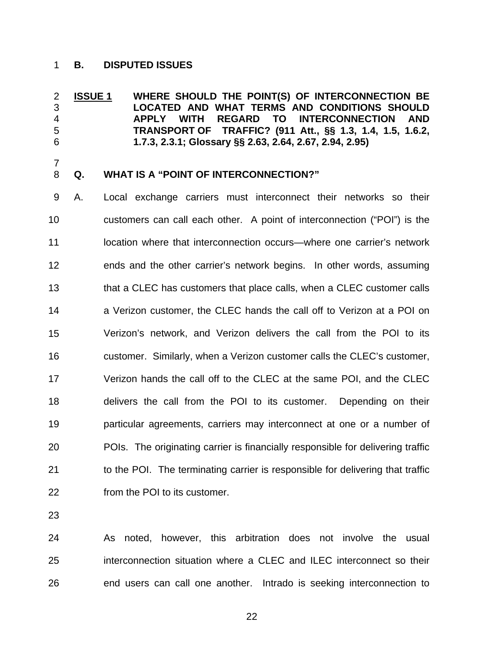# 1 **B. DISPUTED ISSUES**

**ISSUE 1 WHERE SHOULD THE POINT(S) OF INTERCONNECTION BE LOCATED AND WHAT TERMS AND CONDITIONS SHOULD APPLY WITH REGARD TO INTERCONNECTION AND TRANSPORT OF TRAFFIC? (911 Att., §§ 1.3, 1.4, 1.5, 1.6.2, 1.7.3, 2.3.1; Glossary §§ 2.63, 2.64, 2.67, 2.94, 2.95)**  2 3 4 5 6

7 8

## **Q. WHAT IS A "POINT OF INTERCONNECTION?"**

9 10 11 12 13 14 15 16 17 18 19 20 21 22 A. Local exchange carriers must interconnect their networks so their customers can call each other. A point of interconnection ("POI") is the location where that interconnection occurs—where one carrier's network ends and the other carrier's network begins. In other words, assuming that a CLEC has customers that place calls, when a CLEC customer calls a Verizon customer, the CLEC hands the call off to Verizon at a POI on Verizon's network, and Verizon delivers the call from the POI to its customer. Similarly, when a Verizon customer calls the CLEC's customer, Verizon hands the call off to the CLEC at the same POI, and the CLEC delivers the call from the POI to its customer. Depending on their particular agreements, carriers may interconnect at one or a number of POIs. The originating carrier is financially responsible for delivering traffic to the POI. The terminating carrier is responsible for delivering that traffic from the POI to its customer.

23

24 25 26 As noted, however, this arbitration does not involve the usual interconnection situation where a CLEC and ILEC interconnect so their end users can call one another. Intrado is seeking interconnection to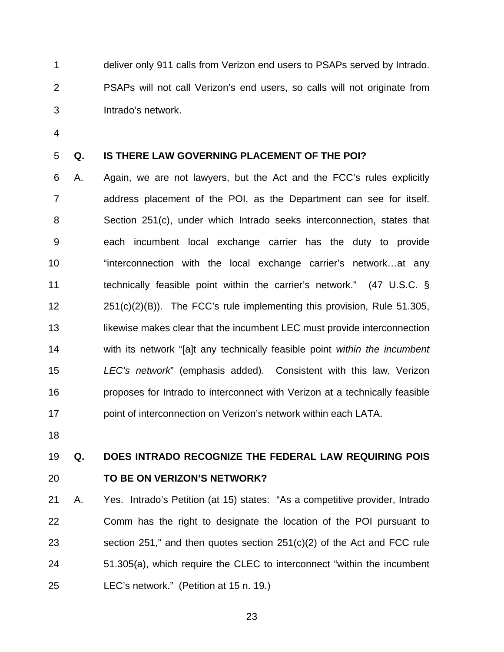1 2 3 deliver only 911 calls from Verizon end users to PSAPs served by Intrado. PSAPs will not call Verizon's end users, so calls will not originate from Intrado's network.

4

#### 5 **Q. IS THERE LAW GOVERNING PLACEMENT OF THE POI?**

6 7 8 9 10 11 12 13 14 15 16 17 A. Again, we are not lawyers, but the Act and the FCC's rules explicitly address placement of the POI, as the Department can see for itself. Section 251(c), under which Intrado seeks interconnection, states that each incumbent local exchange carrier has the duty to provide "interconnection with the local exchange carrier's network…at any technically feasible point within the carrier's network." (47 U.S.C. §  $251(c)(2)(B)$ . The FCC's rule implementing this provision, Rule 51.305, likewise makes clear that the incumbent LEC must provide interconnection with its network "[a]t any technically feasible point *within the incumbent LEC's network*" (emphasis added). Consistent with this law, Verizon proposes for Intrado to interconnect with Verizon at a technically feasible point of interconnection on Verizon's network within each LATA.

18

### 19 20 **Q. DOES INTRADO RECOGNIZE THE FEDERAL LAW REQUIRING POIS TO BE ON VERIZON'S NETWORK?**

21 22 23 24 25 A. Yes. Intrado's Petition (at 15) states: "As a competitive provider, Intrado Comm has the right to designate the location of the POI pursuant to section 251," and then quotes section 251(c)(2) of the Act and FCC rule 51.305(a), which require the CLEC to interconnect "within the incumbent LEC's network." (Petition at 15 n. 19.)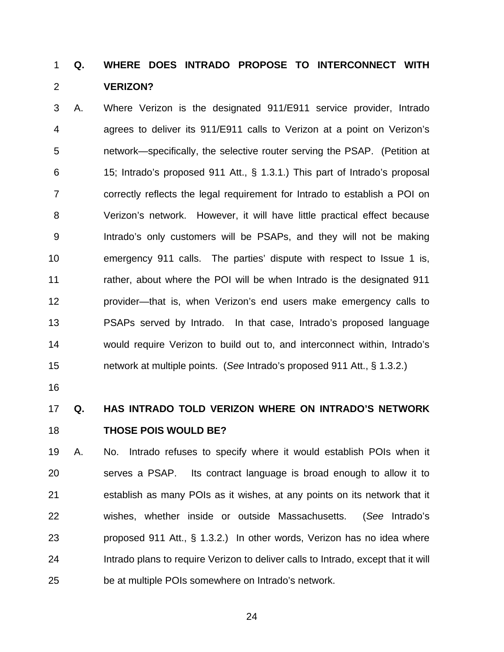### **Q. WHERE DOES INTRADO PROPOSE TO INTERCONNECT WITH VERIZON?**  1 2

3 4 5 6 7 8 9 10 11 12 13 14 15 A. Where Verizon is the designated 911/E911 service provider, Intrado agrees to deliver its 911/E911 calls to Verizon at a point on Verizon's network—specifically, the selective router serving the PSAP. (Petition at 15; Intrado's proposed 911 Att., § 1.3.1.) This part of Intrado's proposal correctly reflects the legal requirement for Intrado to establish a POI on Verizon's network. However, it will have little practical effect because Intrado's only customers will be PSAPs, and they will not be making emergency 911 calls. The parties' dispute with respect to Issue 1 is, rather, about where the POI will be when Intrado is the designated 911 provider—that is, when Verizon's end users make emergency calls to PSAPs served by Intrado. In that case, Intrado's proposed language would require Verizon to build out to, and interconnect within, Intrado's network at multiple points. (*See* Intrado's proposed 911 Att., § 1.3.2.)

16

17 18 **Q. HAS INTRADO TOLD VERIZON WHERE ON INTRADO'S NETWORK THOSE POIS WOULD BE?** 

19 20 21 22 23 24 25 A. No. Intrado refuses to specify where it would establish POIs when it serves a PSAP. Its contract language is broad enough to allow it to establish as many POIs as it wishes, at any points on its network that it wishes, whether inside or outside Massachusetts. (*See* Intrado's proposed 911 Att., § 1.3.2.) In other words, Verizon has no idea where Intrado plans to require Verizon to deliver calls to Intrado, except that it will be at multiple POIs somewhere on Intrado's network.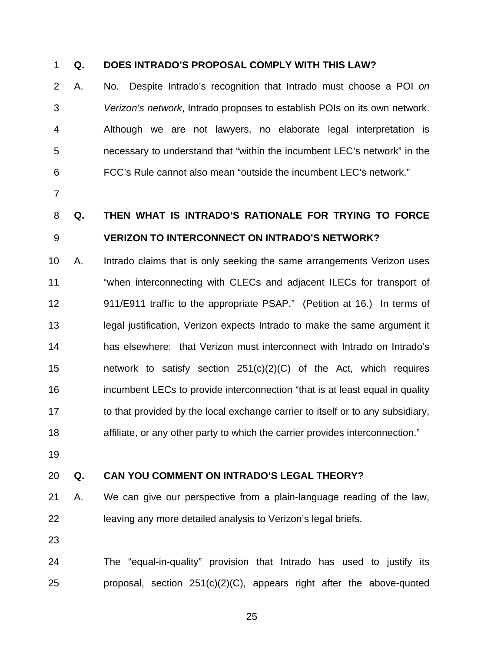# 1 **Q. DOES INTRADO'S PROPOSAL COMPLY WITH THIS LAW?**

2 3 4 5 6 A. No. Despite Intrado's recognition that Intrado must choose a POI *on Verizon's network*, Intrado proposes to establish POIs on its own network. Although we are not lawyers, no elaborate legal interpretation is necessary to understand that "within the incumbent LEC's network" in the FCC's Rule cannot also mean "outside the incumbent LEC's network."

7

**Q. THEN WHAT IS INTRADO'S RATIONALE FOR TRYING TO FORCE** 

# 8 9 **VERIZON TO INTERCONNECT ON INTRADO'S NETWORK?**

10 11 12 13 14 15 16 17 18 A. Intrado claims that is only seeking the same arrangements Verizon uses "when interconnecting with CLECs and adjacent ILECs for transport of 911/E911 traffic to the appropriate PSAP." (Petition at 16.) In terms of legal justification, Verizon expects Intrado to make the same argument it has elsewhere: that Verizon must interconnect with Intrado on Intrado's network to satisfy section  $251(c)(2)(C)$  of the Act, which requires incumbent LECs to provide interconnection "that is at least equal in quality to that provided by the local exchange carrier to itself or to any subsidiary, affiliate, or any other party to which the carrier provides interconnection."

19

#### 20 **Q. CAN YOU COMMENT ON INTRADO'S LEGAL THEORY?**

21 22 A. We can give our perspective from a plain-language reading of the law, leaving any more detailed analysis to Verizon's legal briefs.

23

24 25 The "equal-in-quality" provision that Intrado has used to justify its proposal, section 251(c)(2)(C), appears right after the above-quoted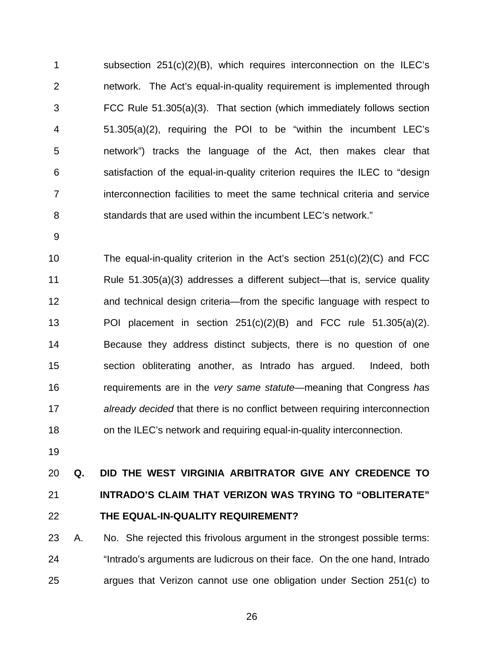1 2 3 4 5 6 7 8 subsection 251(c)(2)(B), which requires interconnection on the ILEC's network. The Act's equal-in-quality requirement is implemented through FCC Rule 51.305(a)(3). That section (which immediately follows section 51.305(a)(2), requiring the POI to be "within the incumbent LEC's network") tracks the language of the Act, then makes clear that satisfaction of the equal-in-quality criterion requires the ILEC to "design interconnection facilities to meet the same technical criteria and service standards that are used within the incumbent LEC's network."

9

10 11 12 13 14 15 16 17 18 The equal-in-quality criterion in the Act's section  $251(c)(2)(C)$  and FCC Rule 51.305(a)(3) addresses a different subject—that is, service quality and technical design criteria—from the specific language with respect to POI placement in section  $251(c)(2)(B)$  and FCC rule  $51.305(a)(2)$ . Because they address distinct subjects, there is no question of one section obliterating another, as Intrado has argued. Indeed, both requirements are in the *very same statute*—meaning that Congress *has already decided* that there is no conflict between requiring interconnection on the ILEC's network and requiring equal-in-quality interconnection.

19

## 20 21 22 **Q. DID THE WEST VIRGINIA ARBITRATOR GIVE ANY CREDENCE TO INTRADO'S CLAIM THAT VERIZON WAS TRYING TO "OBLITERATE" THE EQUAL-IN-QUALITY REQUIREMENT?**

23 24 25 A. No. She rejected this frivolous argument in the strongest possible terms: "Intrado's arguments are ludicrous on their face. On the one hand, Intrado argues that Verizon cannot use one obligation under Section 251(c) to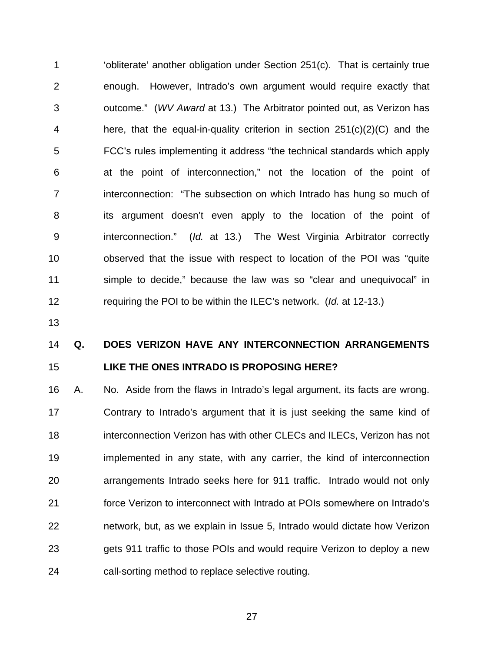1 2 3 4 5 6 7 8 9 10 11 12 'obliterate' another obligation under Section 251(c). That is certainly true enough. However, Intrado's own argument would require exactly that outcome." (*WV Award* at 13.) The Arbitrator pointed out, as Verizon has here, that the equal-in-quality criterion in section 251(c)(2)(C) and the FCC's rules implementing it address "the technical standards which apply at the point of interconnection," not the location of the point of interconnection: "The subsection on which Intrado has hung so much of its argument doesn't even apply to the location of the point of interconnection." (*Id.* at 13.) The West Virginia Arbitrator correctly observed that the issue with respect to location of the POI was "quite simple to decide," because the law was so "clear and unequivocal" in requiring the POI to be within the ILEC's network. (*Id.* at 12-13.)

13

## 14 15 **Q. DOES VERIZON HAVE ANY INTERCONNECTION ARRANGEMENTS LIKE THE ONES INTRADO IS PROPOSING HERE?**

16 17 18 19 20 21 22 23 24 A. No. Aside from the flaws in Intrado's legal argument, its facts are wrong. Contrary to Intrado's argument that it is just seeking the same kind of interconnection Verizon has with other CLECs and ILECs, Verizon has not implemented in any state, with any carrier, the kind of interconnection arrangements Intrado seeks here for 911 traffic. Intrado would not only force Verizon to interconnect with Intrado at POIs somewhere on Intrado's network, but, as we explain in Issue 5, Intrado would dictate how Verizon gets 911 traffic to those POIs and would require Verizon to deploy a new call-sorting method to replace selective routing.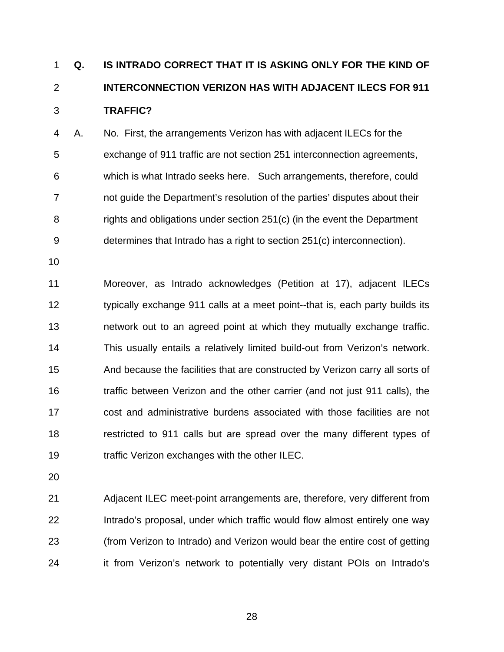## **Q. IS INTRADO CORRECT THAT IT IS ASKING ONLY FOR THE KIND OF INTERCONNECTION VERIZON HAS WITH ADJACENT ILECS FOR 911 TRAFFIC?**  1 2 3

4 5 6 7 8 9 A. No.First, the arrangements Verizon has with adjacent ILECs for the exchange of 911 traffic are not section 251 interconnection agreements, which is what Intrado seeks here. Such arrangements, therefore, could not guide the Department's resolution of the parties' disputes about their rights and obligations under section 251(c) (in the event the Department determines that Intrado has a right to section 251(c) interconnection).

10

11 12 13 14 15 16 17 18 19 Moreover, as Intrado acknowledges (Petition at 17), adjacent ILECs typically exchange 911 calls at a meet point--that is, each party builds its network out to an agreed point at which they mutually exchange traffic. This usually entails a relatively limited build-out from Verizon's network. And because the facilities that are constructed by Verizon carry all sorts of traffic between Verizon and the other carrier (and not just 911 calls), the cost and administrative burdens associated with those facilities are not restricted to 911 calls but are spread over the many different types of traffic Verizon exchanges with the other ILEC.

20

21 22 23 24 Adjacent ILEC meet-point arrangements are, therefore, very different from Intrado's proposal, under which traffic would flow almost entirely one way (from Verizon to Intrado) and Verizon would bear the entire cost of getting it from Verizon's network to potentially very distant POIs on Intrado's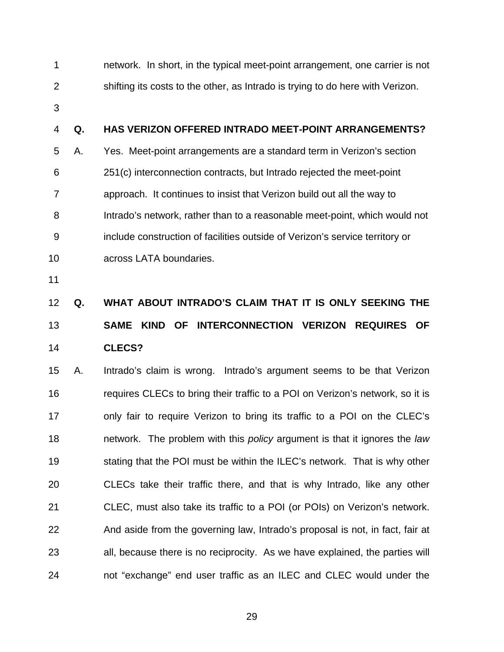1 2 network. In short, in the typical meet-point arrangement, one carrier is not shifting its costs to the other, as Intrado is trying to do here with Verizon.

3

#### 4 **Q. HAS VERIZON OFFERED INTRADO MEET-POINT ARRANGEMENTS?**

5 6 7 8 9 10 A. Yes. Meet-point arrangements are a standard term in Verizon's section 251(c) interconnection contracts, but Intrado rejected the meet-point approach. It continues to insist that Verizon build out all the way to Intrado's network, rather than to a reasonable meet-point, which would not include construction of facilities outside of Verizon's service territory or across LATA boundaries.

11

## 12 13 14 **Q. WHAT ABOUT INTRADO'S CLAIM THAT IT IS ONLY SEEKING THE SAME KIND OF INTERCONNECTION VERIZON REQUIRES OF CLECS?**

15 16 17 18 19 20 21 22 23 24 A. Intrado's claim is wrong. Intrado's argument seems to be that Verizon requires CLECs to bring their traffic to a POI on Verizon's network, so it is only fair to require Verizon to bring its traffic to a POI on the CLEC's network. The problem with this *policy* argument is that it ignores the *law*  stating that the POI must be within the ILEC's network. That is why other CLECs take their traffic there, and that is why Intrado, like any other CLEC, must also take its traffic to a POI (or POIs) on Verizon's network. And aside from the governing law, Intrado's proposal is not, in fact, fair at all, because there is no reciprocity. As we have explained, the parties will not "exchange" end user traffic as an ILEC and CLEC would under the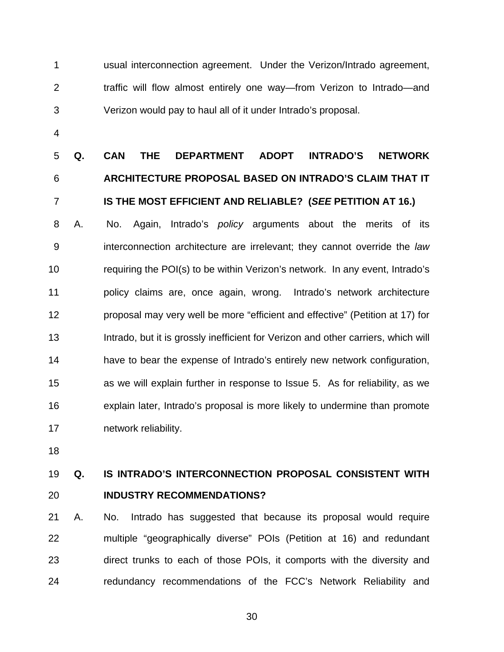1 2 3 usual interconnection agreement. Under the Verizon/Intrado agreement, traffic will flow almost entirely one way—from Verizon to Intrado—and Verizon would pay to haul all of it under Intrado's proposal.

4

## 5 6 7 **Q. CAN THE DEPARTMENT ADOPT INTRADO'S NETWORK ARCHITECTURE PROPOSAL BASED ON INTRADO'S CLAIM THAT IT IS THE MOST EFFICIENT AND RELIABLE? (***SEE* **PETITION AT 16.)**

8 9 10 11 12 13 14 15 16 17 A. No. Again, Intrado's *policy* arguments about the merits of its interconnection architecture are irrelevant; they cannot override the *law* requiring the POI(s) to be within Verizon's network. In any event, Intrado's policy claims are, once again, wrong. Intrado's network architecture proposal may very well be more "efficient and effective" (Petition at 17) for Intrado, but it is grossly inefficient for Verizon and other carriers, which will have to bear the expense of Intrado's entirely new network configuration, as we will explain further in response to Issue 5. As for reliability, as we explain later, Intrado's proposal is more likely to undermine than promote network reliability.

18

## 19 20 **Q. IS INTRADO'S INTERCONNECTION PROPOSAL CONSISTENT WITH INDUSTRY RECOMMENDATIONS?**

21 22 23 24 A. No. Intrado has suggested that because its proposal would require multiple "geographically diverse" POIs (Petition at 16) and redundant direct trunks to each of those POIs, it comports with the diversity and redundancy recommendations of the FCC's Network Reliability and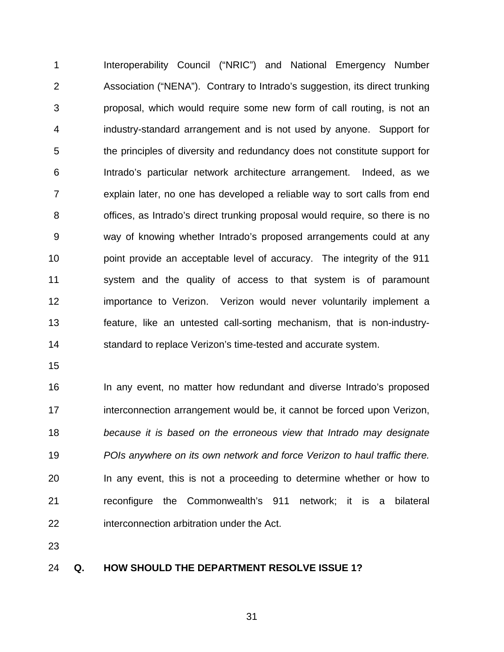1 2 3 4 5 6 7 8 9 10 11 12 13 14 Interoperability Council ("NRIC") and National Emergency Number Association ("NENA"). Contrary to Intrado's suggestion, its direct trunking proposal, which would require some new form of call routing, is not an industry-standard arrangement and is not used by anyone. Support for the principles of diversity and redundancy does not constitute support for Intrado's particular network architecture arrangement. Indeed, as we explain later, no one has developed a reliable way to sort calls from end offices, as Intrado's direct trunking proposal would require, so there is no way of knowing whether Intrado's proposed arrangements could at any point provide an acceptable level of accuracy. The integrity of the 911 system and the quality of access to that system is of paramount importance to Verizon. Verizon would never voluntarily implement a feature, like an untested call-sorting mechanism, that is non-industrystandard to replace Verizon's time-tested and accurate system.

15

16 17 18 19 20 21 22 In any event, no matter how redundant and diverse Intrado's proposed interconnection arrangement would be, it cannot be forced upon Verizon, *because it is based on the erroneous view that Intrado may designate POIs anywhere on its own network and force Verizon to haul traffic there.* In any event, this is not a proceeding to determine whether or how to reconfigure the Commonwealth's 911 network; it is a bilateral interconnection arbitration under the Act.

23

#### 24 **Q. HOW SHOULD THE DEPARTMENT RESOLVE ISSUE 1?**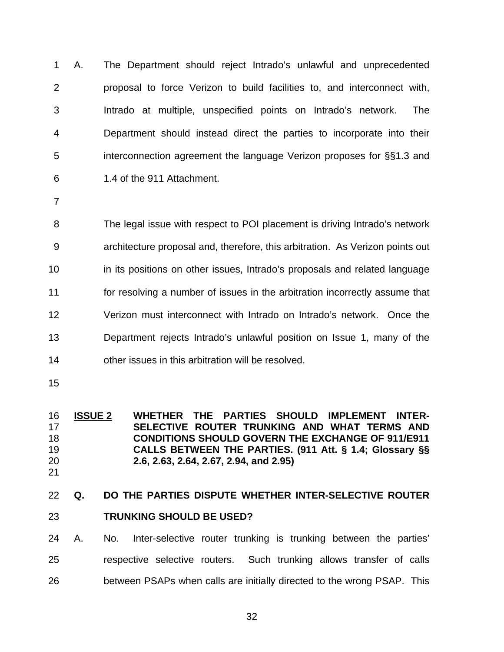1 2 3 4 5 6 A. The Department should reject Intrado's unlawful and unprecedented proposal to force Verizon to build facilities to, and interconnect with, Intrado at multiple, unspecified points on Intrado's network. The Department should instead direct the parties to incorporate into their interconnection agreement the language Verizon proposes for §§1.3 and 1.4 of the 911 Attachment.

7

8 9 10 11 12 13 14 The legal issue with respect to POI placement is driving Intrado's network architecture proposal and, therefore, this arbitration. As Verizon points out in its positions on other issues, Intrado's proposals and related language for resolving a number of issues in the arbitration incorrectly assume that Verizon must interconnect with Intrado on Intrado's network. Once the Department rejects Intrado's unlawful position on Issue 1, many of the other issues in this arbitration will be resolved.

15

### **ISSUE 2 WHETHER THE PARTIES SHOULD IMPLEMENT INTER-SELECTIVE ROUTER TRUNKING AND WHAT TERMS AND CONDITIONS SHOULD GOVERN THE EXCHANGE OF 911/E911 CALLS BETWEEN THE PARTIES. (911 Att. § 1.4; Glossary §§ 2.6, 2.63, 2.64, 2.67, 2.94, and 2.95)** 16 17 18 19 20

21

### 22 **Q. DO THE PARTIES DISPUTE WHETHER INTER-SELECTIVE ROUTER**

### 23 **TRUNKING SHOULD BE USED?**

24 25 26 A. No. Inter-selective router trunking is trunking between the parties' respective selective routers. Such trunking allows transfer of calls between PSAPs when calls are initially directed to the wrong PSAP. This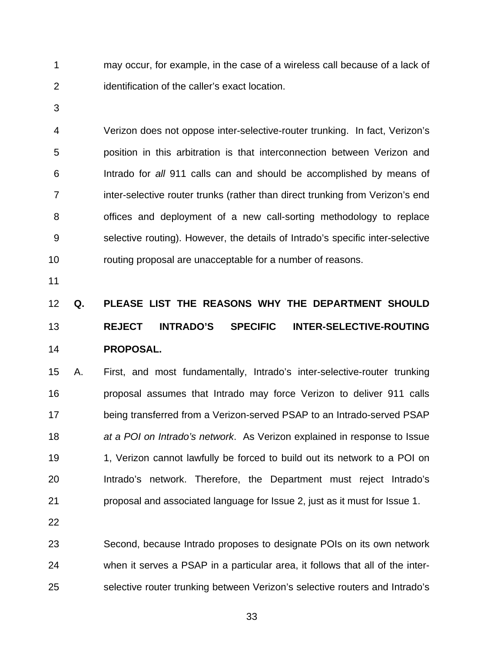1 2 may occur, for example, in the case of a wireless call because of a lack of identification of the caller's exact location.

3

4 5 6 7 8 9 10 Verizon does not oppose inter-selective-router trunking. In fact, Verizon's position in this arbitration is that interconnection between Verizon and Intrado for *all* 911 calls can and should be accomplished by means of inter-selective router trunks (rather than direct trunking from Verizon's end offices and deployment of a new call-sorting methodology to replace selective routing). However, the details of Intrado's specific inter-selective routing proposal are unacceptable for a number of reasons.

11

# 12 13 14 **Q. PLEASE LIST THE REASONS WHY THE DEPARTMENT SHOULD REJECT INTRADO'S SPECIFIC INTER-SELECTIVE-ROUTING PROPOSAL.**

15 16 17 18 19 20 21 A. First, and most fundamentally, Intrado's inter-selective-router trunking proposal assumes that Intrado may force Verizon to deliver 911 calls being transferred from a Verizon-served PSAP to an Intrado-served PSAP *at a POI on Intrado's network*. As Verizon explained in response to Issue 1, Verizon cannot lawfully be forced to build out its network to a POI on Intrado's network. Therefore, the Department must reject Intrado's proposal and associated language for Issue 2, just as it must for Issue 1.

22

23 24 25 Second, because Intrado proposes to designate POIs on its own network when it serves a PSAP in a particular area, it follows that all of the interselective router trunking between Verizon's selective routers and Intrado's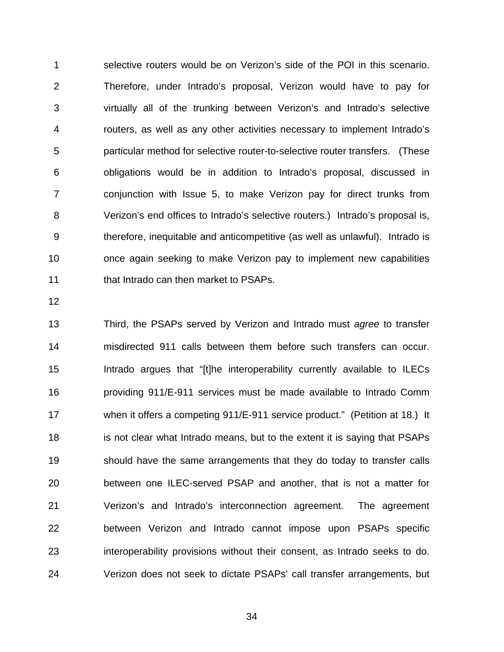1 2 3 4 5 6 7 8 9 10 11 selective routers would be on Verizon's side of the POI in this scenario. Therefore, under Intrado's proposal, Verizon would have to pay for virtually all of the trunking between Verizon's and Intrado's selective routers, as well as any other activities necessary to implement Intrado's particular method for selective router-to-selective router transfers. (These obligations would be in addition to Intrado's proposal, discussed in conjunction with Issue 5, to make Verizon pay for direct trunks from Verizon's end offices to Intrado's selective routers.) Intrado's proposal is, therefore, inequitable and anticompetitive (as well as unlawful). Intrado is once again seeking to make Verizon pay to implement new capabilities that Intrado can then market to PSAPs.

12

13 14 15 16 17 18 19 20 21 22 23 24 Third, the PSAPs served by Verizon and Intrado must *agree* to transfer misdirected 911 calls between them before such transfers can occur. Intrado argues that "[t]he interoperability currently available to ILECs providing 911/E-911 services must be made available to Intrado Comm when it offers a competing 911/E-911 service product." (Petition at 18.) It is not clear what Intrado means, but to the extent it is saying that PSAPs should have the same arrangements that they do today to transfer calls between one ILEC-served PSAP and another, that is not a matter for Verizon's and Intrado's interconnection agreement. The agreement between Verizon and Intrado cannot impose upon PSAPs specific interoperability provisions without their consent, as Intrado seeks to do. Verizon does not seek to dictate PSAPs' call transfer arrangements, but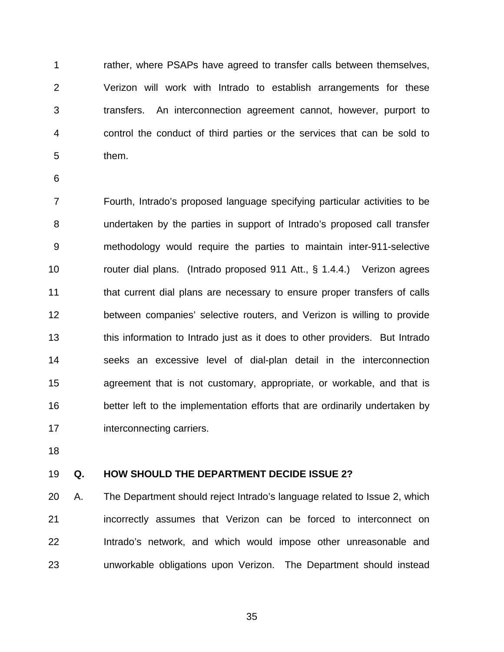1 2 3 4 5 rather, where PSAPs have agreed to transfer calls between themselves, Verizon will work with Intrado to establish arrangements for these transfers. An interconnection agreement cannot, however, purport to control the conduct of third parties or the services that can be sold to them.

6

7 8 9 10 11 12 13 14 15 16 17 Fourth, Intrado's proposed language specifying particular activities to be undertaken by the parties in support of Intrado's proposed call transfer methodology would require the parties to maintain inter-911-selective router dial plans. (Intrado proposed 911 Att., § 1.4.4.) Verizon agrees that current dial plans are necessary to ensure proper transfers of calls between companies' selective routers, and Verizon is willing to provide this information to Intrado just as it does to other providers. But Intrado seeks an excessive level of dial-plan detail in the interconnection agreement that is not customary, appropriate, or workable, and that is better left to the implementation efforts that are ordinarily undertaken by interconnecting carriers.

18

#### 19 **Q. HOW SHOULD THE DEPARTMENT DECIDE ISSUE 2?**

20 21 22 23 A. The Department should reject Intrado's language related to Issue 2, which incorrectly assumes that Verizon can be forced to interconnect on Intrado's network, and which would impose other unreasonable and unworkable obligations upon Verizon. The Department should instead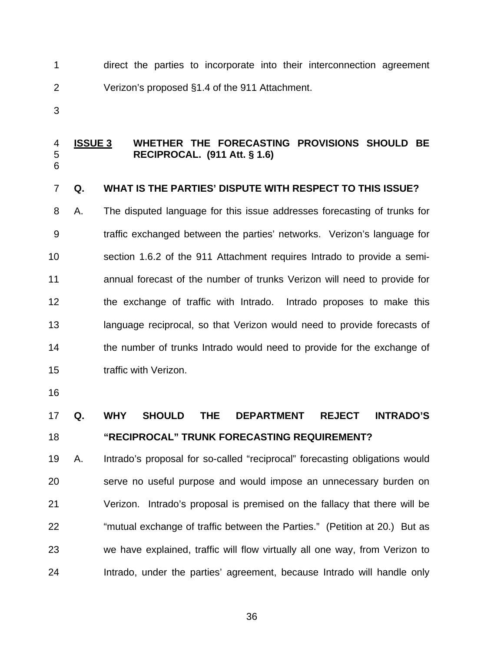1 2 direct the parties to incorporate into their interconnection agreement Verizon's proposed §1.4 of the 911 Attachment.

3

6

#### **ISSUE 3 WHETHER THE FORECASTING PROVISIONS SHOULD BE RECIPROCAL. (911 Att. § 1.6)** 4 5

#### 7 **Q. WHAT IS THE PARTIES' DISPUTE WITH RESPECT TO THIS ISSUE?**

8 9 10 11 12 13 14 15 A. The disputed language for this issue addresses forecasting of trunks for traffic exchanged between the parties' networks. Verizon's language for section 1.6.2 of the 911 Attachment requires Intrado to provide a semiannual forecast of the number of trunks Verizon will need to provide for the exchange of traffic with Intrado. Intrado proposes to make this language reciprocal, so that Verizon would need to provide forecasts of the number of trunks Intrado would need to provide for the exchange of traffic with Verizon.

16

### 17 18 **Q. WHY SHOULD THE DEPARTMENT REJECT INTRADO'S "RECIPROCAL" TRUNK FORECASTING REQUIREMENT?**

19 20 21 22 23 24 A. Intrado's proposal for so-called "reciprocal" forecasting obligations would serve no useful purpose and would impose an unnecessary burden on Verizon. Intrado's proposal is premised on the fallacy that there will be "mutual exchange of traffic between the Parties." (Petition at 20.) But as we have explained, traffic will flow virtually all one way, from Verizon to Intrado, under the parties' agreement, because Intrado will handle only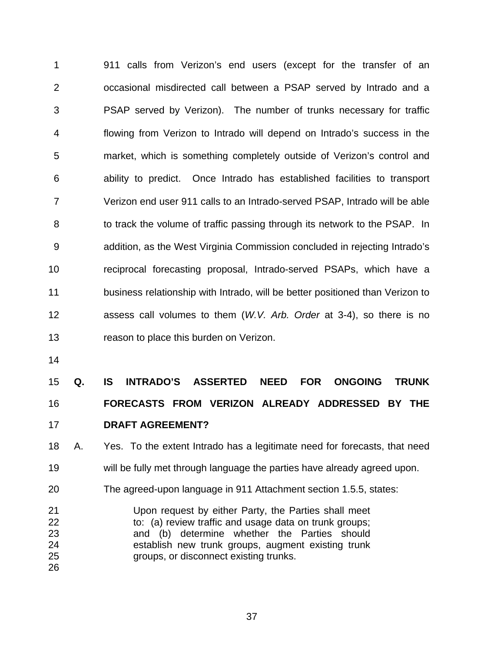1 2 3 4 5 6 7 8 9 10 11 12 13 911 calls from Verizon's end users (except for the transfer of an occasional misdirected call between a PSAP served by Intrado and a PSAP served by Verizon). The number of trunks necessary for traffic flowing from Verizon to Intrado will depend on Intrado's success in the market, which is something completely outside of Verizon's control and ability to predict. Once Intrado has established facilities to transport Verizon end user 911 calls to an Intrado-served PSAP, Intrado will be able to track the volume of traffic passing through its network to the PSAP. In addition, as the West Virginia Commission concluded in rejecting Intrado's reciprocal forecasting proposal, Intrado-served PSAPs, which have a business relationship with Intrado, will be better positioned than Verizon to assess call volumes to them (*W.V. Arb. Order* at 3-4), so there is no reason to place this burden on Verizon.

14

#### 15 16 **Q. IS INTRADO'S ASSERTED NEED FOR ONGOING TRUNK FORECASTS FROM VERIZON ALREADY ADDRESSED BY THE**

- 17 **DRAFT AGREEMENT?**
- 18 19 A. Yes. To the extent Intrado has a legitimate need for forecasts, that need will be fully met through language the parties have already agreed upon.
- 20 The agreed-upon language in 911 Attachment section 1.5.5, states:
- 21 22 23 24 25 26 Upon request by either Party, the Parties shall meet to: (a) review traffic and usage data on trunk groups; and (b) determine whether the Parties should establish new trunk groups, augment existing trunk groups, or disconnect existing trunks.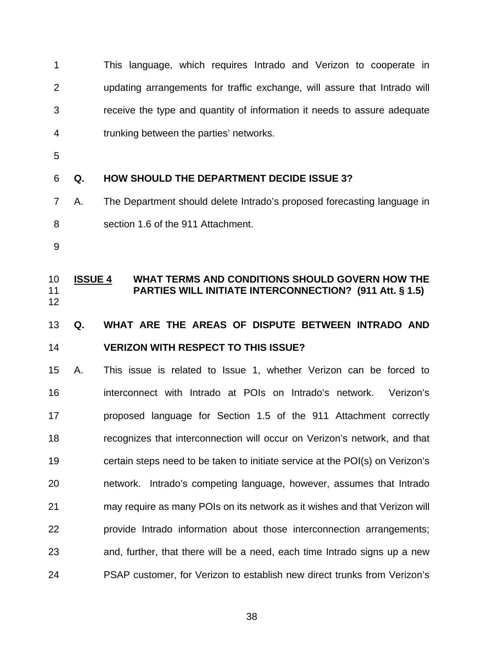1 2 3 4 This language, which requires Intrado and Verizon to cooperate in updating arrangements for traffic exchange, will assure that Intrado will receive the type and quantity of information it needs to assure adequate trunking between the parties' networks.

5

6 **Q. HOW SHOULD THE DEPARTMENT DECIDE ISSUE 3?** 

- 7 8 A. The Department should delete Intrado's proposed forecasting language in section 1.6 of the 911 Attachment.
- 9

**ISSUE 4 WHAT TERMS AND CONDITIONS SHOULD GOVERN HOW THE PARTIES WILL INITIATE INTERCONNECTION? (911 Att. § 1.5)** 10 11 12

### 13 14 **Q. WHAT ARE THE AREAS OF DISPUTE BETWEEN INTRADO AND VERIZON WITH RESPECT TO THIS ISSUE?**

15 16 17 18 19 20 21 22 23 24 A. This issue is related to Issue 1, whether Verizon can be forced to interconnect with Intrado at POIs on Intrado's network. Verizon's proposed language for Section 1.5 of the 911 Attachment correctly recognizes that interconnection will occur on Verizon's network, and that certain steps need to be taken to initiate service at the POI(s) on Verizon's network. Intrado's competing language, however, assumes that Intrado may require as many POIs on its network as it wishes and that Verizon will provide Intrado information about those interconnection arrangements; and, further, that there will be a need, each time Intrado signs up a new PSAP customer, for Verizon to establish new direct trunks from Verizon's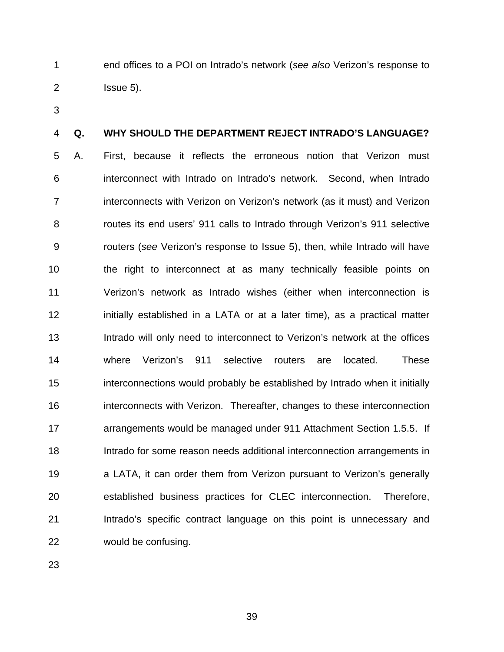1 2 end offices to a POI on Intrado's network (*see also* Verizon's response to Issue 5).

3

#### 4 **Q. WHY SHOULD THE DEPARTMENT REJECT INTRADO'S LANGUAGE?**

5 6 7 8 9 10 11 12 13 14 15 16 17 18 19 20 21 22 A. First, because it reflects the erroneous notion that Verizon must interconnect with Intrado on Intrado's network. Second, when Intrado interconnects with Verizon on Verizon's network (as it must) and Verizon routes its end users' 911 calls to Intrado through Verizon's 911 selective routers (*see* Verizon's response to Issue 5), then, while Intrado will have the right to interconnect at as many technically feasible points on Verizon's network as Intrado wishes (either when interconnection is initially established in a LATA or at a later time), as a practical matter Intrado will only need to interconnect to Verizon's network at the offices where Verizon's 911 selective routers are located. These interconnections would probably be established by Intrado when it initially interconnects with Verizon. Thereafter, changes to these interconnection arrangements would be managed under 911 Attachment Section 1.5.5. If Intrado for some reason needs additional interconnection arrangements in a LATA, it can order them from Verizon pursuant to Verizon's generally established business practices for CLEC interconnection. Therefore, Intrado's specific contract language on this point is unnecessary and would be confusing.

23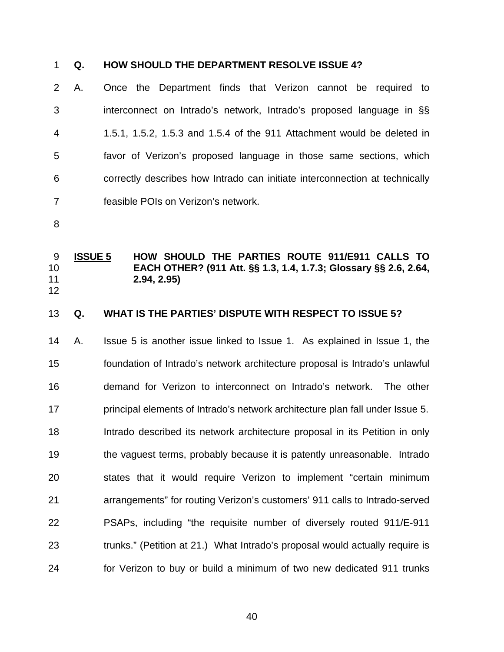# 1 **Q. HOW SHOULD THE DEPARTMENT RESOLVE ISSUE 4?**

2 3 4 5 6 7 A. Once the Department finds that Verizon cannot be required to interconnect on Intrado's network, Intrado's proposed language in §§ 1.5.1, 1.5.2, 1.5.3 and 1.5.4 of the 911 Attachment would be deleted in favor of Verizon's proposed language in those same sections, which correctly describes how Intrado can initiate interconnection at technically feasible POIs on Verizon's network.

8

12

#### **ISSUE 5 HOW SHOULD THE PARTIES ROUTE 911/E911 CALLS TO EACH OTHER? (911 Att. §§ 1.3, 1.4, 1.7.3; Glossary §§ 2.6, 2.64, 2.94, 2.95)** 9 10 11

#### 13 **Q. WHAT IS THE PARTIES' DISPUTE WITH RESPECT TO ISSUE 5?**

14 15 16 17 18 19 20 21 22 23 24 A. Issue 5 is another issue linked to Issue 1. As explained in Issue 1, the foundation of Intrado's network architecture proposal is Intrado's unlawful demand for Verizon to interconnect on Intrado's network. The other principal elements of Intrado's network architecture plan fall under Issue 5. Intrado described its network architecture proposal in its Petition in only the vaguest terms, probably because it is patently unreasonable. Intrado states that it would require Verizon to implement "certain minimum arrangements" for routing Verizon's customers' 911 calls to Intrado-served PSAPs, including "the requisite number of diversely routed 911/E-911 trunks." (Petition at 21.) What Intrado's proposal would actually require is for Verizon to buy or build a minimum of two new dedicated 911 trunks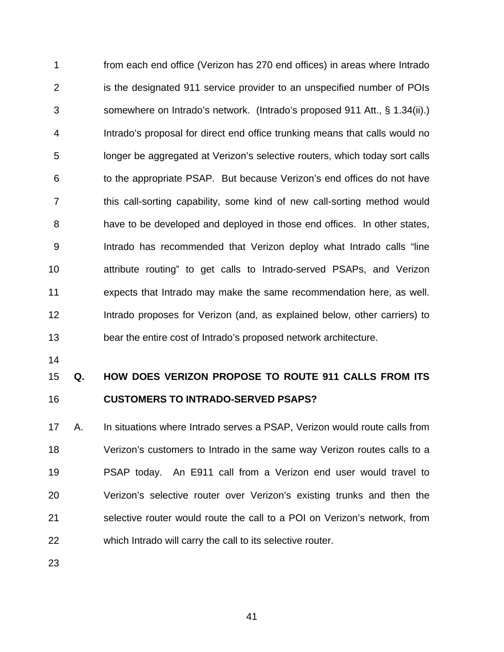1 2 3 4 5 6 7 8 9 10 11 12 13 from each end office (Verizon has 270 end offices) in areas where Intrado is the designated 911 service provider to an unspecified number of POIs somewhere on Intrado's network. (Intrado's proposed 911 Att., § 1.34(ii).) Intrado's proposal for direct end office trunking means that calls would no longer be aggregated at Verizon's selective routers, which today sort calls to the appropriate PSAP. But because Verizon's end offices do not have this call-sorting capability, some kind of new call-sorting method would have to be developed and deployed in those end offices. In other states, Intrado has recommended that Verizon deploy what Intrado calls "line attribute routing" to get calls to Intrado-served PSAPs, and Verizon expects that Intrado may make the same recommendation here, as well. Intrado proposes for Verizon (and, as explained below, other carriers) to bear the entire cost of Intrado's proposed network architecture.

14

#### 15 16 **Q. HOW DOES VERIZON PROPOSE TO ROUTE 911 CALLS FROM ITS CUSTOMERS TO INTRADO-SERVED PSAPS?**

17 18 19 20 21 22 A. In situations where Intrado serves a PSAP, Verizon would route calls from Verizon's customers to Intrado in the same way Verizon routes calls to a PSAP today. An E911 call from a Verizon end user would travel to Verizon's selective router over Verizon's existing trunks and then the selective router would route the call to a POI on Verizon's network, from which Intrado will carry the call to its selective router.

23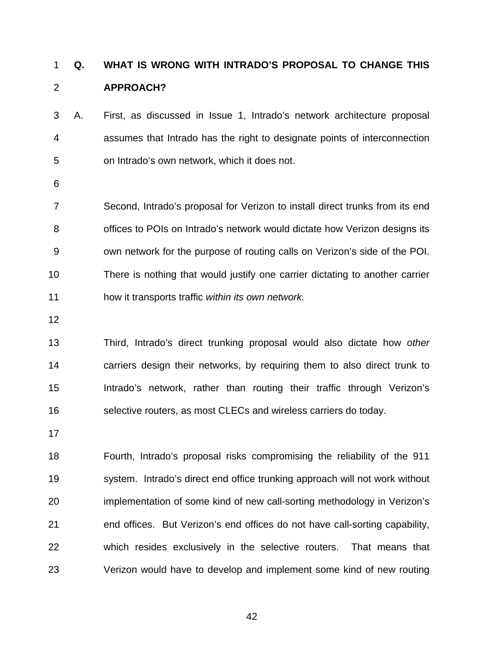### **Q. WHAT IS WRONG WITH INTRADO'S PROPOSAL TO CHANGE THIS APPROACH?** 1 2

3 4 5 A.First, as discussed in Issue 1, Intrado's network architecture proposal assumes that Intrado has the right to designate points of interconnection on Intrado's own network, which it does not.

6

7 8 9 10 11 Second, Intrado's proposal for Verizon to install direct trunks from its end offices to POIs on Intrado's network would dictate how Verizon designs its own network for the purpose of routing calls on Verizon's side of the POI. There is nothing that would justify one carrier dictating to another carrier how it transports traffic *within its own network.* 

12

13 14 15 16 Third, Intrado's direct trunking proposal would also dictate how *other*  carriers design their networks, by requiring them to also direct trunk to Intrado's network, rather than routing their traffic through Verizon's selective routers, as most CLECs and wireless carriers do today.

17

18 19 20 21 22 23 Fourth, Intrado's proposal risks compromising the reliability of the 911 system. Intrado's direct end office trunking approach will not work without implementation of some kind of new call-sorting methodology in Verizon's end offices. But Verizon's end offices do not have call-sorting capability, which resides exclusively in the selective routers. That means that Verizon would have to develop and implement some kind of new routing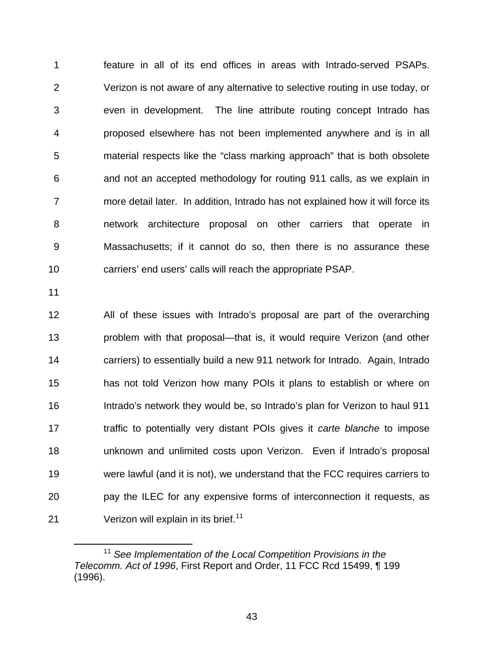feature in all of its end offices in areas with Intrado-served PSAPs. Verizon is not aware of any alternative to selective routing in use today, or even in development. The line attribute routing concept Intrado has proposed elsewhere has not been implemented anywhere and is in all material respects like the "class marking approach" that is both obsolete and not an accepted methodology for routing 911 calls, as we explain in more detail later. In addition, Intrado has not explained how it will force its network architecture proposal on other carriers that operate in Massachusetts; if it cannot do so, then there is no assurance these carriers' end users' calls will reach the appropriate PSAP. 1 2 3 4 5 6 7 8 9 10

11

 $\overline{a}$ 

12 13 14 15 16 17 18 19 20 21 All of these issues with Intrado's proposal are part of the overarching problem with that proposal—that is, it would require Verizon (and other carriers) to essentially build a new 911 network for Intrado. Again, Intrado has not told Verizon how many POIs it plans to establish or where on Intrado's network they would be, so Intrado's plan for Verizon to haul 911 traffic to potentially very distant POIs gives it *carte blanche* to impose unknown and unlimited costs upon Verizon. Even if Intrado's proposal were lawful (and it is not), we understand that the FCC requires carriers to pay the ILEC for any expensive forms of interconnection it requests, as Verizon will explain in its brief.<sup>[11](#page-46-0)</sup>

<span id="page-46-0"></span><sup>11</sup> *See Implementation of the Local Competition Provisions in the Telecomm. Act of 1996*, First Report and Order, 11 FCC Rcd 15499, ¶ 199 (1996).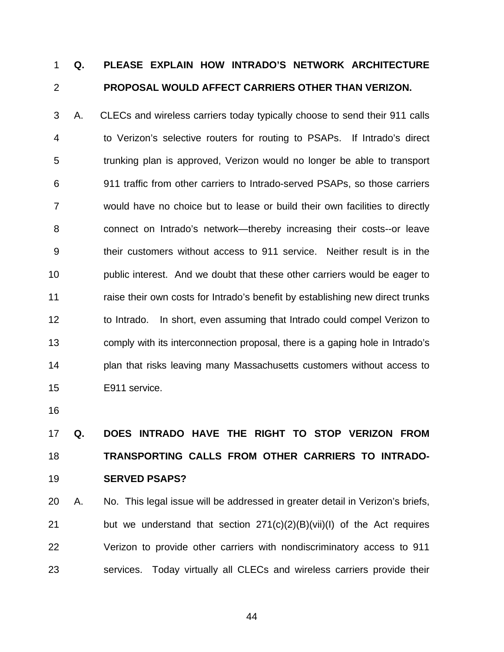### **Q. PLEASE EXPLAIN HOW INTRADO'S NETWORK ARCHITECTURE PROPOSAL WOULD AFFECT CARRIERS OTHER THAN VERIZON.**  1 2

3 4 5 6 7 8 9 10 11 12 13 14 15 A. CLECs and wireless carriers today typically choose to send their 911 calls to Verizon's selective routers for routing to PSAPs. If Intrado's direct trunking plan is approved, Verizon would no longer be able to transport 911 traffic from other carriers to Intrado-served PSAPs, so those carriers would have no choice but to lease or build their own facilities to directly connect on Intrado's network—thereby increasing their costs--or leave their customers without access to 911 service. Neither result is in the public interest. And we doubt that these other carriers would be eager to raise their own costs for Intrado's benefit by establishing new direct trunks to Intrado. In short, even assuming that Intrado could compel Verizon to comply with its interconnection proposal, there is a gaping hole in Intrado's plan that risks leaving many Massachusetts customers without access to E911 service.

16

# 17 18 19 **Q. DOES INTRADO HAVE THE RIGHT TO STOP VERIZON FROM TRANSPORTING CALLS FROM OTHER CARRIERS TO INTRADO-SERVED PSAPS?**

20 21 22 23 A. No. This legal issue will be addressed in greater detail in Verizon's briefs, but we understand that section 271(c)(2)(B)(vii)(I) of the Act requires Verizon to provide other carriers with nondiscriminatory access to 911 services. Today virtually all CLECs and wireless carriers provide their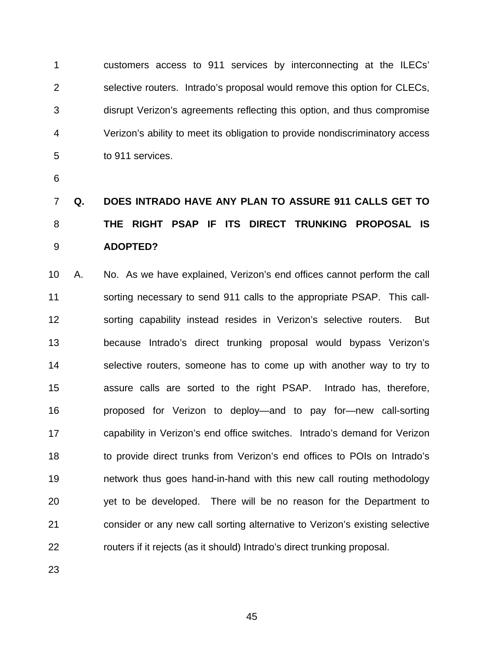1 2 3 4 5 customers access to 911 services by interconnecting at the ILECs' selective routers. Intrado's proposal would remove this option for CLECs, disrupt Verizon's agreements reflecting this option, and thus compromise Verizon's ability to meet its obligation to provide nondiscriminatory access to 911 services.

6

# 7 8 9 **Q. DOES INTRADO HAVE ANY PLAN TO ASSURE 911 CALLS GET TO THE RIGHT PSAP IF ITS DIRECT TRUNKING PROPOSAL IS ADOPTED?**

10 11 12 13 14 15 16 17 18 19 20 21 22 A. No. As we have explained, Verizon's end offices cannot perform the call sorting necessary to send 911 calls to the appropriate PSAP. This callsorting capability instead resides in Verizon's selective routers. But because Intrado's direct trunking proposal would bypass Verizon's selective routers, someone has to come up with another way to try to assure calls are sorted to the right PSAP. Intrado has, therefore, proposed for Verizon to deploy—and to pay for—new call-sorting capability in Verizon's end office switches. Intrado's demand for Verizon to provide direct trunks from Verizon's end offices to POIs on Intrado's network thus goes hand-in-hand with this new call routing methodology yet to be developed. There will be no reason for the Department to consider or any new call sorting alternative to Verizon's existing selective routers if it rejects (as it should) Intrado's direct trunking proposal.

23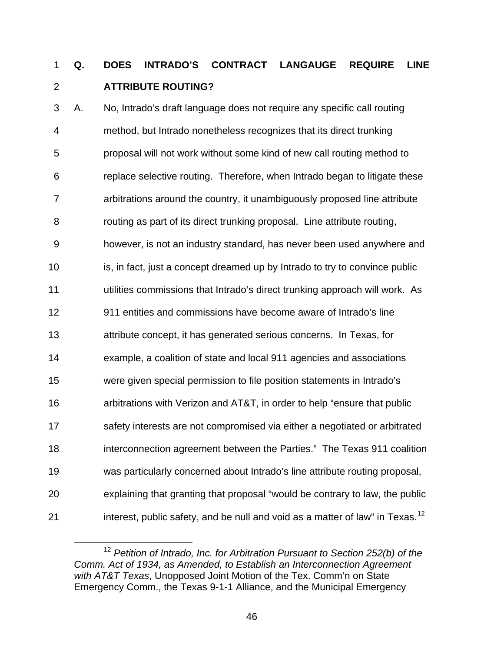### **Q. DOES INTRADO'S CONTRACT LANGAUGE REQUIRE LINE ATTRIBUTE ROUTING?**  1 2

3 4 5 6 7 8 9 10 11 12 13 14 15 16 17 18 19 20 21 A.No, Intrado's draft language does not require any specific call routing method, but Intrado nonetheless recognizes that its direct trunking proposal will not work without some kind of new call routing method to replace selective routing. Therefore, when Intrado began to litigate these arbitrations around the country, it unambiguously proposed line attribute routing as part of its direct trunking proposal. Line attribute routing, however, is not an industry standard, has never been used anywhere and is, in fact, just a concept dreamed up by Intrado to try to convince public utilities commissions that Intrado's direct trunking approach will work. As 911 entities and commissions have become aware of Intrado's line attribute concept, it has generated serious concerns. In Texas, for example, a coalition of state and local 911 agencies and associations were given special permission to file position statements in Intrado's arbitrations with Verizon and AT&T, in order to help "ensure that public safety interests are not compromised via either a negotiated or arbitrated interconnection agreement between the Parties." The Texas 911 coalition was particularly concerned about Intrado's line attribute routing proposal, explaining that granting that proposal "would be contrary to law, the public interest, public safety, and be null and void as a matter of law" in Texas.<sup>[12](#page-49-0)</sup>

<span id="page-49-0"></span><sup>12</sup> *Petition of Intrado, Inc. for Arbitration Pursuant to Section 252(b) of the Comm. Act of 1934, as Amended, to Establish an Interconnection Agreement with AT&T Texas*, Unopposed Joint Motion of the Tex. Comm'n on State Emergency Comm., the Texas 9-1-1 Alliance, and the Municipal Emergency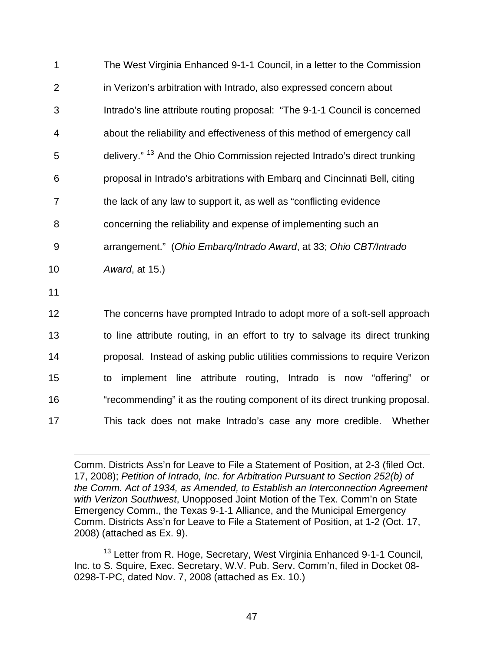| 1              | The West Virginia Enhanced 9-1-1 Council, in a letter to the Commission             |
|----------------|-------------------------------------------------------------------------------------|
| $\overline{2}$ | in Verizon's arbitration with Intrado, also expressed concern about                 |
| 3              | Intrado's line attribute routing proposal: "The 9-1-1 Council is concerned          |
| 4              | about the reliability and effectiveness of this method of emergency call            |
| 5              | delivery." <sup>13</sup> And the Ohio Commission rejected Intrado's direct trunking |
| 6              | proposal in Intrado's arbitrations with Embarg and Cincinnati Bell, citing          |
| $\overline{7}$ | the lack of any law to support it, as well as "conflicting evidence                 |
| 8              | concerning the reliability and expense of implementing such an                      |
| 9              | arrangement." (Ohio Embarg/Intrado Award, at 33; Ohio CBT/Intrado                   |
| 10             | Award, at 15.)                                                                      |
| 11             |                                                                                     |
| 12             | The concerns have prompted Intrado to adopt more of a soft-sell approach            |
| 13             | to line attribute routing, in an effort to try to salvage its direct trunking       |
| 14             | proposal. Instead of asking public utilities commissions to require Verizon         |
| 15             | implement line attribute routing, Intrado is now "offering" or<br>to                |
| 16             | "recommending" it as the routing component of its direct trunking proposal.         |

17 This tack does not make Intrado's case any more credible. Whether

 $\overline{a}$ 

<span id="page-50-0"></span><sup>13</sup> Letter from R. Hoge, Secretary, West Virginia Enhanced 9-1-1 Council, Inc. to S. Squire, Exec. Secretary, W.V. Pub. Serv. Comm'n, filed in Docket 08- 0298-T-PC, dated Nov. 7, 2008 (attached as Ex. 10.)

Comm. Districts Ass'n for Leave to File a Statement of Position, at 2-3 (filed Oct. 17, 2008); *Petition of Intrado, Inc. for Arbitration Pursuant to Section 252(b) of the Comm. Act of 1934, as Amended, to Establish an Interconnection Agreement with Verizon Southwest*, Unopposed Joint Motion of the Tex. Comm'n on State Emergency Comm., the Texas 9-1-1 Alliance, and the Municipal Emergency Comm. Districts Ass'n for Leave to File a Statement of Position, at 1-2 (Oct. 17, 2008) (attached as Ex. 9).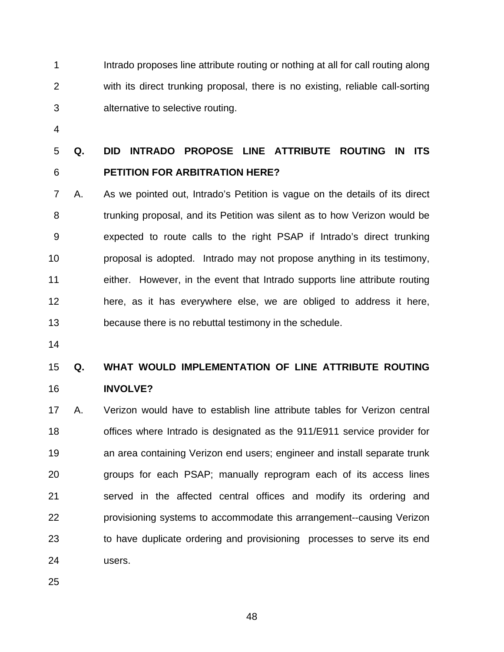1 2 3 Intrado proposes line attribute routing or nothing at all for call routing along with its direct trunking proposal, there is no existing, reliable call-sorting alternative to selective routing.

4

### 5 6 **Q. DID INTRADO PROPOSE LINE ATTRIBUTE ROUTING IN ITS PETITION FOR ARBITRATION HERE?**

7 8 9 10 11 12 13 A. As we pointed out, Intrado's Petition is vague on the details of its direct trunking proposal, and its Petition was silent as to how Verizon would be expected to route calls to the right PSAP if Intrado's direct trunking proposal is adopted. Intrado may not propose anything in its testimony, either. However, in the event that Intrado supports line attribute routing here, as it has everywhere else, we are obliged to address it here, because there is no rebuttal testimony in the schedule.

14

### 15 16 **Q. WHAT WOULD IMPLEMENTATION OF LINE ATTRIBUTE ROUTING INVOLVE?**

17 18 19 20 21 22 23 24 A. Verizon would have to establish line attribute tables for Verizon central offices where Intrado is designated as the 911/E911 service provider for an area containing Verizon end users; engineer and install separate trunk groups for each PSAP; manually reprogram each of its access lines served in the affected central offices and modify its ordering and provisioning systems to accommodate this arrangement--causing Verizon to have duplicate ordering and provisioning processes to serve its end users.

25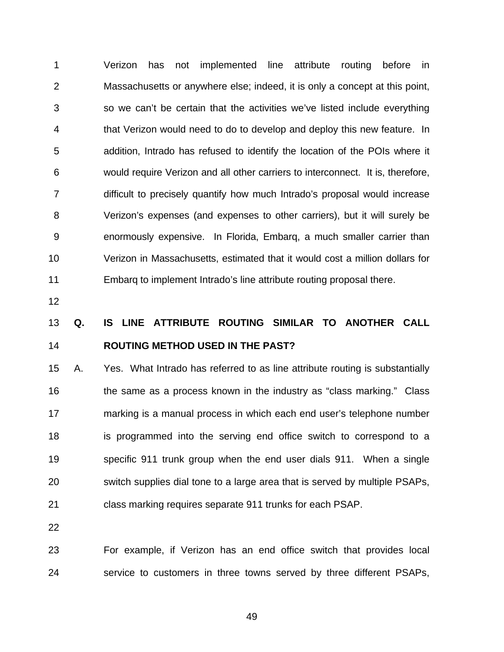1 2 3 4 5 6 7 8 9 10 11 Verizon has not implemented line attribute routing before in Massachusetts or anywhere else; indeed, it is only a concept at this point, so we can't be certain that the activities we've listed include everything that Verizon would need to do to develop and deploy this new feature. In addition, Intrado has refused to identify the location of the POIs where it would require Verizon and all other carriers to interconnect. It is, therefore, difficult to precisely quantify how much Intrado's proposal would increase Verizon's expenses (and expenses to other carriers), but it will surely be enormously expensive. In Florida, Embarq, a much smaller carrier than Verizon in Massachusetts, estimated that it would cost a million dollars for Embarq to implement Intrado's line attribute routing proposal there.

12

### 13 14 **Q. IS LINE ATTRIBUTE ROUTING SIMILAR TO ANOTHER CALL ROUTING METHOD USED IN THE PAST?**

15 16 17 18 19 20 21 A. Yes. What Intrado has referred to as line attribute routing is substantially the same as a process known in the industry as "class marking." Class marking is a manual process in which each end user's telephone number is programmed into the serving end office switch to correspond to a specific 911 trunk group when the end user dials 911. When a single switch supplies dial tone to a large area that is served by multiple PSAPs, class marking requires separate 911 trunks for each PSAP.

22

23 24 For example, if Verizon has an end office switch that provides local service to customers in three towns served by three different PSAPs,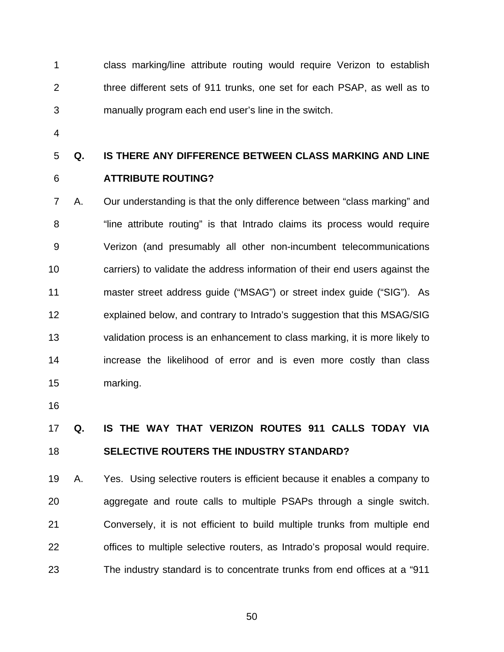1 2 3 class marking/line attribute routing would require Verizon to establish three different sets of 911 trunks, one set for each PSAP, as well as to manually program each end user's line in the switch.

4

### 5 **Q. IS THERE ANY DIFFERENCE BETWEEN CLASS MARKING AND LINE**

6

# **ATTRIBUTE ROUTING?**

7 8 9 10 11 12 13 14 15 A. Our understanding is that the only difference between "class marking" and "line attribute routing" is that Intrado claims its process would require Verizon (and presumably all other non-incumbent telecommunications carriers) to validate the address information of their end users against the master street address guide ("MSAG") or street index guide ("SIG"). As explained below, and contrary to Intrado's suggestion that this MSAG/SIG validation process is an enhancement to class marking, it is more likely to increase the likelihood of error and is even more costly than class marking.

16

### 17 18 **Q. IS THE WAY THAT VERIZON ROUTES 911 CALLS TODAY VIA SELECTIVE ROUTERS THE INDUSTRY STANDARD?**

19 20 21 22 23 A. Yes. Using selective routers is efficient because it enables a company to aggregate and route calls to multiple PSAPs through a single switch. Conversely, it is not efficient to build multiple trunks from multiple end offices to multiple selective routers, as Intrado's proposal would require. The industry standard is to concentrate trunks from end offices at a "911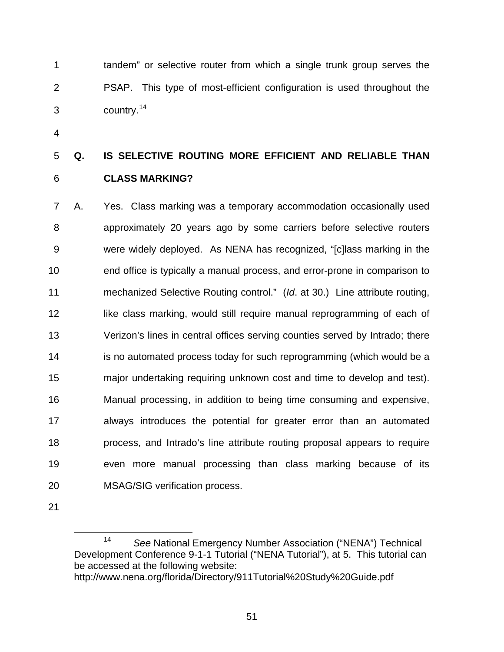tandem" or selective router from which a single trunk group serves the PSAP. This type of most-efficient configuration is used throughout the country.<sup>[14](#page-54-0)</sup> 1 2 3

4

# 5 6 **Q. IS SELECTIVE ROUTING MORE EFFICIENT AND RELIABLE THAN CLASS MARKING?**

7 8 9 10 11 12 13 14 15 16 17 18 19 20 A. Yes. Class marking was a temporary accommodation occasionally used approximately 20 years ago by some carriers before selective routers were widely deployed. As NENA has recognized, "[c]lass marking in the end office is typically a manual process, and error-prone in comparison to mechanized Selective Routing control." (*Id*. at 30.) Line attribute routing, like class marking, would still require manual reprogramming of each of Verizon's lines in central offices serving counties served by Intrado; there is no automated process today for such reprogramming (which would be a major undertaking requiring unknown cost and time to develop and test). Manual processing, in addition to being time consuming and expensive, always introduces the potential for greater error than an automated process, and Intrado's line attribute routing proposal appears to require even more manual processing than class marking because of its MSAG/SIG verification process.

<span id="page-54-0"></span>21

 $\overline{a}$ 

<sup>14</sup> *See* National Emergency Number Association ("NENA") Technical Development Conference 9-1-1 Tutorial ("NENA Tutorial"), at 5. This tutorial can be accessed at the following website: http://www.nena.org/florida/Directory/911Tutorial%20Study%20Guide.pdf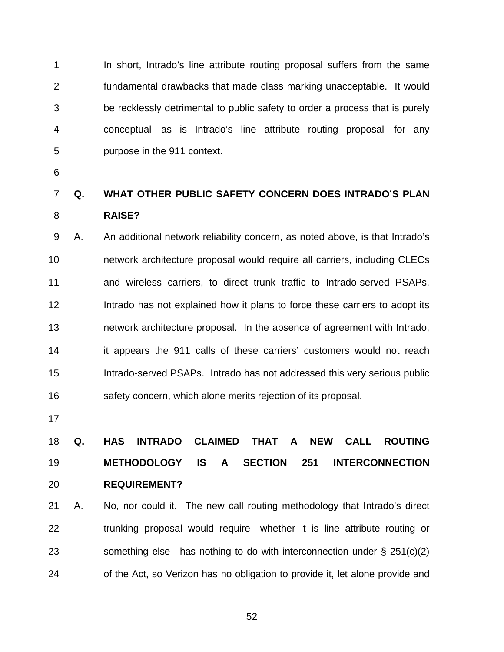1 2 3 4 5 In short, Intrado's line attribute routing proposal suffers from the same fundamental drawbacks that made class marking unacceptable. It would be recklessly detrimental to public safety to order a process that is purely conceptual—as is Intrado's line attribute routing proposal—for any purpose in the 911 context.

6

#### 7 8 **Q. WHAT OTHER PUBLIC SAFETY CONCERN DOES INTRADO'S PLAN RAISE?**

9 10 11 12 13 14 15 16 A. An additional network reliability concern, as noted above, is that Intrado's network architecture proposal would require all carriers, including CLECs and wireless carriers, to direct trunk traffic to Intrado-served PSAPs. Intrado has not explained how it plans to force these carriers to adopt its network architecture proposal. In the absence of agreement with Intrado, it appears the 911 calls of these carriers' customers would not reach Intrado-served PSAPs. Intrado has not addressed this very serious public safety concern, which alone merits rejection of its proposal.

17

# 18 19 20 **Q. HAS INTRADO CLAIMED THAT A NEW CALL ROUTING METHODOLOGY IS A SECTION 251 INTERCONNECTION REQUIREMENT?**

21 22 23 24 A. No, nor could it. The new call routing methodology that Intrado's direct trunking proposal would require—whether it is line attribute routing or something else—has nothing to do with interconnection under  $\S 251(c)(2)$ of the Act, so Verizon has no obligation to provide it, let alone provide and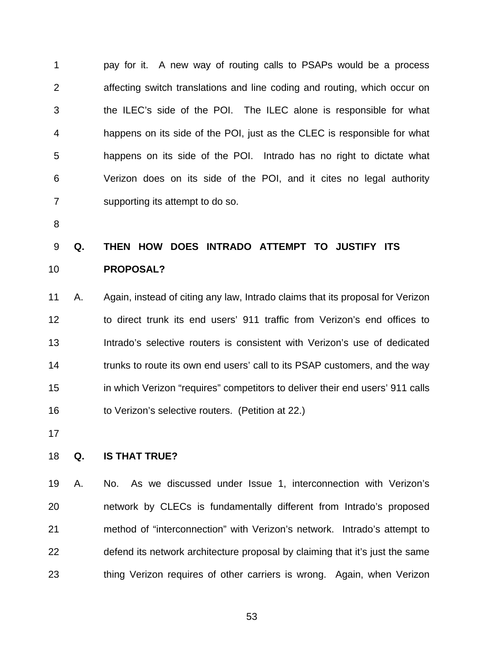1 2 3 4 5 6 7 pay for it. A new way of routing calls to PSAPs would be a process affecting switch translations and line coding and routing, which occur on the ILEC's side of the POI. The ILEC alone is responsible for what happens on its side of the POI, just as the CLEC is responsible for what happens on its side of the POI. Intrado has no right to dictate what Verizon does on its side of the POI, and it cites no legal authority supporting its attempt to do so.

8

### 9 10 **Q. THEN HOW DOES INTRADO ATTEMPT TO JUSTIFY ITS PROPOSAL?**

11 12 13 14 15 16 A. Again, instead of citing any law, Intrado claims that its proposal for Verizon to direct trunk its end users' 911 traffic from Verizon's end offices to Intrado's selective routers is consistent with Verizon's use of dedicated trunks to route its own end users' call to its PSAP customers, and the way in which Verizon "requires" competitors to deliver their end users' 911 calls to Verizon's selective routers. (Petition at 22.)

17

#### 18 **Q. IS THAT TRUE?**

19 20 21 22 23 A. No. As we discussed under Issue 1, interconnection with Verizon's network by CLECs is fundamentally different from Intrado's proposed method of "interconnection" with Verizon's network. Intrado's attempt to defend its network architecture proposal by claiming that it's just the same thing Verizon requires of other carriers is wrong. Again, when Verizon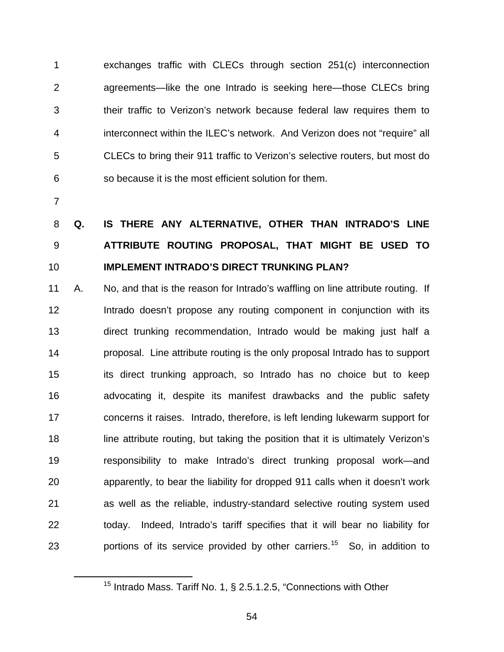exchanges traffic with CLECs through section 251(c) interconnection agreements—like the one Intrado is seeking here—those CLECs bring their traffic to Verizon's network because federal law requires them to interconnect within the ILEC's network. And Verizon does not "require" all CLECs to bring their 911 traffic to Verizon's selective routers, but most do so because it is the most efficient solution for them. 1 2 3 4 5 6

7

<span id="page-57-0"></span> $\overline{a}$ 

## 8 9 10 **Q. IS THERE ANY ALTERNATIVE, OTHER THAN INTRADO'S LINE ATTRIBUTE ROUTING PROPOSAL, THAT MIGHT BE USED TO IMPLEMENT INTRADO'S DIRECT TRUNKING PLAN?**

11 12 13 14 15 16 17 18 19 20 21 22 23 A. No, and that is the reason for Intrado's waffling on line attribute routing. If Intrado doesn't propose any routing component in conjunction with its direct trunking recommendation, Intrado would be making just half a proposal. Line attribute routing is the only proposal Intrado has to support its direct trunking approach, so Intrado has no choice but to keep advocating it, despite its manifest drawbacks and the public safety concerns it raises. Intrado, therefore, is left lending lukewarm support for line attribute routing, but taking the position that it is ultimately Verizon's responsibility to make Intrado's direct trunking proposal work—and apparently, to bear the liability for dropped 911 calls when it doesn't work as well as the reliable, industry-standard selective routing system used today. Indeed, Intrado's tariff specifies that it will bear no liability for portions of its service provided by other carriers.<sup>[15](#page-57-0)</sup> So, in addition to

<sup>&</sup>lt;sup>15</sup> Intrado Mass. Tariff No. 1, § 2.5.1.2.5, "Connections with Other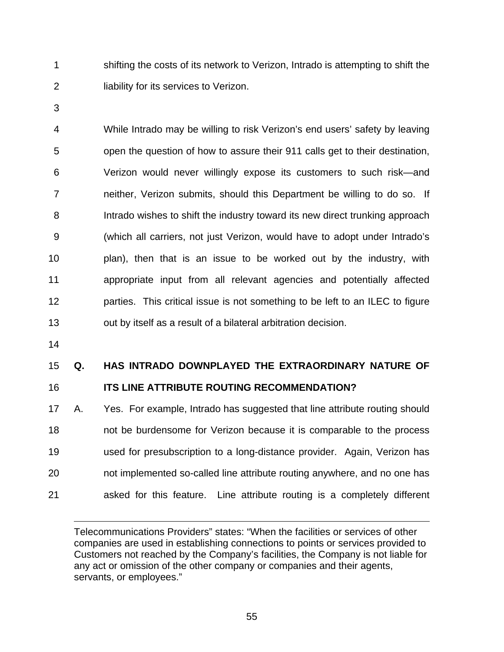shifting the costs of its network to Verizon, Intrado is attempting to shift the liability for its services to Verizon. 1 2

3

4 5 6 7 8 9 10 11 12 13 While Intrado may be willing to risk Verizon's end users' safety by leaving open the question of how to assure their 911 calls get to their destination, Verizon would never willingly expose its customers to such risk—and neither, Verizon submits, should this Department be willing to do so. If Intrado wishes to shift the industry toward its new direct trunking approach (which all carriers, not just Verizon, would have to adopt under Intrado's plan), then that is an issue to be worked out by the industry, with appropriate input from all relevant agencies and potentially affected parties. This critical issue is not something to be left to an ILEC to figure out by itself as a result of a bilateral arbitration decision.

14

 $\overline{a}$ 

#### 15 **Q. HAS INTRADO DOWNPLAYED THE EXTRAORDINARY NATURE OF**

#### 16 **ITS LINE ATTRIBUTE ROUTING RECOMMENDATION?**

17 18 19 20 21 A. Yes. For example, Intrado has suggested that line attribute routing should not be burdensome for Verizon because it is comparable to the process used for presubscription to a long-distance provider. Again, Verizon has not implemented so-called line attribute routing anywhere, and no one has asked for this feature. Line attribute routing is a completely different

Telecommunications Providers" states: "When the facilities or services of other companies are used in establishing connections to points or services provided to Customers not reached by the Company's facilities, the Company is not liable for any act or omission of the other company or companies and their agents, servants, or employees."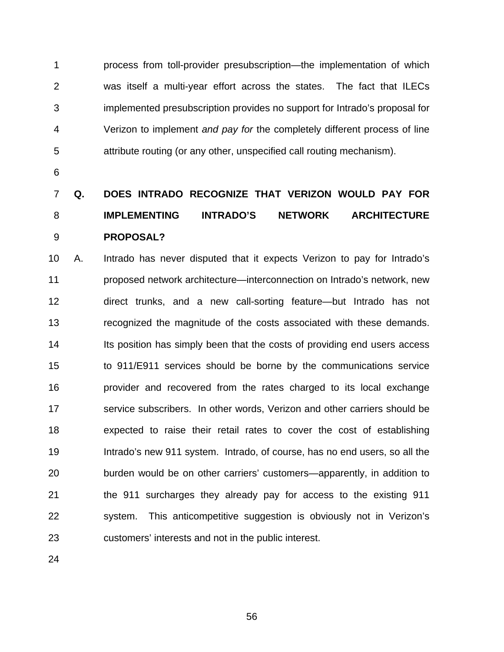1 2 3 4 5 process from toll-provider presubscription—the implementation of which was itself a multi-year effort across the states. The fact that ILECs implemented presubscription provides no support for Intrado's proposal for Verizon to implement *and pay for* the completely different process of line attribute routing (or any other, unspecified call routing mechanism).

6

# 7 8 9 **Q. DOES INTRADO RECOGNIZE THAT VERIZON WOULD PAY FOR IMPLEMENTING INTRADO'S NETWORK ARCHITECTURE PROPOSAL?**

10 11 12 13 14 15 16 17 18 19 20 21 22 23 A. Intrado has never disputed that it expects Verizon to pay for Intrado's proposed network architecture—interconnection on Intrado's network, new direct trunks, and a new call-sorting feature—but Intrado has not recognized the magnitude of the costs associated with these demands. Its position has simply been that the costs of providing end users access to 911/E911 services should be borne by the communications service provider and recovered from the rates charged to its local exchange service subscribers. In other words, Verizon and other carriers should be expected to raise their retail rates to cover the cost of establishing Intrado's new 911 system. Intrado, of course, has no end users, so all the burden would be on other carriers' customers—apparently, in addition to the 911 surcharges they already pay for access to the existing 911 system. This anticompetitive suggestion is obviously not in Verizon's customers' interests and not in the public interest.

24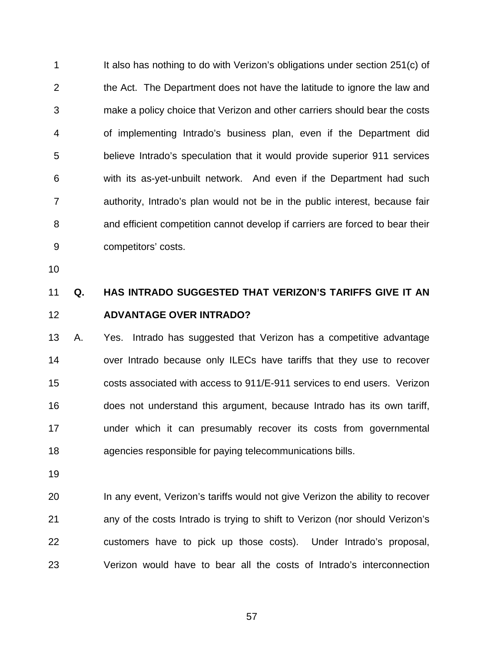1 2 3 4 5 6 7 8 9 It also has nothing to do with Verizon's obligations under section 251(c) of the Act. The Department does not have the latitude to ignore the law and make a policy choice that Verizon and other carriers should bear the costs of implementing Intrado's business plan, even if the Department did believe Intrado's speculation that it would provide superior 911 services with its as-yet-unbuilt network. And even if the Department had such authority, Intrado's plan would not be in the public interest, because fair and efficient competition cannot develop if carriers are forced to bear their competitors' costs.

10

### 11 12 **Q. HAS INTRADO SUGGESTED THAT VERIZON'S TARIFFS GIVE IT AN ADVANTAGE OVER INTRADO?**

13 14 15 16 17 18 A. Yes. Intrado has suggested that Verizon has a competitive advantage over Intrado because only ILECs have tariffs that they use to recover costs associated with access to 911/E-911 services to end users. Verizon does not understand this argument, because Intrado has its own tariff, under which it can presumably recover its costs from governmental agencies responsible for paying telecommunications bills.

19

20 21 22 23 In any event, Verizon's tariffs would not give Verizon the ability to recover any of the costs Intrado is trying to shift to Verizon (nor should Verizon's customers have to pick up those costs). Under Intrado's proposal, Verizon would have to bear all the costs of Intrado's interconnection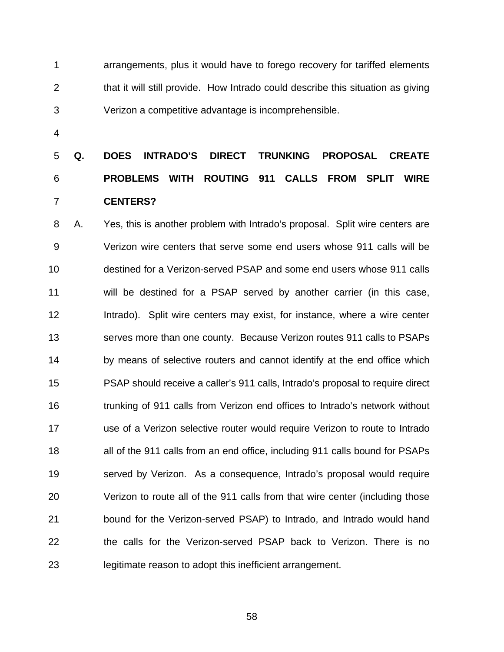1 2 3 arrangements, plus it would have to forego recovery for tariffed elements that it will still provide. How Intrado could describe this situation as giving Verizon a competitive advantage is incomprehensible.

4

# 5 6 7 **Q. DOES INTRADO'S DIRECT TRUNKING PROPOSAL CREATE PROBLEMS WITH ROUTING 911 CALLS FROM SPLIT WIRE CENTERS?**

8 9 10 11 12 13 14 15 16 17 18 19 20 21 22 23 A. Yes, this is another problem with Intrado's proposal. Split wire centers are Verizon wire centers that serve some end users whose 911 calls will be destined for a Verizon-served PSAP and some end users whose 911 calls will be destined for a PSAP served by another carrier (in this case, Intrado). Split wire centers may exist, for instance, where a wire center serves more than one county. Because Verizon routes 911 calls to PSAPs by means of selective routers and cannot identify at the end office which PSAP should receive a caller's 911 calls, Intrado's proposal to require direct trunking of 911 calls from Verizon end offices to Intrado's network without use of a Verizon selective router would require Verizon to route to Intrado all of the 911 calls from an end office, including 911 calls bound for PSAPs served by Verizon. As a consequence, Intrado's proposal would require Verizon to route all of the 911 calls from that wire center (including those bound for the Verizon-served PSAP) to Intrado, and Intrado would hand the calls for the Verizon-served PSAP back to Verizon. There is no legitimate reason to adopt this inefficient arrangement.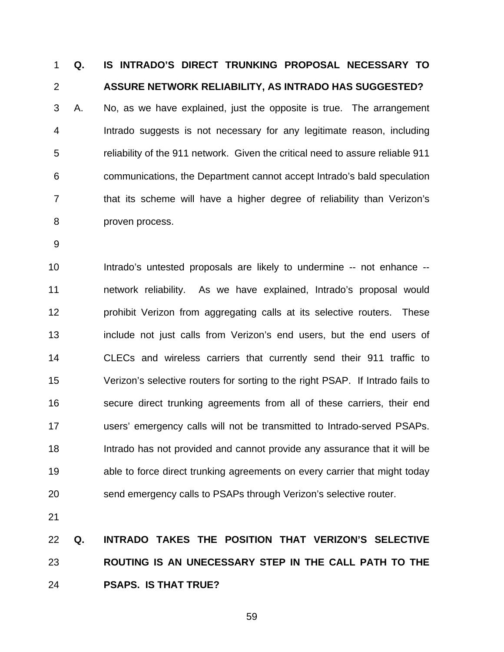**Q. IS INTRADO'S DIRECT TRUNKING PROPOSAL NECESSARY TO ASSURE NETWORK RELIABILITY, AS INTRADO HAS SUGGESTED?**  1 2 3 4 5 6 7 8 A. No, as we have explained, just the opposite is true. The arrangement Intrado suggests is not necessary for any legitimate reason, including reliability of the 911 network. Given the critical need to assure reliable 911 communications, the Department cannot accept Intrado's bald speculation that its scheme will have a higher degree of reliability than Verizon's proven process.

9

10 11 12 13 14 15 16 17 18 19 20 Intrado's untested proposals are likely to undermine -- not enhance - network reliability. As we have explained, Intrado's proposal would prohibit Verizon from aggregating calls at its selective routers. These include not just calls from Verizon's end users, but the end users of CLECs and wireless carriers that currently send their 911 traffic to Verizon's selective routers for sorting to the right PSAP. If Intrado fails to secure direct trunking agreements from all of these carriers, their end users' emergency calls will not be transmitted to Intrado-served PSAPs. Intrado has not provided and cannot provide any assurance that it will be able to force direct trunking agreements on every carrier that might today send emergency calls to PSAPs through Verizon's selective router.

21

22 23 24 **Q. INTRADO TAKES THE POSITION THAT VERIZON'S SELECTIVE ROUTING IS AN UNECESSARY STEP IN THE CALL PATH TO THE PSAPS. IS THAT TRUE?**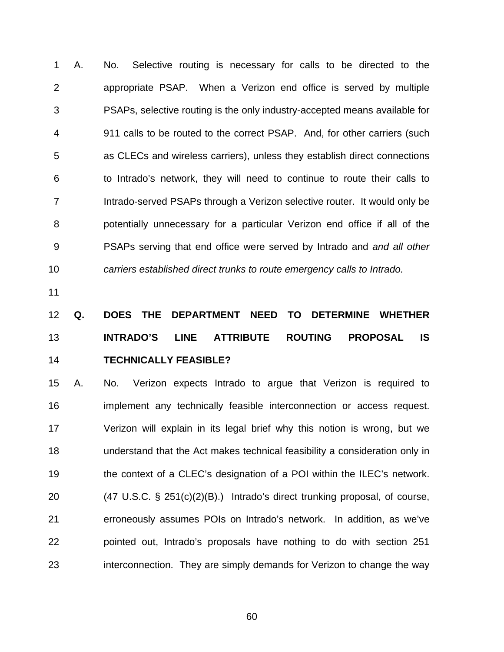1 2 3 4 5 6 7 8 9 10 A. No. Selective routing is necessary for calls to be directed to the appropriate PSAP. When a Verizon end office is served by multiple PSAPs, selective routing is the only industry-accepted means available for 911 calls to be routed to the correct PSAP. And, for other carriers (such as CLECs and wireless carriers), unless they establish direct connections to Intrado's network, they will need to continue to route their calls to Intrado-served PSAPs through a Verizon selective router.It would only be potentially unnecessary for a particular Verizon end office if all of the PSAPs serving that end office were served by Intrado and *and all other carriers established direct trunks to route emergency calls to Intrado.*

11

# 12 13 14 **Q. DOES THE DEPARTMENT NEED TO DETERMINE WHETHER INTRADO'S LINE ATTRIBUTE ROUTING PROPOSAL IS TECHNICALLY FEASIBLE?**

15 16 17 18 19 20 21 22 23 A. No. Verizon expects Intrado to argue that Verizon is required to implement any technically feasible interconnection or access request. Verizon will explain in its legal brief why this notion is wrong, but we understand that the Act makes technical feasibility a consideration only in the context of a CLEC's designation of a POI within the ILEC's network. (47 U.S.C. § 251(c)(2)(B).) Intrado's direct trunking proposal, of course, erroneously assumes POIs on Intrado's network. In addition, as we've pointed out, Intrado's proposals have nothing to do with section 251 interconnection. They are simply demands for Verizon to change the way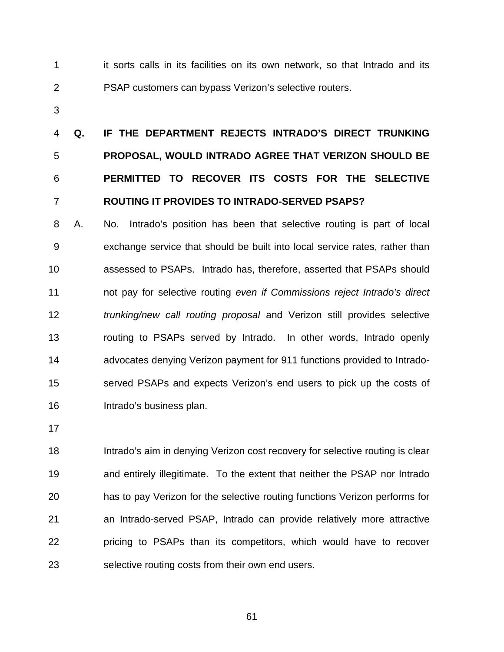1 2 it sorts calls in its facilities on its own network, so that Intrado and its PSAP customers can bypass Verizon's selective routers.

3

# 4 5 6 7 **Q. IF THE DEPARTMENT REJECTS INTRADO'S DIRECT TRUNKING PROPOSAL, WOULD INTRADO AGREE THAT VERIZON SHOULD BE PERMITTED TO RECOVER ITS COSTS FOR THE SELECTIVE ROUTING IT PROVIDES TO INTRADO-SERVED PSAPS?**

8 9 10 11 12 13 14 15 16 A. No. Intrado's position has been that selective routing is part of local exchange service that should be built into local service rates, rather than assessed to PSAPs. Intrado has, therefore, asserted that PSAPs should not pay for selective routing *even if Commissions reject Intrado's direct trunking/new call routing proposal* and Verizon still provides selective routing to PSAPs served by Intrado. In other words, Intrado openly advocates denying Verizon payment for 911 functions provided to Intradoserved PSAPs and expects Verizon's end users to pick up the costs of Intrado's business plan.

17

18 19 20 21 22 23 Intrado's aim in denying Verizon cost recovery for selective routing is clear and entirely illegitimate. To the extent that neither the PSAP nor Intrado has to pay Verizon for the selective routing functions Verizon performs for an Intrado-served PSAP, Intrado can provide relatively more attractive pricing to PSAPs than its competitors, which would have to recover selective routing costs from their own end users.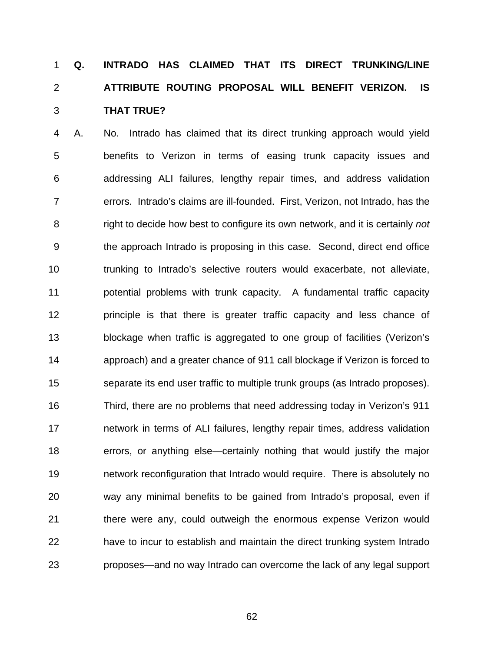# **Q. INTRADO HAS CLAIMED THAT ITS DIRECT TRUNKING/LINE ATTRIBUTE ROUTING PROPOSAL WILL BENEFIT VERIZON. IS THAT TRUE?**  1 2 3

4 5 6 7 8 9 10 11 12 13 14 15 16 17 18 19 20 21 22 23 A. No. Intrado has claimed that its direct trunking approach would yield benefits to Verizon in terms of easing trunk capacity issues and addressing ALI failures, lengthy repair times, and address validation errors. Intrado's claims are ill-founded. First, Verizon, not Intrado, has the right to decide how best to configure its own network, and it is certainly *not* the approach Intrado is proposing in this case. Second, direct end office trunking to Intrado's selective routers would exacerbate, not alleviate, potential problems with trunk capacity. A fundamental traffic capacity principle is that there is greater traffic capacity and less chance of blockage when traffic is aggregated to one group of facilities (Verizon's approach) and a greater chance of 911 call blockage if Verizon is forced to separate its end user traffic to multiple trunk groups (as Intrado proposes). Third, there are no problems that need addressing today in Verizon's 911 network in terms of ALI failures, lengthy repair times, address validation errors, or anything else—certainly nothing that would justify the major network reconfiguration that Intrado would require. There is absolutely no way any minimal benefits to be gained from Intrado's proposal, even if there were any, could outweigh the enormous expense Verizon would have to incur to establish and maintain the direct trunking system Intrado proposes—and no way Intrado can overcome the lack of any legal support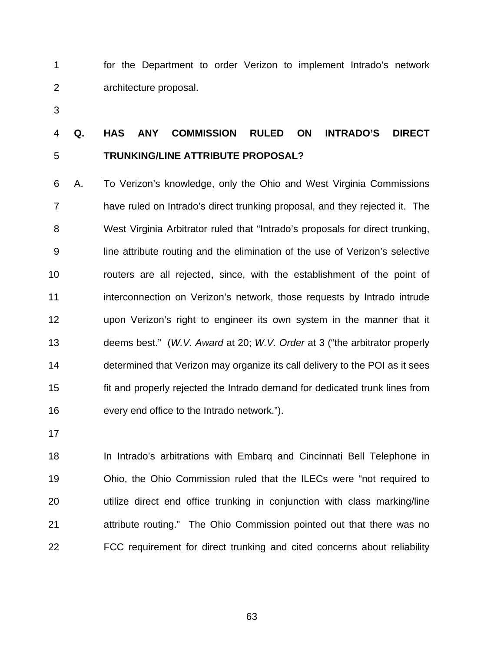1 2 for the Department to order Verizon to implement Intrado's network architecture proposal.

3

### 4 5 **Q. HAS ANY COMMISSION RULED ON INTRADO'S DIRECT TRUNKING/LINE ATTRIBUTE PROPOSAL?**

6 7 8 9 10 11 12 13 14 15 16 A. To Verizon's knowledge, only the Ohio and West Virginia Commissions have ruled on Intrado's direct trunking proposal, and they rejected it. The West Virginia Arbitrator ruled that "Intrado's proposals for direct trunking, line attribute routing and the elimination of the use of Verizon's selective routers are all rejected, since, with the establishment of the point of interconnection on Verizon's network, those requests by Intrado intrude upon Verizon's right to engineer its own system in the manner that it deems best." (*W.V. Award* at 20; *W.V. Order* at 3 ("the arbitrator properly determined that Verizon may organize its call delivery to the POI as it sees fit and properly rejected the Intrado demand for dedicated trunk lines from every end office to the Intrado network.").

17

18 19 20 21 22 In Intrado's arbitrations with Embarq and Cincinnati Bell Telephone in Ohio, the Ohio Commission ruled that the ILECs were "not required to utilize direct end office trunking in conjunction with class marking/line attribute routing." The Ohio Commission pointed out that there was no FCC requirement for direct trunking and cited concerns about reliability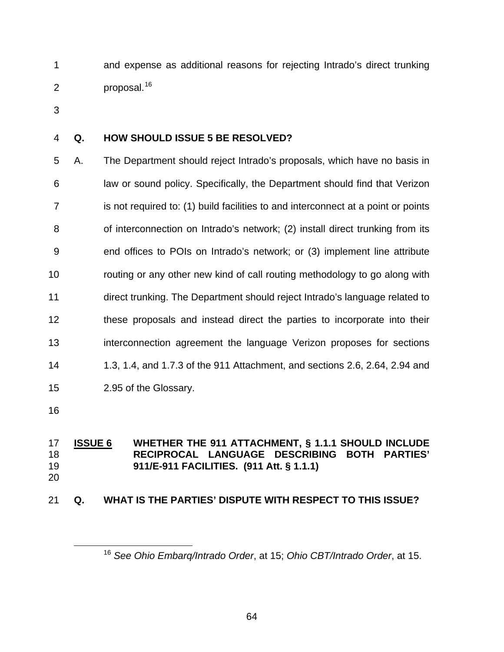and expense as additional reasons for rejecting Intrado's direct trunking proposal.<sup>[16](#page-67-0)</sup> 1 2

3

#### 4 **Q. HOW SHOULD ISSUE 5 BE RESOLVED?**

5 6 7 8 9 10 11 12 13 14 15 A. The Department should reject Intrado's proposals, which have no basis in law or sound policy. Specifically, the Department should find that Verizon is not required to: (1) build facilities to and interconnect at a point or points of interconnection on Intrado's network; (2) install direct trunking from its end offices to POIs on Intrado's network; or (3) implement line attribute routing or any other new kind of call routing methodology to go along with direct trunking. The Department should reject Intrado's language related to these proposals and instead direct the parties to incorporate into their interconnection agreement the language Verizon proposes for sections 1.3, 1.4, and 1.7.3 of the 911 Attachment, and sections 2.6, 2.64, 2.94 and 2.95 of the Glossary.

16

 $\overline{a}$ 

#### **ISSUE 6 WHETHER THE 911 ATTACHMENT, § 1.1.1 SHOULD INCLUDE RECIPROCAL LANGUAGE DESCRIBING BOTH PARTIES' 911/E-911 FACILITIES. (911 Att. § 1.1.1)** 17 18 19 20

#### <span id="page-67-0"></span>21 **Q. WHAT IS THE PARTIES' DISPUTE WITH RESPECT TO THIS ISSUE?**

<sup>16</sup> *See Ohio Embarq/Intrado Order*, at 15; *Ohio CBT/Intrado Order*, at 15.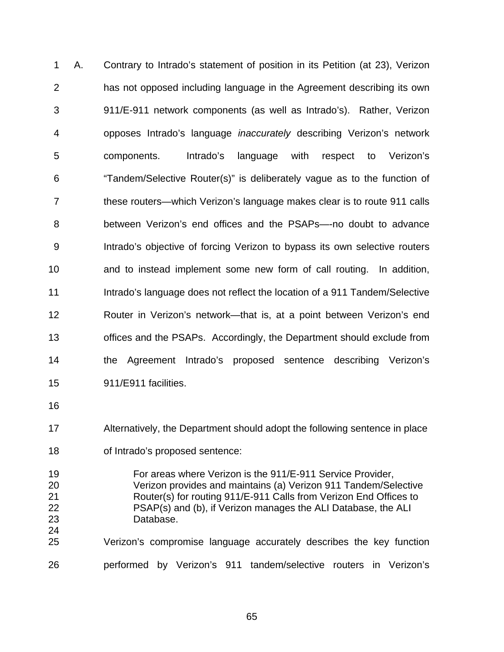1 2 3 4 5 6 7 8 9 10 11 12 13 14 15 A. Contrary to Intrado's statement of position in its Petition (at 23), Verizon has not opposed including language in the Agreement describing its own 911/E-911 network components (as well as Intrado's). Rather, Verizon opposes Intrado's language *inaccurately* describing Verizon's network components. Intrado's language with respect to Verizon's "Tandem/Selective Router(s)" is deliberately vague as to the function of these routers—which Verizon's language makes clear is to route 911 calls between Verizon's end offices and the PSAPs—-no doubt to advance Intrado's objective of forcing Verizon to bypass its own selective routers and to instead implement some new form of call routing. In addition, Intrado's language does not reflect the location of a 911 Tandem/Selective Router in Verizon's network—that is, at a point between Verizon's end offices and the PSAPs. Accordingly, the Department should exclude from the Agreement Intrado's proposed sentence describing Verizon's 911/E911 facilities.

16

17 Alternatively, the Department should adopt the following sentence in place

18 of Intrado's proposed sentence:

19 20 21 22 23 24 For areas where Verizon is the 911/E-911 Service Provider, Verizon provides and maintains (a) Verizon 911 Tandem/Selective Router(s) for routing 911/E-911 Calls from Verizon End Offices to PSAP(s) and (b), if Verizon manages the ALI Database, the ALI Database.

25 26 Verizon's compromise language accurately describes the key function performed by Verizon's 911 tandem/selective routers in Verizon's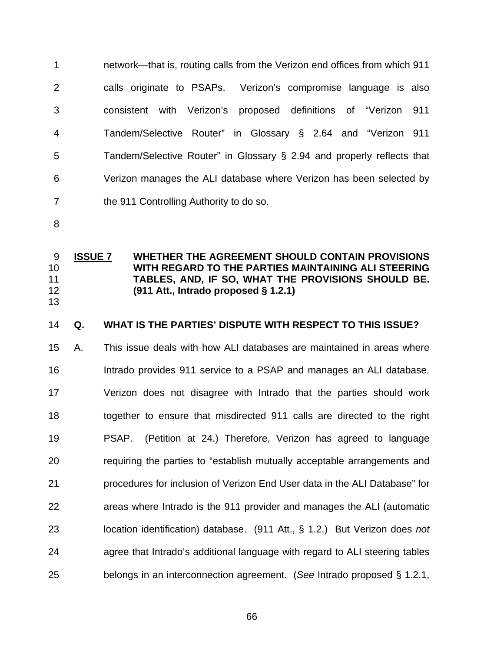1 2 3 4 5 6 7 network—that is, routing calls from the Verizon end offices from which 911 calls originate to PSAPs. Verizon's compromise language is also consistent with Verizon's proposed definitions of "Verizon 911 Tandem/Selective Router" in Glossary § 2.64 and "Verizon 911 Tandem/Selective Router" in Glossary § 2.94 and properly reflects that Verizon manages the ALI database where Verizon has been selected by the 911 Controlling Authority to do so.

8

**ISSUE 7 WHETHER THE AGREEMENT SHOULD CONTAIN PROVISIONS WITH REGARD TO THE PARTIES MAINTAINING ALI STEERING TABLES, AND, IF SO, WHAT THE PROVISIONS SHOULD BE. (911 Att., Intrado proposed § 1.2.1)** 9 10 11 12 13

#### 14 **Q. WHAT IS THE PARTIES' DISPUTE WITH RESPECT TO THIS ISSUE?**

15 16 17 18 19 20 21 22 23 24 25 A. This issue deals with how ALI databases are maintained in areas where Intrado provides 911 service to a PSAP and manages an ALI database. Verizon does not disagree with Intrado that the parties should work together to ensure that misdirected 911 calls are directed to the right PSAP. (Petition at 24.) Therefore, Verizon has agreed to language requiring the parties to "establish mutually acceptable arrangements and procedures for inclusion of Verizon End User data in the ALI Database" for areas where Intrado is the 911 provider and manages the ALI (automatic location identification) database. (911 Att., § 1.2.) But Verizon does *not*  agree that Intrado's additional language with regard to ALI steering tables belongs in an interconnection agreement. (*See* Intrado proposed § 1.2.1,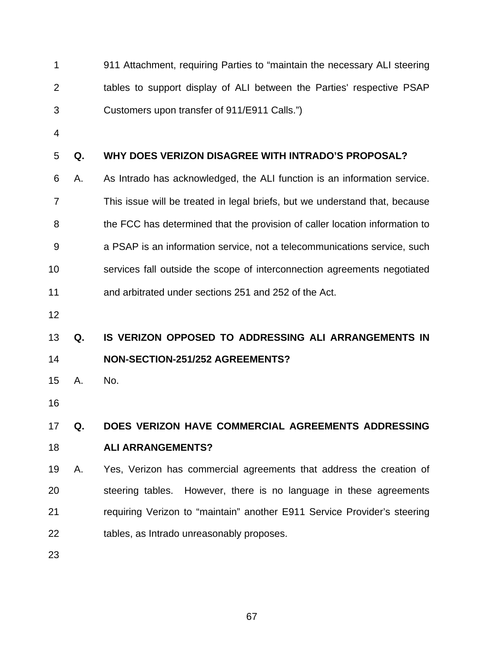1 2 3 911 Attachment, requiring Parties to "maintain the necessary ALI steering tables to support display of ALI between the Parties' respective PSAP Customers upon transfer of 911/E911 Calls.")

4

#### 5 **Q. WHY DOES VERIZON DISAGREE WITH INTRADO'S PROPOSAL?**

- 6 7 8 9 10 11 A. As Intrado has acknowledged, the ALI function is an information service. This issue will be treated in legal briefs, but we understand that, because the FCC has determined that the provision of caller location information to a PSAP is an information service, not a telecommunications service, such services fall outside the scope of interconnection agreements negotiated and arbitrated under sections 251 and 252 of the Act.
- 12

### 13 14 **Q. IS VERIZON OPPOSED TO ADDRESSING ALI ARRANGEMENTS IN NON-SECTION-251/252 AGREEMENTS?**

- 15 A. No.
- 16

#### 17 18 **Q. DOES VERIZON HAVE COMMERCIAL AGREEMENTS ADDRESSING ALI ARRANGEMENTS?**

19 20 21 22 A. Yes, Verizon has commercial agreements that address the creation of steering tables. However, there is no language in these agreements requiring Verizon to "maintain" another E911 Service Provider's steering tables, as Intrado unreasonably proposes.

23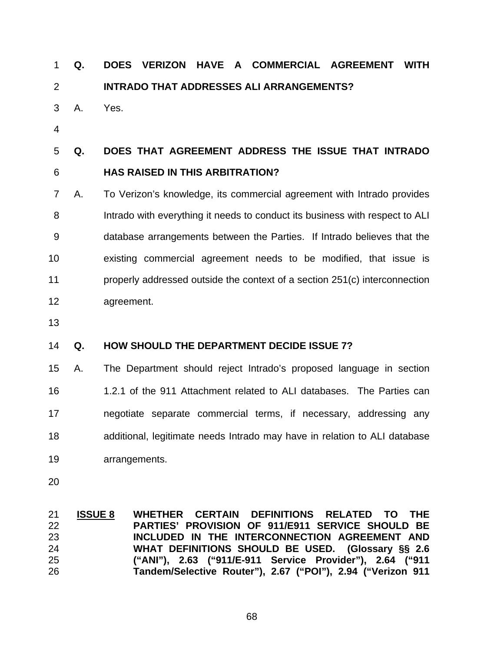### **Q. DOES VERIZON HAVE A COMMERCIAL AGREEMENT WITH INTRADO THAT ADDRESSES ALI ARRANGEMENTS?**  1 2

- 3 A. Yes.
- 4

### 5 6 **Q. DOES THAT AGREEMENT ADDRESS THE ISSUE THAT INTRADO HAS RAISED IN THIS ARBITRATION?**

- 7 8 9 10 11 12 A. To Verizon's knowledge, its commercial agreement with Intrado provides Intrado with everything it needs to conduct its business with respect to ALI database arrangements between the Parties. If Intrado believes that the existing commercial agreement needs to be modified, that issue is properly addressed outside the context of a section 251(c) interconnection agreement.
- 13

#### 14 **Q. HOW SHOULD THE DEPARTMENT DECIDE ISSUE 7?**

- 15 16 17 18 19 A. The Department should reject Intrado's proposed language in section 1.2.1 of the 911 Attachment related to ALI databases. The Parties can negotiate separate commercial terms, if necessary, addressing any additional, legitimate needs Intrado may have in relation to ALI database arrangements.
- 20

**ISSUE 8 WHETHER CERTAIN DEFINITIONS RELATED TO THE PARTIES' PROVISION OF 911/E911 SERVICE SHOULD BE INCLUDED IN THE INTERCONNECTION AGREEMENT AND WHAT DEFINITIONS SHOULD BE USED. (Glossary §§ 2.6 ("ANI"), 2.63 ("911/E-911 Service Provider"), 2.64 ("911 Tandem/Selective Router"), 2.67 ("POI"), 2.94 ("Verizon 911**  21 22 23 24 25 26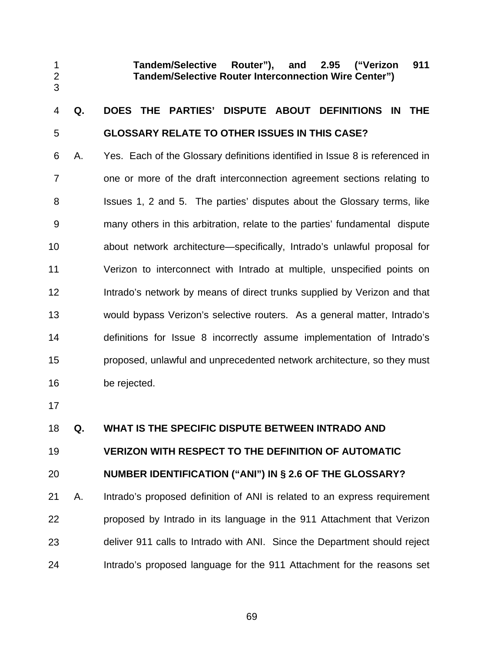**Tandem/Selective Router"), and 2.95 ("Verizon 911 Tandem/Selective Router Interconnection Wire Center")** 

### 4 5 **Q. DOES THE PARTIES' DISPUTE ABOUT DEFINITIONS IN THE GLOSSARY RELATE TO OTHER ISSUES IN THIS CASE?**

6 7 8 9 10 11 12 13 14 15 16 A. Yes. Each of the Glossary definitions identified in Issue 8 is referenced in one or more of the draft interconnection agreement sections relating to Issues 1, 2 and 5. The parties' disputes about the Glossary terms, like many others in this arbitration, relate to the parties' fundamental dispute about network architecture—specifically, Intrado's unlawful proposal for Verizon to interconnect with Intrado at multiple, unspecified points on Intrado's network by means of direct trunks supplied by Verizon and that would bypass Verizon's selective routers. As a general matter, Intrado's definitions for Issue 8 incorrectly assume implementation of Intrado's proposed, unlawful and unprecedented network architecture, so they must be rejected.

17

1 2 3

#### 18 **Q. WHAT IS THE SPECIFIC DISPUTE BETWEEN INTRADO AND**

### 19 **VERIZON WITH RESPECT TO THE DEFINITION OF AUTOMATIC**

#### 20 **NUMBER IDENTIFICATION ("ANI") IN § 2.6 OF THE GLOSSARY?**

21 22 23 24 A. Intrado's proposed definition of ANI is related to an express requirement proposed by Intrado in its language in the 911 Attachment that Verizon deliver 911 calls to Intrado with ANI. Since the Department should reject Intrado's proposed language for the 911 Attachment for the reasons set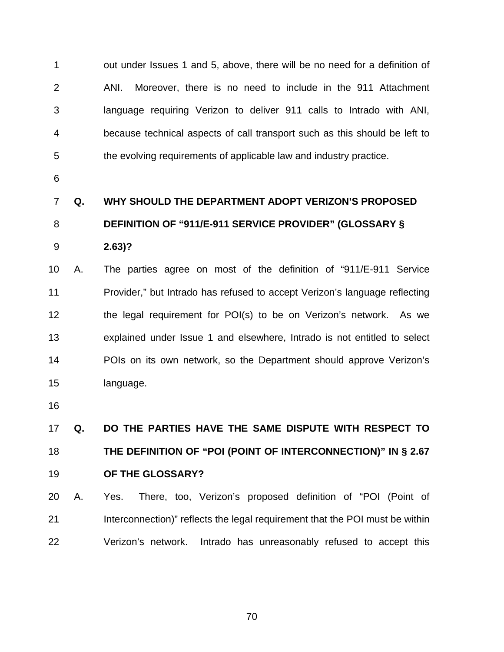1 2 3 4 5 out under Issues 1 and 5, above, there will be no need for a definition of ANI. Moreover, there is no need to include in the 911 Attachment language requiring Verizon to deliver 911 calls to Intrado with ANI, because technical aspects of call transport such as this should be left to the evolving requirements of applicable law and industry practice.

6

## 7 8 **Q. WHY SHOULD THE DEPARTMENT ADOPT VERIZON'S PROPOSED DEFINITION OF "911/E-911 SERVICE PROVIDER" (GLOSSARY §**

9 **2.63)?** 

10 11 12 13 14 15 A. The parties agree on most of the definition of "911/E-911 Service Provider," but Intrado has refused to accept Verizon's language reflecting the legal requirement for POI(s) to be on Verizon's network. As we explained under Issue 1 and elsewhere, Intrado is not entitled to select POIs on its own network, so the Department should approve Verizon's language.

16

17 18 19 **Q. DO THE PARTIES HAVE THE SAME DISPUTE WITH RESPECT TO THE DEFINITION OF "POI (POINT OF INTERCONNECTION)" IN § 2.67 OF THE GLOSSARY?** 

20 21 22 A. Yes. There, too, Verizon's proposed definition of "POI (Point of Interconnection)" reflects the legal requirement that the POI must be within Verizon's network. Intrado has unreasonably refused to accept this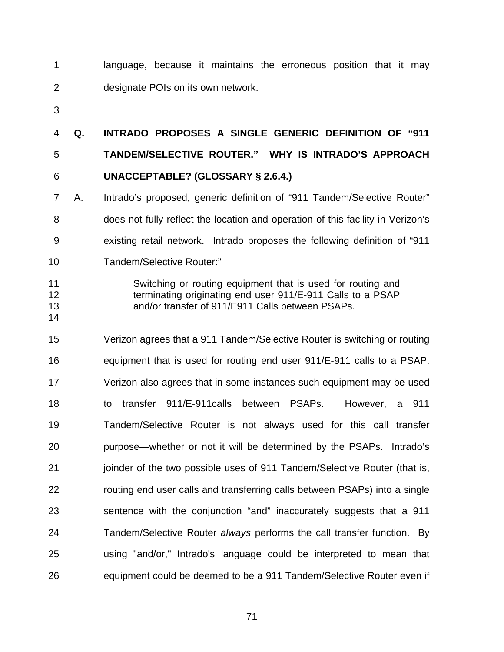1 2 language, because it maintains the erroneous position that it may designate POIs on its own network.

3

4 5 6 **Q. INTRADO PROPOSES A SINGLE GENERIC DEFINITION OF "911 TANDEM/SELECTIVE ROUTER." WHY IS INTRADO'S APPROACH UNACCEPTABLE? (GLOSSARY § 2.6.4.)**

7 8 9 A. Intrado's proposed, generic definition of "911 Tandem/Selective Router" does not fully reflect the location and operation of this facility in Verizon's existing retail network. Intrado proposes the following definition of "911

- 10 Tandem/Selective Router:"
- 11 12

13 14 Switching or routing equipment that is used for routing and terminating originating end user 911/E-911 Calls to a PSAP and/or transfer of 911/E911 Calls between PSAPs.

15 16 17 18 19 20 21 22 23 24 25 26 Verizon agrees that a 911 Tandem/Selective Router is switching or routing equipment that is used for routing end user 911/E-911 calls to a PSAP. Verizon also agrees that in some instances such equipment may be used to transfer 911/E-911calls between PSAPs. However, a 911 Tandem/Selective Router is not always used for this call transfer purpose—whether or not it will be determined by the PSAPs. Intrado's joinder of the two possible uses of 911 Tandem/Selective Router (that is, routing end user calls and transferring calls between PSAPs) into a single sentence with the conjunction "and" inaccurately suggests that a 911 Tandem/Selective Router *always* performs the call transfer function. By using "and/or," Intrado's language could be interpreted to mean that equipment could be deemed to be a 911 Tandem/Selective Router even if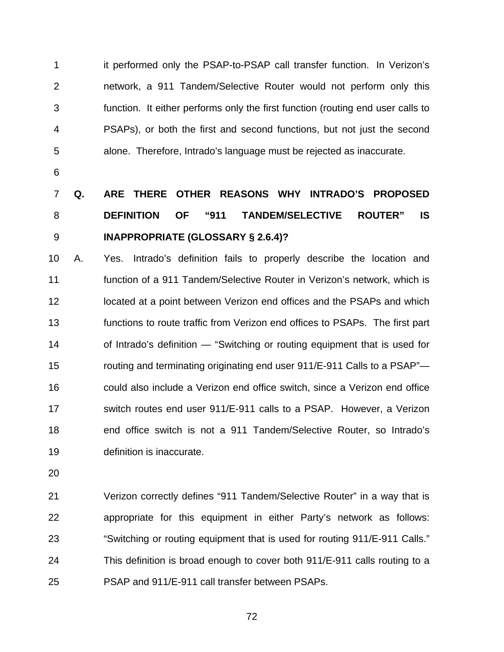1 2 3 4 5 it performed only the PSAP-to-PSAP call transfer function. In Verizon's network, a 911 Tandem/Selective Router would not perform only this function. It either performs only the first function (routing end user calls to PSAPs), or both the first and second functions, but not just the second alone. Therefore, Intrado's language must be rejected as inaccurate.

6

## 7 8 9 **Q. ARE THERE OTHER REASONS WHY INTRADO'S PROPOSED DEFINITION OF "911 TANDEM/SELECTIVE ROUTER" IS INAPPROPRIATE (GLOSSARY § 2.6.4)?**

10 11 12 13 14 15 16 17 18 19 A. Yes. Intrado's definition fails to properly describe the location and function of a 911 Tandem/Selective Router in Verizon's network, which is located at a point between Verizon end offices and the PSAPs and which functions to route traffic from Verizon end offices to PSAPs. The first part of Intrado's definition — "Switching or routing equipment that is used for routing and terminating originating end user 911/E-911 Calls to a PSAP" could also include a Verizon end office switch, since a Verizon end office switch routes end user 911/E-911 calls to a PSAP. However, a Verizon end office switch is not a 911 Tandem/Selective Router, so Intrado's definition is inaccurate.

20

21 22 23 24 25 Verizon correctly defines "911 Tandem/Selective Router" in a way that is appropriate for this equipment in either Party's network as follows: "Switching or routing equipment that is used for routing 911/E-911 Calls." This definition is broad enough to cover both 911/E-911 calls routing to a PSAP and 911/E-911 call transfer between PSAPs.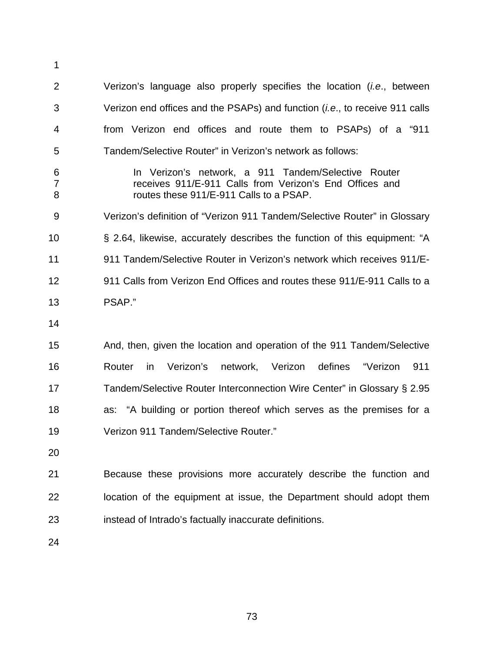1 2 3 4 5 6 7 8 9 10 11 12 13 14 15 16 17 18 19 20 21 22 23 Verizon's language also properly specifies the location (*i.e*., between Verizon end offices and the PSAPs) and function (*i.e*., to receive 911 calls from Verizon end offices and route them to PSAPs) of a "911 Tandem/Selective Router" in Verizon's network as follows: In Verizon's network, a 911 Tandem/Selective Router receives 911/E-911 Calls from Verizon's End Offices and routes these 911/E-911 Calls to a PSAP. Verizon's definition of "Verizon 911 Tandem/Selective Router" in Glossary § 2.64, likewise, accurately describes the function of this equipment: "A 911 Tandem/Selective Router in Verizon's network which receives 911/E-911 Calls from Verizon End Offices and routes these 911/E-911 Calls to a PSAP." And, then, given the location and operation of the 911 Tandem/Selective Router in Verizon's network, Verizon defines "Verizon 911 Tandem/Selective Router Interconnection Wire Center" in Glossary § 2.95 as: "A building or portion thereof which serves as the premises for a Verizon 911 Tandem/Selective Router." Because these provisions more accurately describe the function and location of the equipment at issue, the Department should adopt them instead of Intrado's factually inaccurate definitions.

24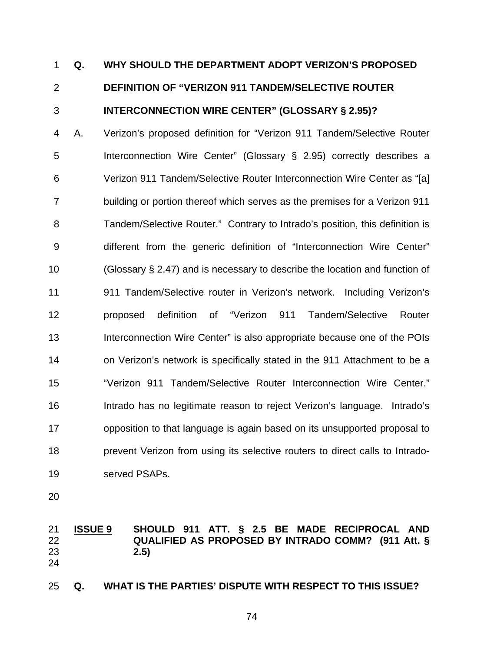## **Q. WHY SHOULD THE DEPARTMENT ADOPT VERIZON'S PROPOSED DEFINITION OF "VERIZON 911 TANDEM/SELECTIVE ROUTER INTERCONNECTION WIRE CENTER" (GLOSSARY § 2.95)?**  1 2 3

4 5 6 7 8 9 10 11 12 13 14 15 16 17 18 19 A. Verizon's proposed definition for "Verizon 911 Tandem/Selective Router Interconnection Wire Center" (Glossary § 2.95) correctly describes a Verizon 911 Tandem/Selective Router Interconnection Wire Center as "[a] building or portion thereof which serves as the premises for a Verizon 911 Tandem/Selective Router." Contrary to Intrado's position, this definition is different from the generic definition of "Interconnection Wire Center" (Glossary § 2.47) and is necessary to describe the location and function of 911 Tandem/Selective router in Verizon's network. Including Verizon's proposed definition of "Verizon 911 Tandem/Selective Router Interconnection Wire Center" is also appropriate because one of the POIs on Verizon's network is specifically stated in the 911 Attachment to be a "Verizon 911 Tandem/Selective Router Interconnection Wire Center." Intrado has no legitimate reason to reject Verizon's language. Intrado's opposition to that language is again based on its unsupported proposal to prevent Verizon from using its selective routers to direct calls to Intradoserved PSAPs.

- 
- 20

### **ISSUE 9 SHOULD 911 ATT. § 2.5 BE MADE RECIPROCAL AND QUALIFIED AS PROPOSED BY INTRADO COMM? (911 Att. § 2.5)** 21 22 23 24

25 **Q. WHAT IS THE PARTIES' DISPUTE WITH RESPECT TO THIS ISSUE?**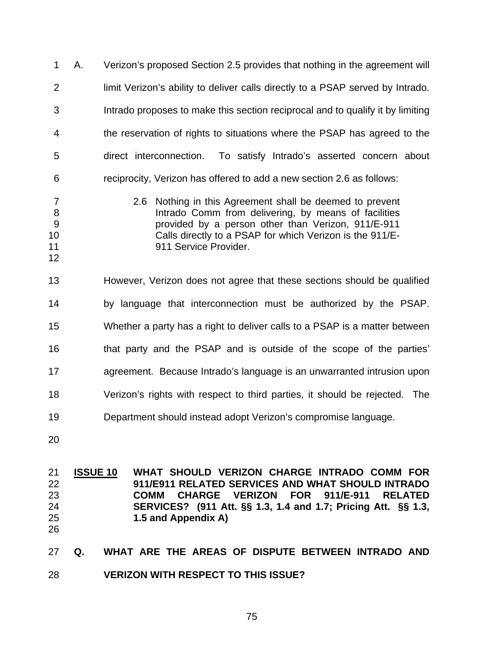1 2 3 4 5 6 7 8  $9^{\circ}$ 10 11 12 A. Verizon's proposed Section 2.5 provides that nothing in the agreement will limit Verizon's ability to deliver calls directly to a PSAP served by Intrado. Intrado proposes to make this section reciprocal and to qualify it by limiting the reservation of rights to situations where the PSAP has agreed to the direct interconnection. To satisfy Intrado's asserted concern about reciprocity, Verizon has offered to add a new section 2.6 as follows: 2.6 Nothing in this Agreement shall be deemed to prevent Intrado Comm from delivering, by means of facilities provided by a person other than Verizon, 911/E-911 Calls directly to a PSAP for which Verizon is the 911/E-911 Service Provider.

13 14 15 16 17 18 19 However, Verizon does not agree that these sections should be qualified by language that interconnection must be authorized by the PSAP. Whether a party has a right to deliver calls to a PSAP is a matter between that party and the PSAP and is outside of the scope of the parties' agreement. Because Intrado's language is an unwarranted intrusion upon Verizon's rights with respect to third parties, it should be rejected. The Department should instead adopt Verizon's compromise language.

20

**ISSUE 10 WHAT SHOULD VERIZON CHARGE INTRADO COMM FOR 911/E911 RELATED SERVICES AND WHAT SHOULD INTRADO COMM CHARGE VERIZON FOR 911/E-911 RELATED SERVICES? (911 Att. §§ 1.3, 1.4 and 1.7; Pricing Att. §§ 1.3, 1.5 and Appendix A)**  21 22 23 24 25

26

27 28 **Q. WHAT ARE THE AREAS OF DISPUTE BETWEEN INTRADO AND VERIZON WITH RESPECT TO THIS ISSUE?**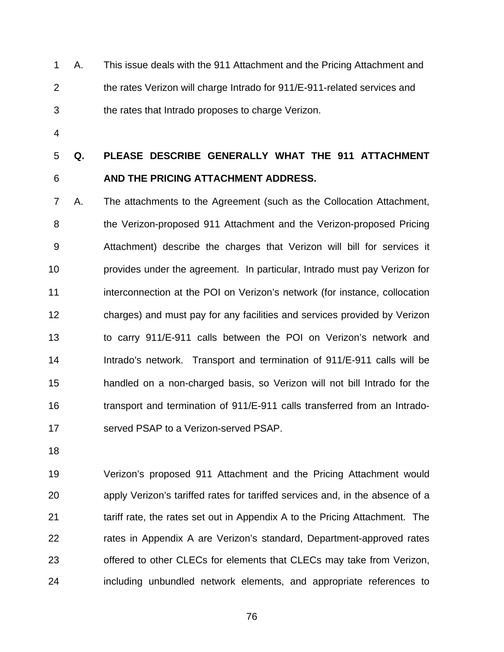1 2 3 A. This issue deals with the 911 Attachment and the Pricing Attachment and the rates Verizon will charge Intrado for 911/E-911-related services and the rates that Intrado proposes to charge Verizon.

4

5 6 **Q. PLEASE DESCRIBE GENERALLY WHAT THE 911 ATTACHMENT AND THE PRICING ATTACHMENT ADDRESS.** 

7 8 9 10 11 12 13 14 15 16 17 A. The attachments to the Agreement (such as the Collocation Attachment, the Verizon-proposed 911 Attachment and the Verizon-proposed Pricing Attachment) describe the charges that Verizon will bill for services it provides under the agreement. In particular, Intrado must pay Verizon for interconnection at the POI on Verizon's network (for instance, collocation charges) and must pay for any facilities and services provided by Verizon to carry 911/E-911 calls between the POI on Verizon's network and Intrado's network. Transport and termination of 911/E-911 calls will be handled on a non-charged basis, so Verizon will not bill Intrado for the transport and termination of 911/E-911 calls transferred from an Intradoserved PSAP to a Verizon-served PSAP.

18

19 20 21 22 23 24 Verizon's proposed 911 Attachment and the Pricing Attachment would apply Verizon's tariffed rates for tariffed services and, in the absence of a tariff rate, the rates set out in Appendix A to the Pricing Attachment. The rates in Appendix A are Verizon's standard, Department-approved rates offered to other CLECs for elements that CLECs may take from Verizon, including unbundled network elements, and appropriate references to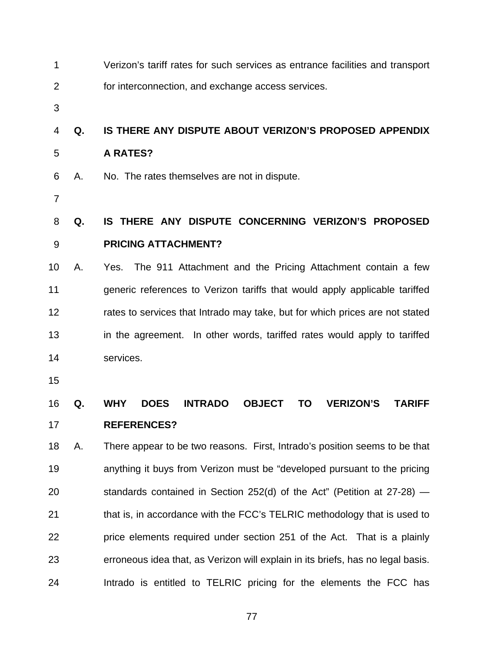| 1              |    | Verizon's tariff rates for such services as entrance facilities and transport                                  |
|----------------|----|----------------------------------------------------------------------------------------------------------------|
| 2              |    | for interconnection, and exchange access services.                                                             |
| 3              |    |                                                                                                                |
| 4              | Q. | IS THERE ANY DISPUTE ABOUT VERIZON'S PROPOSED APPENDIX                                                         |
| 5              |    | <b>A RATES?</b>                                                                                                |
| 6              | А. | No. The rates themselves are not in dispute.                                                                   |
| $\overline{7}$ |    |                                                                                                                |
| 8              | Q. | IS THERE ANY DISPUTE CONCERNING VERIZON'S PROPOSED                                                             |
| 9              |    | <b>PRICING ATTACHMENT?</b>                                                                                     |
| 10             | А. | The 911 Attachment and the Pricing Attachment contain a few<br>Yes.                                            |
| 11             |    | generic references to Verizon tariffs that would apply applicable tariffed                                     |
| 12             |    | rates to services that Intrado may take, but for which prices are not stated                                   |
| 13             |    | in the agreement. In other words, tariffed rates would apply to tariffed                                       |
| 14             |    | services.                                                                                                      |
| 15             |    |                                                                                                                |
| 16             | Q. | <b>DOES</b><br><b>WHY</b><br><b>INTRADO</b><br><b>OBJECT</b><br><b>TO</b><br><b>VERIZON'S</b><br><b>TARIFF</b> |
| 17             |    | <b>REFERENCES?</b>                                                                                             |
| 18             | А. | There appear to be two reasons. First, Intrado's position seems to be that                                     |
| 19             |    | anything it buys from Verizon must be "developed pursuant to the pricing                                       |
| 20             |    | standards contained in Section 252(d) of the Act" (Petition at $27-28$ ) —                                     |
| 21             |    | that is, in accordance with the FCC's TELRIC methodology that is used to                                       |
| 22             |    | price elements required under section 251 of the Act. That is a plainly                                        |
| 23             |    | erroneous idea that, as Verizon will explain in its briefs, has no legal basis.                                |
| 24             |    | Intrado is entitled to TELRIC pricing for the elements the FCC has                                             |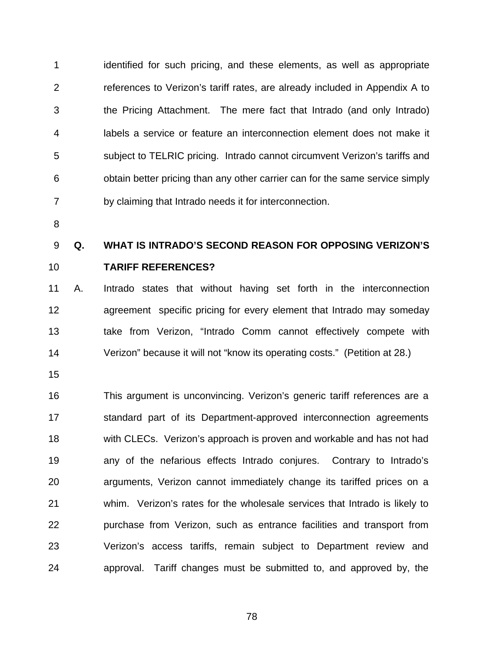1 2 3 4 5 6 7 identified for such pricing, and these elements, as well as appropriate references to Verizon's tariff rates, are already included in Appendix A to the Pricing Attachment. The mere fact that Intrado (and only Intrado) labels a service or feature an interconnection element does not make it subject to TELRIC pricing. Intrado cannot circumvent Verizon's tariffs and obtain better pricing than any other carrier can for the same service simply by claiming that Intrado needs it for interconnection.

8

### 9 **Q. WHAT IS INTRADO'S SECOND REASON FOR OPPOSING VERIZON'S**

#### 10 **TARIFF REFERENCES?**

11 12 13 14 A. Intrado states that without having set forth in the interconnection agreement specific pricing for every element that Intrado may someday take from Verizon, "Intrado Comm cannot effectively compete with Verizon" because it will not "know its operating costs." (Petition at 28.)

15

16 17 18 19 20 21 22 23 24 This argument is unconvincing. Verizon's generic tariff references are a standard part of its Department-approved interconnection agreements with CLECs. Verizon's approach is proven and workable and has not had any of the nefarious effects Intrado conjures. Contrary to Intrado's arguments, Verizon cannot immediately change its tariffed prices on a whim. Verizon's rates for the wholesale services that Intrado is likely to purchase from Verizon, such as entrance facilities and transport from Verizon's access tariffs, remain subject to Department review and approval. Tariff changes must be submitted to, and approved by, the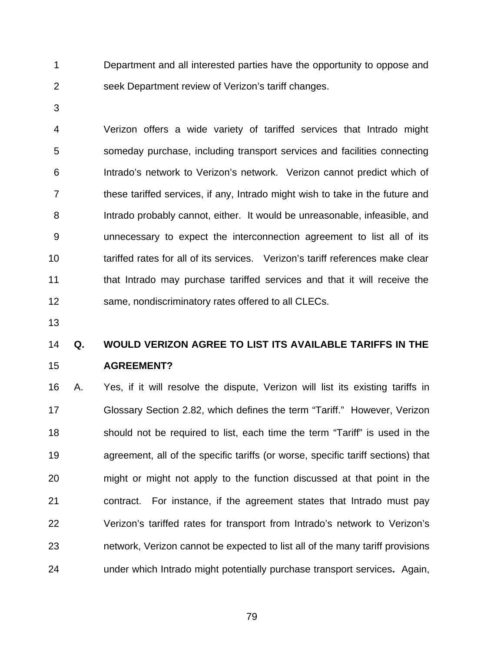1 2 Department and all interested parties have the opportunity to oppose and seek Department review of Verizon's tariff changes.

3

4 5 6 7 8 9 10 11 12 Verizon offers a wide variety of tariffed services that Intrado might someday purchase, including transport services and facilities connecting Intrado's network to Verizon's network. Verizon cannot predict which of these tariffed services, if any, Intrado might wish to take in the future and Intrado probably cannot, either. It would be unreasonable, infeasible, and unnecessary to expect the interconnection agreement to list all of its tariffed rates for all of its services. Verizon's tariff references make clear that Intrado may purchase tariffed services and that it will receive the same, nondiscriminatory rates offered to all CLECs.

13

### 14 15 **Q. WOULD VERIZON AGREE TO LIST ITS AVAILABLE TARIFFS IN THE AGREEMENT?**

16 17 18 19 20 21 22 23 24 A. Yes, if it will resolve the dispute, Verizon will list its existing tariffs in Glossary Section 2.82, which defines the term "Tariff." However, Verizon should not be required to list, each time the term "Tariff" is used in the agreement, all of the specific tariffs (or worse, specific tariff sections) that might or might not apply to the function discussed at that point in the contract. For instance, if the agreement states that Intrado must pay Verizon's tariffed rates for transport from Intrado's network to Verizon's network, Verizon cannot be expected to list all of the many tariff provisions under which Intrado might potentially purchase transport services**.** Again,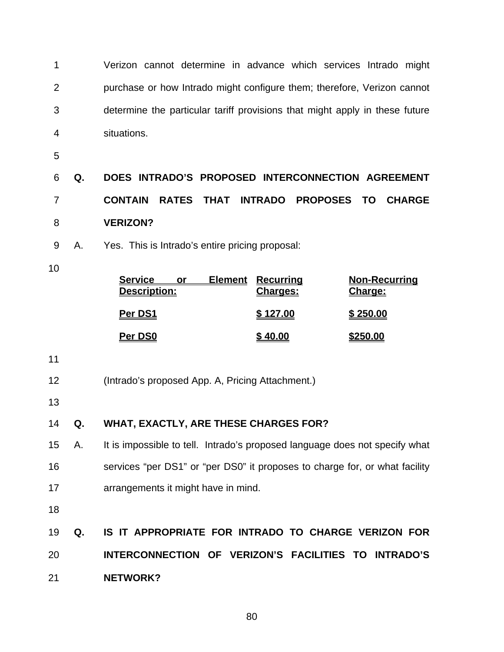1 2 3 4 Verizon cannot determine in advance which services Intrado might purchase or how Intrado might configure them; therefore, Verizon cannot determine the particular tariff provisions that might apply in these future situations.

5

6 7 8 **Q. DOES INTRADO'S PROPOSED INTERCONNECTION AGREEMENT CONTAIN RATES THAT INTRADO PROPOSES TO CHARGE VERIZON?** 

- 9 A. Yes. This is Intrado's entire pricing proposal:
- 10

| <b>Service</b><br>Element<br>Description: | <u>Recurring</u><br><b>Charges:</b> | <b>Non-Recurring</b><br>Charge: |
|-------------------------------------------|-------------------------------------|---------------------------------|
| Per DS1                                   | \$127.00                            | \$250.00                        |
| Per DS0                                   | 40.00                               | <u>\$250.00</u>                 |

11

- 12 (Intrado's proposed App. A, Pricing Attachment.)
- 13

### 14 **Q. WHAT, EXACTLY, ARE THESE CHARGES FOR?**

- 15 16 17 A. It is impossible to tell. Intrado's proposed language does not specify what services "per DS1" or "per DS0" it proposes to charge for, or what facility arrangements it might have in mind.
- 18
- 19 20 21 **Q. IS IT APPROPRIATE FOR INTRADO TO CHARGE VERIZON FOR INTERCONNECTION OF VERIZON'S FACILITIES TO INTRADO'S NETWORK?**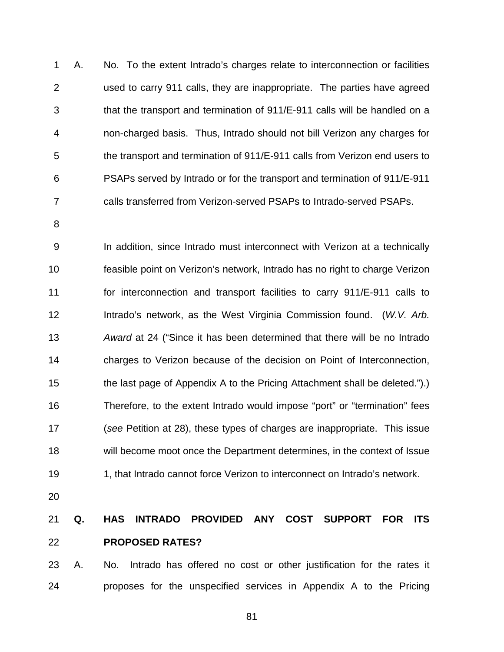1 2 3 4 5 6 7 A. No. To the extent Intrado's charges relate to interconnection or facilities used to carry 911 calls, they are inappropriate. The parties have agreed that the transport and termination of 911/E-911 calls will be handled on a non-charged basis. Thus, Intrado should not bill Verizon any charges for the transport and termination of 911/E-911 calls from Verizon end users to PSAPs served by Intrado or for the transport and termination of 911/E-911 calls transferred from Verizon-served PSAPs to Intrado-served PSAPs.

8

9 10 11 12 13 14 15 16 17 18 19 In addition, since Intrado must interconnect with Verizon at a technically feasible point on Verizon's network, Intrado has no right to charge Verizon for interconnection and transport facilities to carry 911/E-911 calls to Intrado's network, as the West Virginia Commission found. (*W.V. Arb. Award* at 24 ("Since it has been determined that there will be no Intrado charges to Verizon because of the decision on Point of Interconnection, the last page of Appendix A to the Pricing Attachment shall be deleted.").) Therefore, to the extent Intrado would impose "port" or "termination" fees (*see* Petition at 28), these types of charges are inappropriate. This issue will become moot once the Department determines, in the context of Issue 1, that Intrado cannot force Verizon to interconnect on Intrado's network.

20

### 21 22 **Q. HAS INTRADO PROVIDED ANY COST SUPPORT FOR ITS PROPOSED RATES?**

23 24 A. No. Intrado has offered no cost or other justification for the rates it proposes for the unspecified services in Appendix A to the Pricing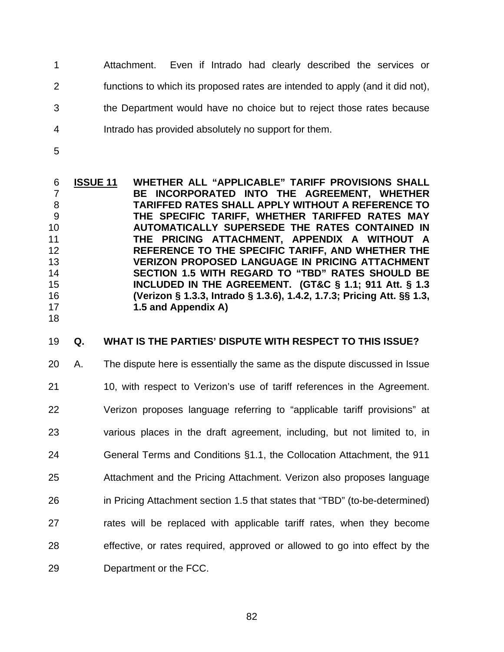- 1 2 3 4 Attachment. Even if Intrado had clearly described the services or functions to which its proposed rates are intended to apply (and it did not), the Department would have no choice but to reject those rates because Intrado has provided absolutely no support for them.
- 5

18

**ISSUE 11 WHETHER ALL "APPLICABLE" TARIFF PROVISIONS SHALL BE INCORPORATED INTO THE AGREEMENT, WHETHER TARIFFED RATES SHALL APPLY WITHOUT A REFERENCE TO THE SPECIFIC TARIFF, WHETHER TARIFFED RATES MAY AUTOMATICALLY SUPERSEDE THE RATES CONTAINED IN THE PRICING ATTACHMENT, APPENDIX A WITHOUT A REFERENCE TO THE SPECIFIC TARIFF, AND WHETHER THE VERIZON PROPOSED LANGUAGE IN PRICING ATTACHMENT SECTION 1.5 WITH REGARD TO "TBD" RATES SHOULD BE INCLUDED IN THE AGREEMENT. (GT&C § 1.1; 911 Att. § 1.3 (Verizon § 1.3.3, Intrado § 1.3.6), 1.4.2, 1.7.3; Pricing Att. §§ 1.3, 1.5 and Appendix A)** 6 7 8 9 10 11 12 13 14 15 16 17

#### 19 **Q. WHAT IS THE PARTIES' DISPUTE WITH RESPECT TO THIS ISSUE?**

20 21 22 23 24 25 26 27 28 29 A. The dispute here is essentially the same as the dispute discussed in Issue 10, with respect to Verizon's use of tariff references in the Agreement. Verizon proposes language referring to "applicable tariff provisions" at various places in the draft agreement, including, but not limited to, in General Terms and Conditions §1.1, the Collocation Attachment, the 911 Attachment and the Pricing Attachment. Verizon also proposes language in Pricing Attachment section 1.5 that states that "TBD" (to-be-determined) rates will be replaced with applicable tariff rates, when they become effective, or rates required, approved or allowed to go into effect by the Department or the FCC.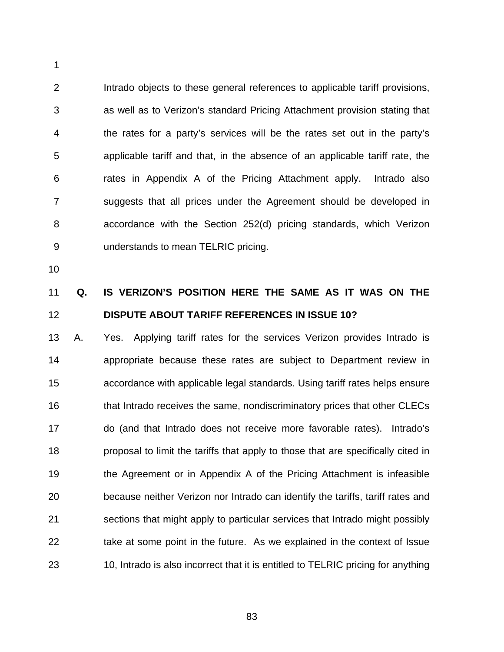2 3 4 5 6 7 8 9 Intrado objects to these general references to applicable tariff provisions, as well as to Verizon's standard Pricing Attachment provision stating that the rates for a party's services will be the rates set out in the party's applicable tariff and that, in the absence of an applicable tariff rate, the rates in Appendix A of the Pricing Attachment apply. Intrado also suggests that all prices under the Agreement should be developed in accordance with the Section 252(d) pricing standards, which Verizon understands to mean TELRIC pricing.

10

1

### 11 12 **Q. IS VERIZON'S POSITION HERE THE SAME AS IT WAS ON THE DISPUTE ABOUT TARIFF REFERENCES IN ISSUE 10?**

13 14 15 16 17 18 19 20 21 22 23 A. Yes. Applying tariff rates for the services Verizon provides Intrado is appropriate because these rates are subject to Department review in accordance with applicable legal standards. Using tariff rates helps ensure that Intrado receives the same, nondiscriminatory prices that other CLECs do (and that Intrado does not receive more favorable rates). Intrado's proposal to limit the tariffs that apply to those that are specifically cited in the Agreement or in Appendix A of the Pricing Attachment is infeasible because neither Verizon nor Intrado can identify the tariffs, tariff rates and sections that might apply to particular services that Intrado might possibly take at some point in the future. As we explained in the context of Issue 10, Intrado is also incorrect that it is entitled to TELRIC pricing for anything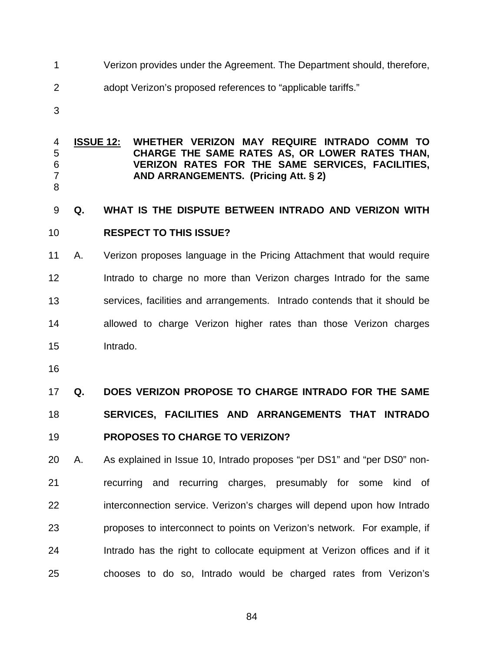- 1 Verizon provides under the Agreement. The Department should, therefore,
- 2 adopt Verizon's proposed references to "applicable tariffs."
- 3

#### **ISSUE 12: WHETHER VERIZON MAY REQUIRE INTRADO COMM TO CHARGE THE SAME RATES AS, OR LOWER RATES THAN, VERIZON RATES FOR THE SAME SERVICES, FACILITIES, AND ARRANGEMENTS. (Pricing Att. § 2)** 4 5 6 7

8

9 10 **Q. WHAT IS THE DISPUTE BETWEEN INTRADO AND VERIZON WITH RESPECT TO THIS ISSUE?** 

11 12 13 14 15 A. Verizon proposes language in the Pricing Attachment that would require Intrado to charge no more than Verizon charges Intrado for the same services, facilities and arrangements. Intrado contends that it should be allowed to charge Verizon higher rates than those Verizon charges Intrado.

16

17 18 19 **Q. DOES VERIZON PROPOSE TO CHARGE INTRADO FOR THE SAME SERVICES, FACILITIES AND ARRANGEMENTS THAT INTRADO PROPOSES TO CHARGE TO VERIZON?** 

20 21 22 23 24 25 A. As explained in Issue 10, Intrado proposes "per DS1" and "per DS0" nonrecurring and recurring charges, presumably for some kind of interconnection service. Verizon's charges will depend upon how Intrado proposes to interconnect to points on Verizon's network. For example, if Intrado has the right to collocate equipment at Verizon offices and if it chooses to do so, Intrado would be charged rates from Verizon's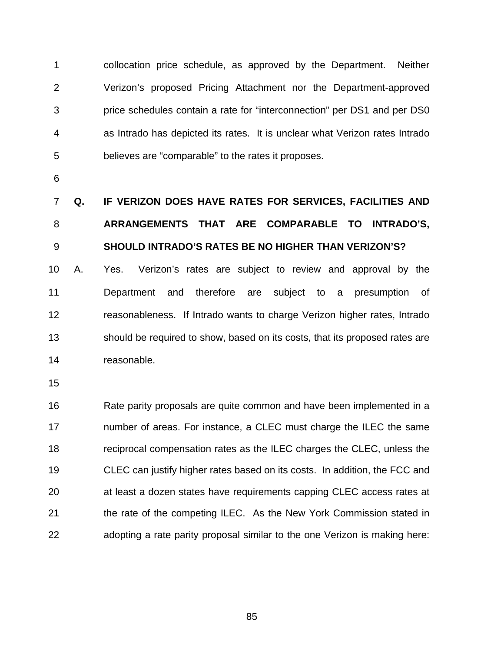1 2 3 4 5 collocation price schedule, as approved by the Department. Neither Verizon's proposed Pricing Attachment nor the Department-approved price schedules contain a rate for "interconnection" per DS1 and per DS0 as Intrado has depicted its rates. It is unclear what Verizon rates Intrado believes are "comparable" to the rates it proposes.

6

## 7 8 9 **Q. IF VERIZON DOES HAVE RATES FOR SERVICES, FACILITIES AND ARRANGEMENTS THAT ARE COMPARABLE TO INTRADO'S, SHOULD INTRADO'S RATES BE NO HIGHER THAN VERIZON'S?**

10 11 12 13 14 A. Yes. Verizon's rates are subject to review and approval by the Department and therefore are subject to a presumption of reasonableness. If Intrado wants to charge Verizon higher rates, Intrado should be required to show, based on its costs, that its proposed rates are reasonable.

15

16 17 18 19 20 21 22 Rate parity proposals are quite common and have been implemented in a number of areas. For instance, a CLEC must charge the ILEC the same reciprocal compensation rates as the ILEC charges the CLEC, unless the CLEC can justify higher rates based on its costs. In addition, the FCC and at least a dozen states have requirements capping CLEC access rates at the rate of the competing ILEC. As the New York Commission stated in adopting a rate parity proposal similar to the one Verizon is making here: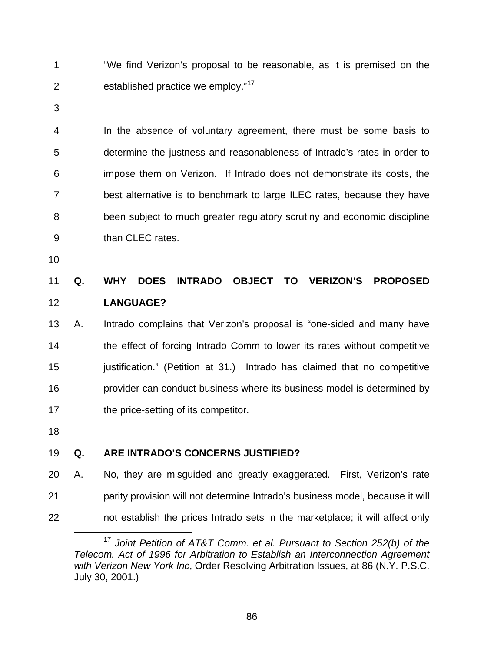"We find Verizon's proposal to be reasonable, as it is premised on the established practice we employ."<sup>[17](#page-89-0)</sup> 1 2

3

4 5 6 7 8 9 In the absence of voluntary agreement, there must be some basis to determine the justness and reasonableness of Intrado's rates in order to impose them on Verizon. If Intrado does not demonstrate its costs, the best alternative is to benchmark to large ILEC rates, because they have been subject to much greater regulatory scrutiny and economic discipline than CLEC rates.

10

### 11 12 **Q. WHY DOES INTRADO OBJECT TO VERIZON'S PROPOSED LANGUAGE?**

13 14 15 16 17 A. Intrado complains that Verizon's proposal is "one-sided and many have the effect of forcing Intrado Comm to lower its rates without competitive justification." (Petition at 31.) Intrado has claimed that no competitive provider can conduct business where its business model is determined by the price-setting of its competitor.

18

### 19 **Q. ARE INTRADO'S CONCERNS JUSTIFIED?**

20 21 22 A. No, they are misguided and greatly exaggerated. First, Verizon's rate parity provision will not determine Intrado's business model, because it will not establish the prices Intrado sets in the marketplace; it will affect only

<span id="page-89-0"></span> $\overline{a}$ <sup>17</sup> *Joint Petition of AT&T Comm. et al. Pursuant to Section 252(b) of the Telecom. Act of 1996 for Arbitration to Establish an Interconnection Agreement with Verizon New York Inc*, Order Resolving Arbitration Issues, at 86 (N.Y. P.S.C. July 30, 2001.)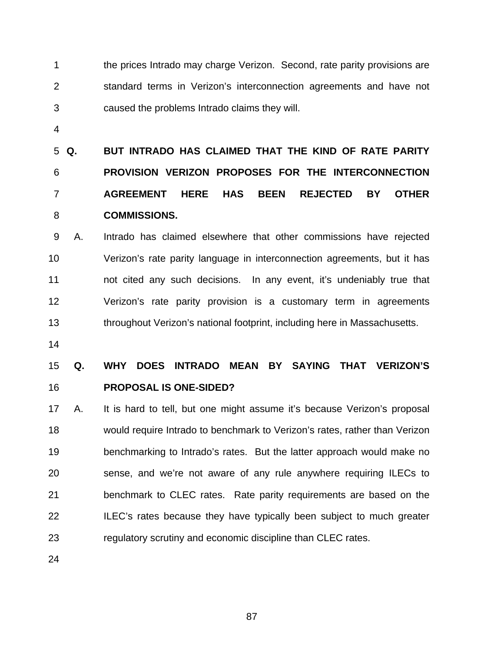1 2 3 the prices Intrado may charge Verizon. Second, rate parity provisions are standard terms in Verizon's interconnection agreements and have not caused the problems Intrado claims they will.

4

5 Q. 6 7 8 **Q. BUT INTRADO HAS CLAIMED THAT THE KIND OF RATE PARITY PROVISION VERIZON PROPOSES FOR THE INTERCONNECTION AGREEMENT HERE HAS BEEN REJECTED BY OTHER COMMISSIONS.** 

9 10 11 12 13 A. Intrado has claimed elsewhere that other commissions have rejected Verizon's rate parity language in interconnection agreements, but it has not cited any such decisions. In any event, it's undeniably true that Verizon's rate parity provision is a customary term in agreements throughout Verizon's national footprint, including here in Massachusetts.

14

15 16 **Q. WHY DOES INTRADO MEAN BY SAYING THAT VERIZON'S PROPOSAL IS ONE-SIDED?** 

17 18 19 20 21 22 23 A. It is hard to tell, but one might assume it's because Verizon's proposal would require Intrado to benchmark to Verizon's rates, rather than Verizon benchmarking to Intrado's rates. But the latter approach would make no sense, and we're not aware of any rule anywhere requiring ILECs to benchmark to CLEC rates. Rate parity requirements are based on the ILEC's rates because they have typically been subject to much greater regulatory scrutiny and economic discipline than CLEC rates.

24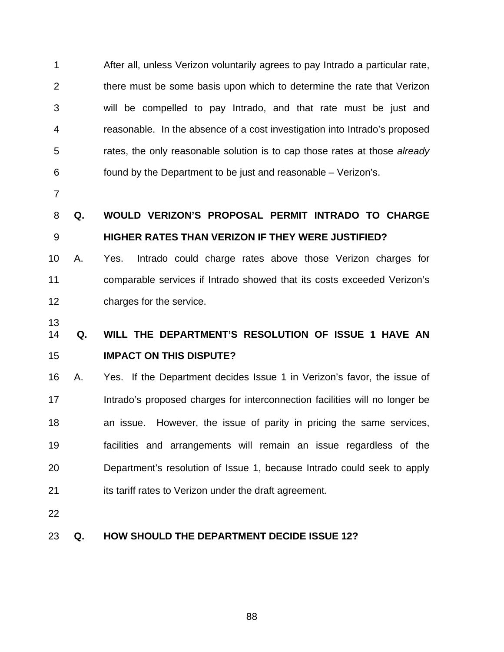1 2 3 4 5 6 After all, unless Verizon voluntarily agrees to pay Intrado a particular rate, there must be some basis upon which to determine the rate that Verizon will be compelled to pay Intrado, and that rate must be just and reasonable. In the absence of a cost investigation into Intrado's proposed rates, the only reasonable solution is to cap those rates at those *already*  found by the Department to be just and reasonable – Verizon's.

7

### 8 9 **Q. WOULD VERIZON'S PROPOSAL PERMIT INTRADO TO CHARGE HIGHER RATES THAN VERIZON IF THEY WERE JUSTIFIED?**

10 11 12 A. Yes. Intrado could charge rates above those Verizon charges for comparable services if Intrado showed that its costs exceeded Verizon's charges for the service.

13

### 14 15 **Q. WILL THE DEPARTMENT'S RESOLUTION OF ISSUE 1 HAVE AN IMPACT ON THIS DISPUTE?**

16 17 18 19 20 21 A. Yes. If the Department decides Issue 1 in Verizon's favor, the issue of Intrado's proposed charges for interconnection facilities will no longer be an issue. However, the issue of parity in pricing the same services, facilities and arrangements will remain an issue regardless of the Department's resolution of Issue 1, because Intrado could seek to apply its tariff rates to Verizon under the draft agreement.

22

### 23 **Q. HOW SHOULD THE DEPARTMENT DECIDE ISSUE 12?**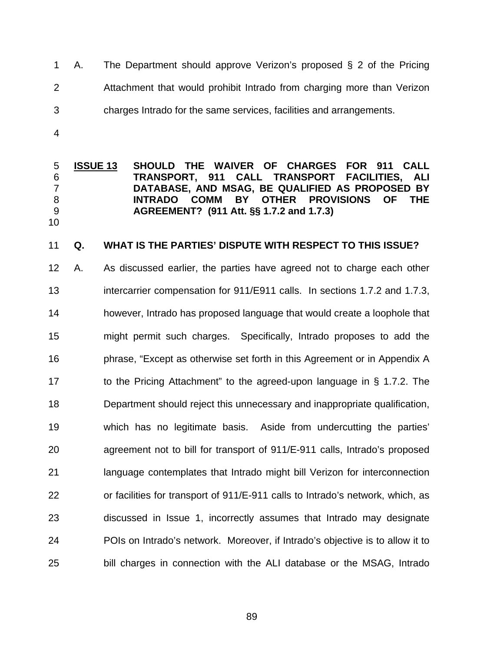- 1 2 3 A. The Department should approve Verizon's proposed § 2 of the Pricing Attachment that would prohibit Intrado from charging more than Verizon charges Intrado for the same services, facilities and arrangements.
- 4

**ISSUE 13 SHOULD THE WAIVER OF CHARGES FOR 911 CALL TRANSPORT, 911 CALL TRANSPORT FACILITIES, ALI DATABASE, AND MSAG, BE QUALIFIED AS PROPOSED BY INTRADO COMM BY OTHER PROVISIONS OF THE AGREEMENT? (911 Att. §§ 1.7.2 and 1.7.3)** 5 6 7 8 9 10

#### 11 **Q. WHAT IS THE PARTIES' DISPUTE WITH RESPECT TO THIS ISSUE?**

12 13 14 15 16 17 18 19 20 21 22 23 24 25 A. As discussed earlier, the parties have agreed not to charge each other intercarrier compensation for 911/E911 calls. In sections 1.7.2 and 1.7.3, however, Intrado has proposed language that would create a loophole that might permit such charges. Specifically, Intrado proposes to add the phrase, "Except as otherwise set forth in this Agreement or in Appendix A to the Pricing Attachment" to the agreed-upon language in § 1.7.2. The Department should reject this unnecessary and inappropriate qualification, which has no legitimate basis. Aside from undercutting the parties' agreement not to bill for transport of 911/E-911 calls, Intrado's proposed language contemplates that Intrado might bill Verizon for interconnection or facilities for transport of 911/E-911 calls to Intrado's network, which, as discussed in Issue 1, incorrectly assumes that Intrado may designate POIs on Intrado's network. Moreover, if Intrado's objective is to allow it to bill charges in connection with the ALI database or the MSAG, Intrado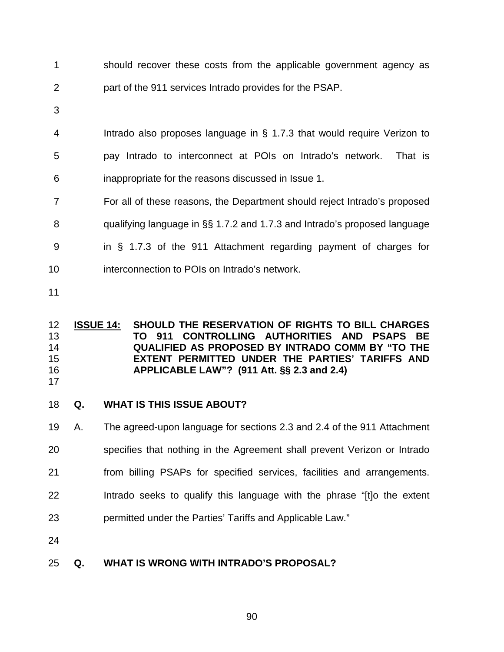- 1 2 should recover these costs from the applicable government agency as part of the 911 services Intrado provides for the PSAP.
- 3

4 5 Intrado also proposes language in § 1.7.3 that would require Verizon to pay Intrado to interconnect at POIs on Intrado's network. That is

- 6 inappropriate for the reasons discussed in Issue 1.
- 7 For all of these reasons, the Department should reject Intrado's proposed
- 8 qualifying language in §§ 1.7.2 and 1.7.3 and Intrado's proposed language
- 9 in § 1.7.3 of the 911 Attachment regarding payment of charges for
- 10 interconnection to POIs on Intrado's network.
- 11

### **ISSUE 14: SHOULD THE RESERVATION OF RIGHTS TO BILL CHARGES TO 911 CONTROLLING AUTHORITIES AND PSAPS BE QUALIFIED AS PROPOSED BY INTRADO COMM BY "TO THE EXTENT PERMITTED UNDER THE PARTIES' TARIFFS AND APPLICABLE LAW"? (911 Att. §§ 2.3 and 2.4)** 12 13 14 15 16

17

### 18 **Q. WHAT IS THIS ISSUE ABOUT?**

- 19 A. The agreed-upon language for sections 2.3 and 2.4 of the 911 Attachment
- 20 specifies that nothing in the Agreement shall prevent Verizon or Intrado
- 21 from billing PSAPs for specified services, facilities and arrangements.
- 22 Intrado seeks to qualify this language with the phrase "[t]o the extent
- 23 permitted under the Parties' Tariffs and Applicable Law."
- 24

### 25 **Q. WHAT IS WRONG WITH INTRADO'S PROPOSAL?**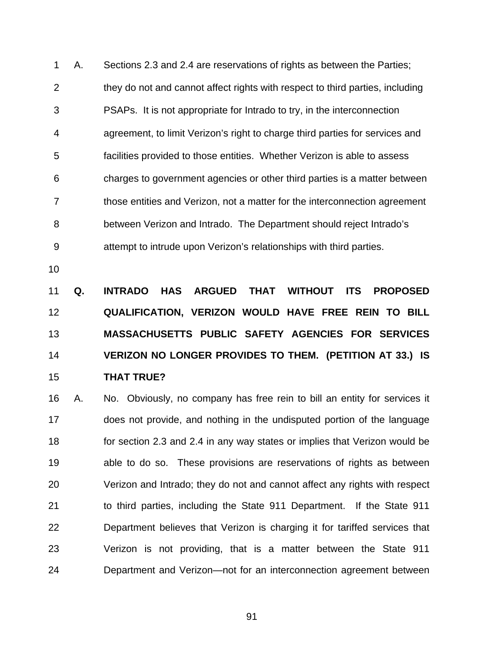1 2 3 4 5 6 7 8 9 A. Sections 2.3 and 2.4 are reservations of rights as between the Parties; they do not and cannot affect rights with respect to third parties, including PSAPs. It is not appropriate for Intrado to try, in the interconnection agreement, to limit Verizon's right to charge third parties for services and facilities provided to those entities. Whether Verizon is able to assess charges to government agencies or other third parties is a matter between those entities and Verizon, not a matter for the interconnection agreement between Verizon and Intrado. The Department should reject Intrado's attempt to intrude upon Verizon's relationships with third parties.

10

11 12 13 14 15 **Q. INTRADO HAS ARGUED THAT WITHOUT ITS PROPOSED QUALIFICATION, VERIZON WOULD HAVE FREE REIN TO BILL MASSACHUSETTS PUBLIC SAFETY AGENCIES FOR SERVICES VERIZON NO LONGER PROVIDES TO THEM. (PETITION AT 33.) IS THAT TRUE?** 

16 17 18 19 20 21 22 23 24 A. No. Obviously, no company has free rein to bill an entity for services it does not provide, and nothing in the undisputed portion of the language for section 2.3 and 2.4 in any way states or implies that Verizon would be able to do so. These provisions are reservations of rights as between Verizon and Intrado; they do not and cannot affect any rights with respect to third parties, including the State 911 Department. If the State 911 Department believes that Verizon is charging it for tariffed services that Verizon is not providing, that is a matter between the State 911 Department and Verizon—not for an interconnection agreement between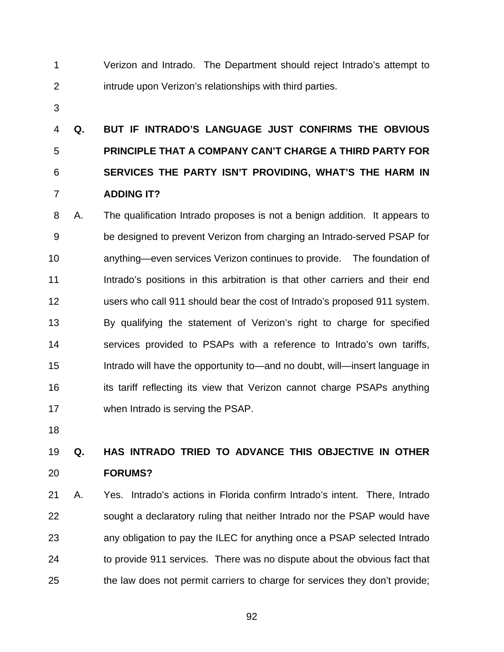- 1 2 Verizon and Intrado. The Department should reject Intrado's attempt to intrude upon Verizon's relationships with third parties.
- 3

## 4 5 6 7 **Q. BUT IF INTRADO'S LANGUAGE JUST CONFIRMS THE OBVIOUS PRINCIPLE THAT A COMPANY CAN'T CHARGE A THIRD PARTY FOR SERVICES THE PARTY ISN'T PROVIDING, WHAT'S THE HARM IN ADDING IT?**

8 9 10 11 12 13 14 15 16 17 A. The qualification Intrado proposes is not a benign addition. It appears to be designed to prevent Verizon from charging an Intrado-served PSAP for anything—even services Verizon continues to provide. The foundation of Intrado's positions in this arbitration is that other carriers and their end users who call 911 should bear the cost of Intrado's proposed 911 system. By qualifying the statement of Verizon's right to charge for specified services provided to PSAPs with a reference to Intrado's own tariffs, Intrado will have the opportunity to—and no doubt, will—insert language in its tariff reflecting its view that Verizon cannot charge PSAPs anything when Intrado is serving the PSAP.

18

### 19 20 **Q. HAS INTRADO TRIED TO ADVANCE THIS OBJECTIVE IN OTHER FORUMS?**

21 22 23 24 25 A. Yes. Intrado's actions in Florida confirm Intrado's intent. There, Intrado sought a declaratory ruling that neither Intrado nor the PSAP would have any obligation to pay the ILEC for anything once a PSAP selected Intrado to provide 911 services. There was no dispute about the obvious fact that the law does not permit carriers to charge for services they don't provide;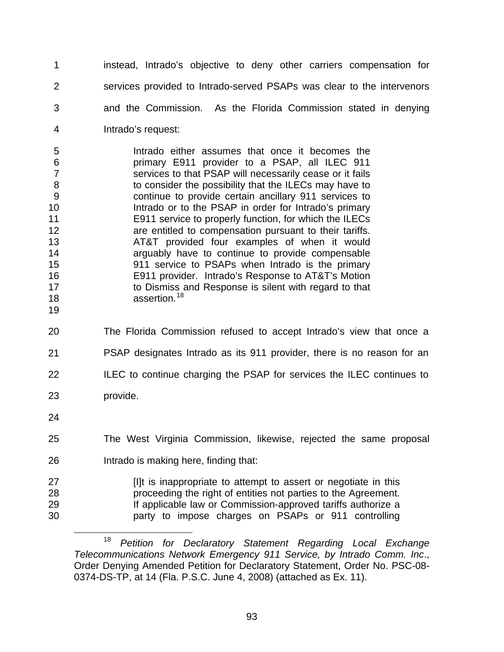instead, Intrado's objective to deny other carriers compensation for services provided to Intrado-served PSAPs was clear to the intervenors and the Commission. As the Florida Commission stated in denying Intrado's request: 1 2 3 4

5 6 7 8 9 10 11 12 13 14 15 16 17 18 Intrado either assumes that once it becomes the primary E911 provider to a PSAP, all ILEC 911 services to that PSAP will necessarily cease or it fails to consider the possibility that the ILECs may have to continue to provide certain ancillary 911 services to Intrado or to the PSAP in order for Intrado's primary E911 service to properly function, for which the ILECs are entitled to compensation pursuant to their tariffs. AT&T provided four examples of when it would arguably have to continue to provide compensable 911 service to PSAPs when Intrado is the primary E911 provider. Intrado's Response to AT&T's Motion to Dismiss and Response is silent with regard to that assertion.<sup>[18](#page-96-0)</sup>

- 19
- 20 21 22 The Florida Commission refused to accept Intrado's view that once a PSAP designates Intrado as its 911 provider, there is no reason for an ILEC to continue charging the PSAP for services the ILEC continues to
- 23 provide.
- 24
- 25 The West Virginia Commission, likewise, rejected the same proposal
- 26 Intrado is making here, finding that:

| 27 | I'll is inappropriate to attempt to assert or negotiate in this |
|----|-----------------------------------------------------------------|
| 28 | proceeding the right of entities not parties to the Agreement.  |
| 29 | If applicable law or Commission-approved tariffs authorize a    |
| 30 | party to impose charges on PSAPs or 911 controlling             |

<span id="page-96-0"></span> $\overline{a}$ <sup>18</sup> *Petition for Declaratory Statement Regarding Local Exchange Telecommunications Network Emergency 911 Service, by Intrado Comm. Inc*., Order Denying Amended Petition for Declaratory Statement, Order No. PSC-08- 0374-DS-TP, at 14 (Fla. P.S.C. June 4, 2008) (attached as Ex. 11).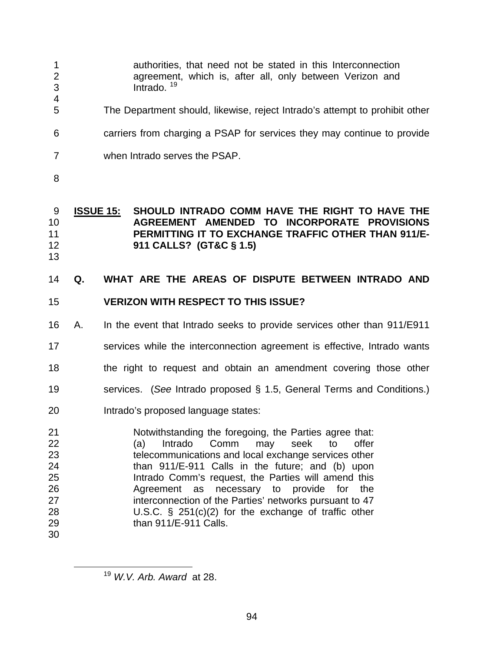- authorities, that need not be stated in this Interconnection agreement, which is, after all, only between Verizon and Intrado.<sup>[19](#page-97-0)</sup> 1 2 3 4 5 6 7 The Department should, likewise, reject Intrado's attempt to prohibit other carriers from charging a PSAP for services they may continue to provide when Intrado serves the PSAP.
- 8

### **ISSUE 15: SHOULD INTRADO COMM HAVE THE RIGHT TO HAVE THE AGREEMENT AMENDED TO INCORPORATE PROVISIONS PERMITTING IT TO EXCHANGE TRAFFIC OTHER THAN 911/E-911 CALLS? (GT&C § 1.5)**  9 10 11 12

13

<span id="page-97-0"></span><u>.</u>

### 14 **Q. WHAT ARE THE AREAS OF DISPUTE BETWEEN INTRADO AND**

### 15 **VERIZON WITH RESPECT TO THIS ISSUE?**

16 A. In the event that Intrado seeks to provide services other than 911/E911

17 services while the interconnection agreement is effective, Intrado wants

- 18 the right to request and obtain an amendment covering those other
- 19 services. (*See* Intrado proposed § 1.5, General Terms and Conditions.)
- 20 Intrado's proposed language states:

21 22 23 24 25 26 27 28 29 30 Notwithstanding the foregoing, the Parties agree that: (a) Intrado Comm may seek to offer telecommunications and local exchange services other than 911/E-911 Calls in the future; and (b) upon Intrado Comm's request, the Parties will amend this Agreement as necessary to provide for the interconnection of the Parties' networks pursuant to 47 U.S.C. § 251(c)(2) for the exchange of traffic other than 911/E-911 Calls.

<sup>19</sup> *W.V. Arb. Award* at 28.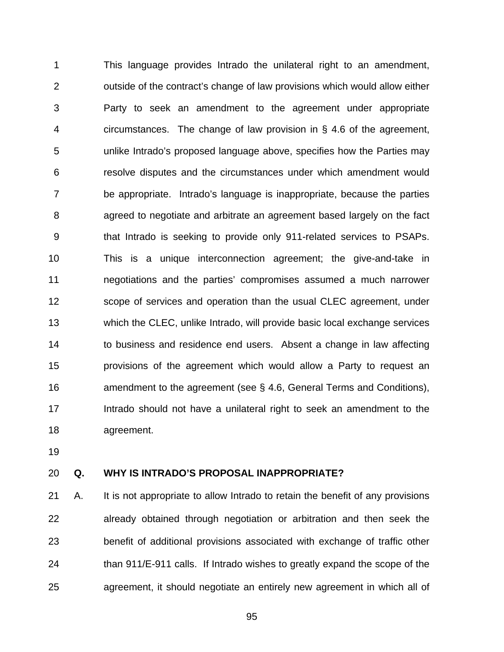1 2 3 4 5 6 7 8 9 10 11 12 13 14 15 16 17 18 This language provides Intrado the unilateral right to an amendment, outside of the contract's change of law provisions which would allow either Party to seek an amendment to the agreement under appropriate circumstances. The change of law provision in § 4.6 of the agreement, unlike Intrado's proposed language above, specifies how the Parties may resolve disputes and the circumstances under which amendment would be appropriate. Intrado's language is inappropriate, because the parties agreed to negotiate and arbitrate an agreement based largely on the fact that Intrado is seeking to provide only 911-related services to PSAPs. This is a unique interconnection agreement; the give-and-take in negotiations and the parties' compromises assumed a much narrower scope of services and operation than the usual CLEC agreement, under which the CLEC, unlike Intrado, will provide basic local exchange services to business and residence end users. Absent a change in law affecting provisions of the agreement which would allow a Party to request an amendment to the agreement (see § 4.6, General Terms and Conditions), Intrado should not have a unilateral right to seek an amendment to the agreement.

19

#### 20 **Q. WHY IS INTRADO'S PROPOSAL INAPPROPRIATE?**

21 22 23 24 25 A. It is not appropriate to allow Intrado to retain the benefit of any provisions already obtained through negotiation or arbitration and then seek the benefit of additional provisions associated with exchange of traffic other than 911/E-911 calls. If Intrado wishes to greatly expand the scope of the agreement, it should negotiate an entirely new agreement in which all of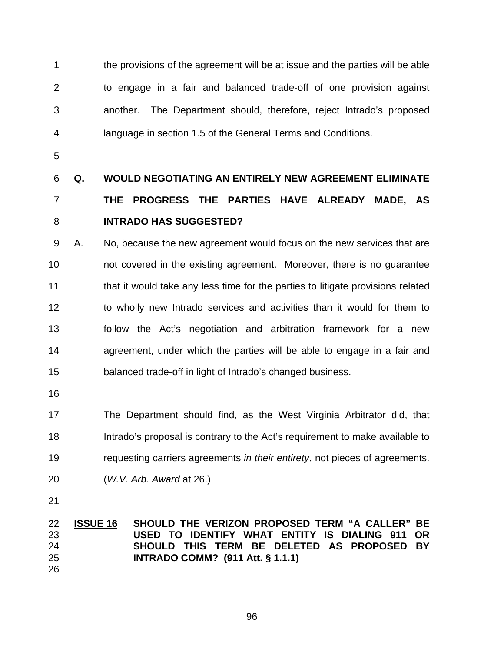1 2 3 4 the provisions of the agreement will be at issue and the parties will be able to engage in a fair and balanced trade-off of one provision against another. The Department should, therefore, reject Intrado's proposed language in section 1.5 of the General Terms and Conditions.

5

## 6 7 8 **Q. WOULD NEGOTIATING AN ENTIRELY NEW AGREEMENT ELIMINATE THE PROGRESS THE PARTIES HAVE ALREADY MADE, AS INTRADO HAS SUGGESTED?**

9 10 11 12 13 14 15 A. No, because the new agreement would focus on the new services that are not covered in the existing agreement. Moreover, there is no guarantee that it would take any less time for the parties to litigate provisions related to wholly new Intrado services and activities than it would for them to follow the Act's negotiation and arbitration framework for a new agreement, under which the parties will be able to engage in a fair and balanced trade-off in light of Intrado's changed business.

16

17 18 19 The Department should find, as the West Virginia Arbitrator did, that Intrado's proposal is contrary to the Act's requirement to make available to requesting carriers agreements *in their entirety*, not pieces of agreements.

20 (*W.V. Arb. Award* at 26.)

21

### **ISSUE 16 SHOULD THE VERIZON PROPOSED TERM "A CALLER" BE USED TO IDENTIFY WHAT ENTITY IS DIALING 911 OR SHOULD THIS TERM BE DELETED AS PROPOSED BY INTRADO COMM? (911 Att. § 1.1.1)** 22 23 24 25 26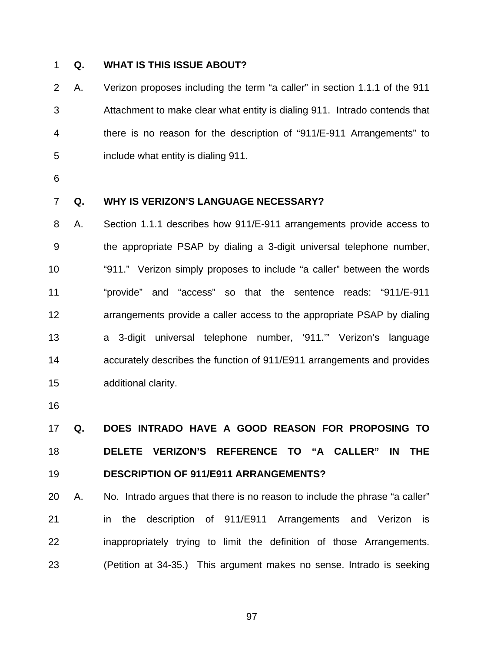# 1 **Q. WHAT IS THIS ISSUE ABOUT?**

2 3 4 5 A. Verizon proposes including the term "a caller" in section 1.1.1 of the 911 Attachment to make clear what entity is dialing 911. Intrado contends that there is no reason for the description of "911/E-911 Arrangements" to include what entity is dialing 911.

6

### 7 **Q. WHY IS VERIZON'S LANGUAGE NECESSARY?**

8 9 10 11 12 13 14 15 A. Section 1.1.1 describes how 911/E-911 arrangements provide access to the appropriate PSAP by dialing a 3-digit universal telephone number, "911." Verizon simply proposes to include "a caller" between the words "provide" and "access" so that the sentence reads: "911/E-911 arrangements provide a caller access to the appropriate PSAP by dialing a 3-digit universal telephone number, '911.'" Verizon's language accurately describes the function of 911/E911 arrangements and provides additional clarity.

16

## 17 18 19 **Q. DOES INTRADO HAVE A GOOD REASON FOR PROPOSING TO DELETE VERIZON'S REFERENCE TO "A CALLER" IN THE DESCRIPTION OF 911/E911 ARRANGEMENTS?**

20 21 22 23 A. No. Intrado argues that there is no reason to include the phrase "a caller" in the description of 911/E911 Arrangements and Verizon is inappropriately trying to limit the definition of those Arrangements. (Petition at 34-35.) This argument makes no sense. Intrado is seeking